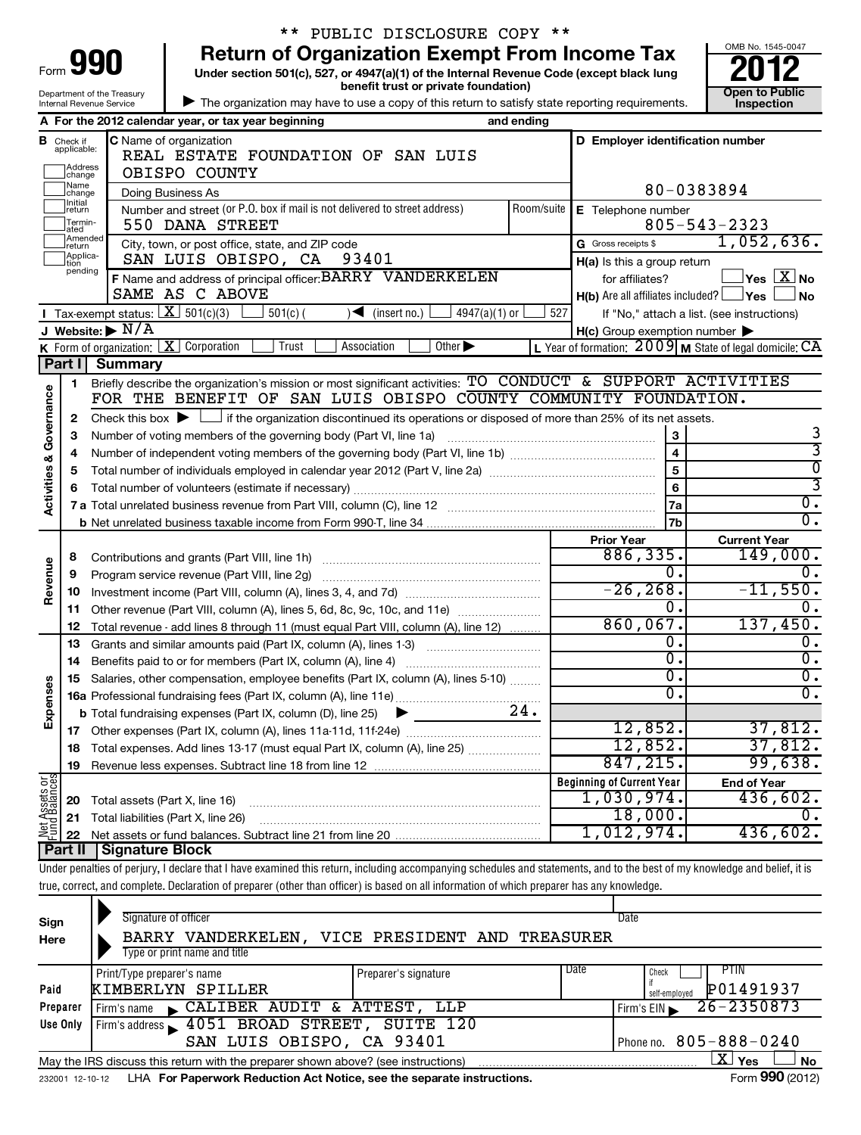| <b>101</b><br>Form         |
|----------------------------|
| Department of the Treasury |
| Internal Revenue Service   |

# \*\* PUBLIC DISCLOSURE COPY \*\*

**Under section 501(c), 527, or 4947(a)(1) of the Internal Revenue Code (except black lung 990** Return of Organization Exempt From Income Tax  $\frac{6008 \text{ No. 1545-004}}{2012}$ 



| The organization may have to use a copy of this return to satisfy state reporting requirements.

|                                    |                                       | A For the 2012 calendar year, or tax year beginning                                                                                                                       | and ending              |                                                                   |                                                             |  |  |
|------------------------------------|---------------------------------------|---------------------------------------------------------------------------------------------------------------------------------------------------------------------------|-------------------------|-------------------------------------------------------------------|-------------------------------------------------------------|--|--|
| в                                  | Check if<br>applicable:               | <b>C</b> Name of organization<br>REAL ESTATE FOUNDATION OF SAN LUIS                                                                                                       |                         | D Employer identification number                                  |                                                             |  |  |
|                                    | Address<br> change                    | OBISPO COUNTY                                                                                                                                                             |                         |                                                                   |                                                             |  |  |
|                                    | Name<br>change                        | Doing Business As<br>Number and street (or P.O. box if mail is not delivered to street address)                                                                           |                         |                                                                   | 80-0383894                                                  |  |  |
|                                    | Initial<br>]return<br>Termin-<br>ated | E Telephone number                                                                                                                                                        | $805 - 543 - 2323$      |                                                                   |                                                             |  |  |
|                                    | Amended<br>Ireturn                    | City, town, or post office, state, and ZIP code                                                                                                                           |                         | G Gross receipts \$                                               | 1,052,636.                                                  |  |  |
|                                    | Applica-                              | SAN LUIS OBISPO, CA<br>93401<br>F Name and address of principal officer: BARRY VANDERKELEN                                                                                |                         | $H(a)$ is this a group return                                     |                                                             |  |  |
|                                    | pending                               | for affiliates?                                                                                                                                                           | $Yes$ $\boxed{X}$ No    |                                                                   |                                                             |  |  |
|                                    |                                       | SAME AS C ABOVE                                                                                                                                                           |                         | <b>H(b)</b> Are all affiliates included? $\Box$ <b>Yes</b> $\Box$ | ⊿ No                                                        |  |  |
|                                    |                                       | Tax-exempt status: $X \overline{301(c)(3)}$<br>$501(c)$ (<br>$4947(a)(1)$ or<br>$\blacksquare$<br>(inset no.)                                                             | 527                     |                                                                   | If "No," attach a list. (see instructions)                  |  |  |
|                                    |                                       | J Website: $\triangleright$ N/A                                                                                                                                           |                         | $H(c)$ Group exemption number $\blacktriangleright$               |                                                             |  |  |
|                                    |                                       | <b>K</b> Form of organization: $X$ Corporation<br>Trust<br>Other $\blacktriangleright$<br>Association                                                                     |                         |                                                                   | L Year of formation: $2009$ M State of legal domicile: $CA$ |  |  |
|                                    | Part II                               | <b>Summary</b>                                                                                                                                                            |                         |                                                                   |                                                             |  |  |
|                                    | 1                                     | Briefly describe the organization's mission or most significant activities: TO CONDUCT & SUPPORT ACTIVITIES                                                               |                         |                                                                   |                                                             |  |  |
| <b>Activities &amp; Governance</b> |                                       | FOR THE BENEFIT OF SAN LUIS OBISPO COUNTY COMMUNITY FOUNDATION.                                                                                                           |                         |                                                                   |                                                             |  |  |
|                                    | $\mathbf{2}$                          | Check this box $\blacktriangleright$ $\Box$ if the organization discontinued its operations or disposed of more than 25% of its net assets.                               |                         |                                                                   |                                                             |  |  |
|                                    | 3                                     | Number of voting members of the governing body (Part VI, line 1a)                                                                                                         |                         | 3                                                                 | 3                                                           |  |  |
|                                    | 4                                     |                                                                                                                                                                           | $\overline{\mathbf{4}}$ | $\overline{3}$                                                    |                                                             |  |  |
|                                    | 5                                     |                                                                                                                                                                           | $\overline{5}$          | $\overline{\mathfrak{o}}$                                         |                                                             |  |  |
|                                    | 6                                     |                                                                                                                                                                           | 6                       | 3                                                                 |                                                             |  |  |
|                                    |                                       |                                                                                                                                                                           |                         | 7a                                                                | σ.                                                          |  |  |
|                                    |                                       |                                                                                                                                                                           |                         | 7b                                                                | $\overline{0}$ .                                            |  |  |
|                                    |                                       |                                                                                                                                                                           |                         | <b>Prior Year</b><br>886, 335.                                    | <b>Current Year</b><br>149,000.                             |  |  |
|                                    | 8                                     | Contributions and grants (Part VIII, line 1h)                                                                                                                             |                         |                                                                   |                                                             |  |  |
| Revenue                            | 9                                     | Program service revenue (Part VIII, line 2g)                                                                                                                              |                         | Ο.<br>$-26, 268.$                                                 |                                                             |  |  |
|                                    | 10                                    |                                                                                                                                                                           |                         | Ο.                                                                | $-11,550.$<br>$\mathbf 0$ .                                 |  |  |
|                                    | 11                                    | Other revenue (Part VIII, column (A), lines 5, 6d, 8c, 9c, 10c, and 11e)                                                                                                  |                         | 860,067.                                                          | 137,450.                                                    |  |  |
|                                    | 12                                    | Total revenue - add lines 8 through 11 (must equal Part VIII, column (A), line 12)                                                                                        |                         | Ο.                                                                | 0.                                                          |  |  |
|                                    | 13                                    | Grants and similar amounts paid (Part IX, column (A), lines 1-3)                                                                                                          |                         | σ.                                                                | σ.                                                          |  |  |
|                                    | 14                                    |                                                                                                                                                                           |                         | σ.                                                                | σ.                                                          |  |  |
|                                    | 15                                    | Salaries, other compensation, employee benefits (Part IX, column (A), lines 5-10)                                                                                         |                         | Ο.                                                                | σ.                                                          |  |  |
| Expenses                           |                                       |                                                                                                                                                                           | 24.                     |                                                                   |                                                             |  |  |
|                                    |                                       | <b>b</b> Total fundraising expenses (Part IX, column (D), line 25)<br>▶                                                                                                   |                         | 12,852.                                                           | 37,812.                                                     |  |  |
|                                    | 18                                    | Total expenses. Add lines 13-17 (must equal Part IX, column (A), line 25)                                                                                                 |                         | 12,852.                                                           | 37,812.                                                     |  |  |
|                                    | 19                                    |                                                                                                                                                                           |                         | 847, 215.                                                         | 99,638.                                                     |  |  |
|                                    |                                       |                                                                                                                                                                           |                         | <b>Beginning of Current Year</b>                                  | <b>End of Year</b>                                          |  |  |
| Net Assets or<br>Fund Balances     | 20                                    | Total assets (Part X, line 16)                                                                                                                                            |                         | 1,030,974.                                                        | 436,602.                                                    |  |  |
|                                    | 21                                    | Total liabilities (Part X, line 26)                                                                                                                                       |                         | 18,000.                                                           | 0.                                                          |  |  |
|                                    | 22                                    |                                                                                                                                                                           |                         | 1,012,974.                                                        | 436,602.                                                    |  |  |
|                                    |                                       | <b>Part II   Signature Block</b>                                                                                                                                          |                         |                                                                   |                                                             |  |  |
|                                    |                                       | Under penetties of perjury. I deelers that I have examined this raturn, including eseempenying eshadules and tatamente, and to the best of my knowledge and belief, it is |                         |                                                                   |                                                             |  |  |

Under penalties of perjury, I declare that I have examined this return, including accompanying schedules and statements, and to the best of my knowledge and belief, it is true, correct, and complete. Declaration of preparer (other than officer) is based on all information of which preparer has any knowledge.

Т

| Sign<br>Here | Signature of officer<br>VANDERKELEN,<br><b>BARRY</b><br>Type or print name and title                               | VICE PRESIDENT AND              | TREASURER | Date                                               |  |  |  |  |  |  |  |
|--------------|--------------------------------------------------------------------------------------------------------------------|---------------------------------|-----------|----------------------------------------------------|--|--|--|--|--|--|--|
| Paid         | Print/Type preparer's name<br>KIMBERLYN SPILLER                                                                    | Preparer's signature            | Date      | <b>PTIN</b><br>Check<br>P01491937<br>self-emploved |  |  |  |  |  |  |  |
| Preparer     | CALIBER AUDIT & ATTEST, LLP<br>Firm's name                                                                         |                                 |           | $26 - 2350873$<br>Firm's EIN                       |  |  |  |  |  |  |  |
| Use Only     | Firm's address 1051 BROAD STREET, SUITE 120                                                                        |                                 |           |                                                    |  |  |  |  |  |  |  |
|              | SAN LUIS OBISPO, CA 93401                                                                                          | $805 - 888 - 0240$<br>Phone no. |           |                                                    |  |  |  |  |  |  |  |
|              | $\mathbf{X}$ Yes<br><b>No</b><br>May the IRS discuss this return with the preparer shown above? (see instructions) |                                 |           |                                                    |  |  |  |  |  |  |  |
|              | Form 990 (2012)<br>LHA For Paperwork Reduction Act Notice, see the separate instructions.<br>232001 12-10-12       |                                 |           |                                                    |  |  |  |  |  |  |  |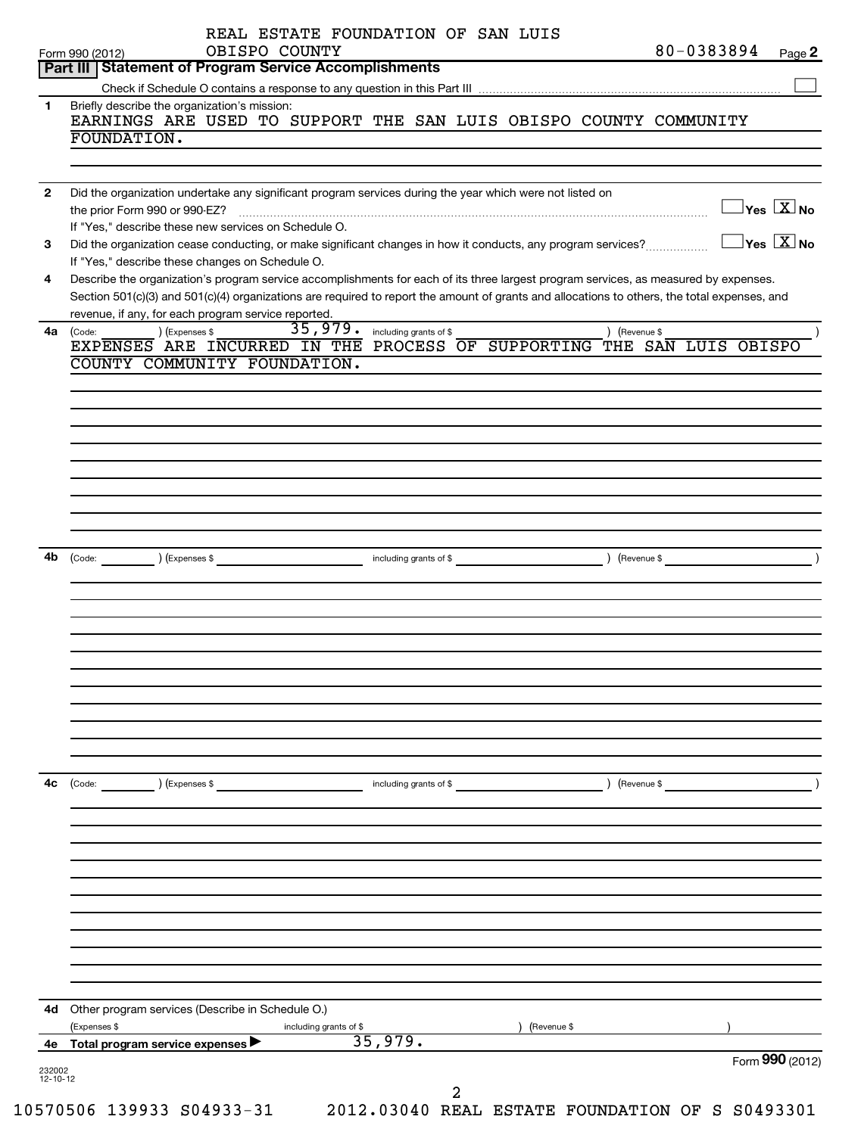|              | 80-0383894<br>OBISPO COUNTY<br>Form 990 (2012)                                                                                                          | Page 2 |
|--------------|---------------------------------------------------------------------------------------------------------------------------------------------------------|--------|
|              | Part III   Statement of Program Service Accomplishments                                                                                                 |        |
| 1            | Briefly describe the organization's mission:                                                                                                            |        |
|              | EARNINGS ARE USED TO SUPPORT THE SAN LUIS OBISPO COUNTY COMMUNITY                                                                                       |        |
|              | FOUNDATION.                                                                                                                                             |        |
|              |                                                                                                                                                         |        |
|              |                                                                                                                                                         |        |
| $\mathbf{2}$ | Did the organization undertake any significant program services during the year which were not listed on<br>$\Box$ Yes $[\overline{\mathrm{X}}]$ No     |        |
|              | If "Yes," describe these new services on Schedule O.                                                                                                    |        |
| 3            | $\Box$ Yes $[\overline{\mathrm{X}}]$ No<br>Did the organization cease conducting, or make significant changes in how it conducts, any program services? |        |
|              | If "Yes," describe these changes on Schedule O.                                                                                                         |        |
| 4            | Describe the organization's program service accomplishments for each of its three largest program services, as measured by expenses.                    |        |
|              | Section 501(c)(3) and 501(c)(4) organizations are required to report the amount of grants and allocations to others, the total expenses, and            |        |
|              | revenue, if any, for each program service reported.                                                                                                     |        |
| 4a           | 35, 979. including grants of \$<br>) (Expenses \$<br>) (Revenue \$<br>(Code:<br>EXPENSES ARE INCURRED IN THE PROCESS OF SUPPORTING THE SAN LUIS OBISPO  |        |
|              | COUNTY COMMUNITY FOUNDATION.                                                                                                                            |        |
|              |                                                                                                                                                         |        |
|              |                                                                                                                                                         |        |
|              |                                                                                                                                                         |        |
|              |                                                                                                                                                         |        |
|              |                                                                                                                                                         |        |
|              |                                                                                                                                                         |        |
|              |                                                                                                                                                         |        |
|              |                                                                                                                                                         |        |
|              |                                                                                                                                                         |        |
|              |                                                                                                                                                         |        |
| 4b           |                                                                                                                                                         |        |
|              |                                                                                                                                                         |        |
|              |                                                                                                                                                         |        |
|              |                                                                                                                                                         |        |
|              |                                                                                                                                                         |        |
|              |                                                                                                                                                         |        |
|              |                                                                                                                                                         |        |
|              |                                                                                                                                                         |        |
|              |                                                                                                                                                         |        |
|              |                                                                                                                                                         |        |
|              |                                                                                                                                                         |        |
| 4c           |                                                                                                                                                         |        |
|              | $\left(\text{Code:}\right)$<br>(Expenses \$<br>including grants of \$<br>) (Revenue \$                                                                  |        |
|              |                                                                                                                                                         |        |
|              |                                                                                                                                                         |        |
|              |                                                                                                                                                         |        |
|              |                                                                                                                                                         |        |
|              |                                                                                                                                                         |        |
|              |                                                                                                                                                         |        |
|              |                                                                                                                                                         |        |
|              |                                                                                                                                                         |        |
|              |                                                                                                                                                         |        |
|              |                                                                                                                                                         |        |
|              | 4d Other program services (Describe in Schedule O.)                                                                                                     |        |
|              | (Expenses \$<br>(Revenue \$<br>including grants of \$                                                                                                   |        |
|              | 35,979.<br>Total program service expenses                                                                                                               |        |
| 4е           |                                                                                                                                                         |        |
| 232002       | Form 990 (2012)                                                                                                                                         |        |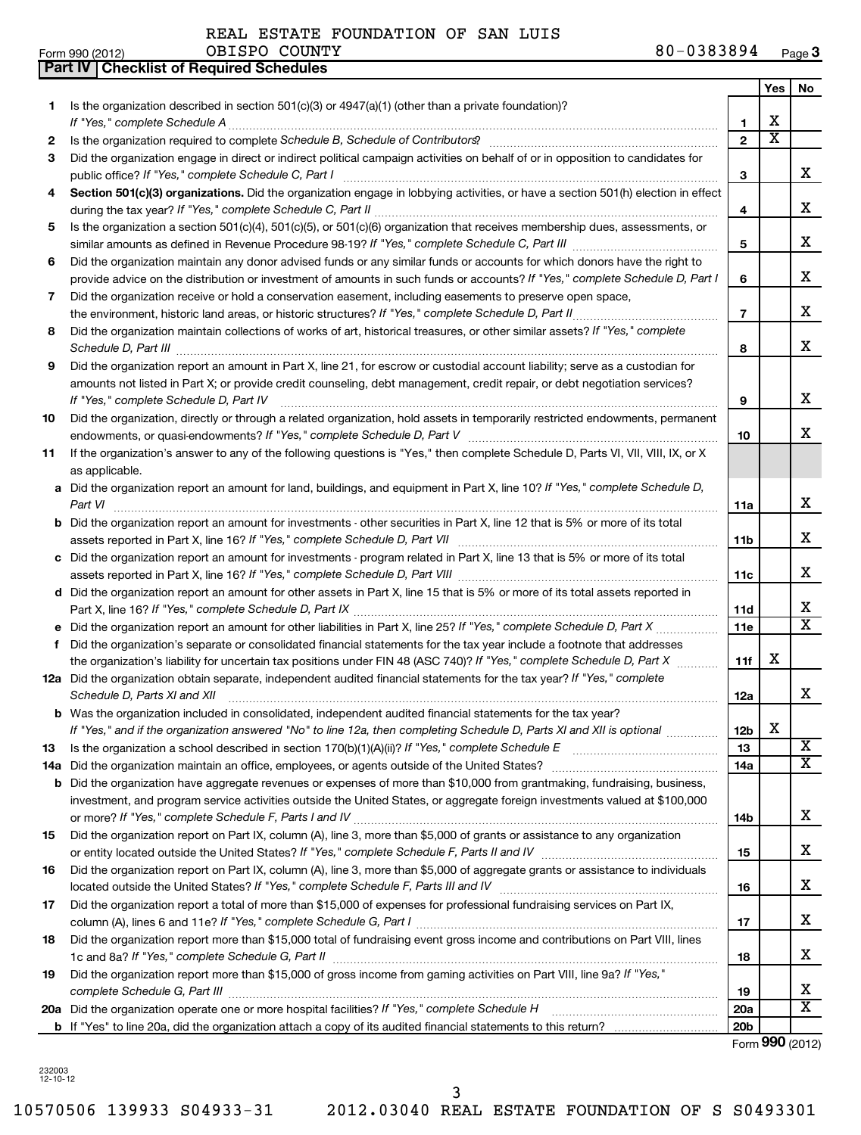**Part IV Checklist of Required Schedules**

REAL ESTATE FOUNDATION OF SAN LUIS

|     |                                                                                                                                                                                                                                                           |                       | <b>Yes</b>              | No                      |
|-----|-----------------------------------------------------------------------------------------------------------------------------------------------------------------------------------------------------------------------------------------------------------|-----------------------|-------------------------|-------------------------|
| 1   | Is the organization described in section $501(c)(3)$ or $4947(a)(1)$ (other than a private foundation)?                                                                                                                                                   |                       |                         |                         |
|     | If "Yes," complete Schedule A                                                                                                                                                                                                                             | 1                     | х                       |                         |
| 2   |                                                                                                                                                                                                                                                           | $\overline{2}$        | $\overline{\textbf{x}}$ |                         |
| З   | Did the organization engage in direct or indirect political campaign activities on behalf of or in opposition to candidates for<br>public office? If "Yes," complete Schedule C, Part I                                                                   | З                     |                         | x                       |
| 4   | Section 501(c)(3) organizations. Did the organization engage in lobbying activities, or have a section 501(h) election in effect                                                                                                                          |                       |                         | x                       |
|     | Is the organization a section 501(c)(4), 501(c)(5), or 501(c)(6) organization that receives membership dues, assessments, or                                                                                                                              | 4                     |                         |                         |
| 5   |                                                                                                                                                                                                                                                           | 5                     |                         | x                       |
| 6   | Did the organization maintain any donor advised funds or any similar funds or accounts for which donors have the right to<br>provide advice on the distribution or investment of amounts in such funds or accounts? If "Yes," complete Schedule D, Part I | 6                     |                         | x                       |
| 7   | Did the organization receive or hold a conservation easement, including easements to preserve open space,                                                                                                                                                 |                       |                         |                         |
|     | the environment, historic land areas, or historic structures? If "Yes," complete Schedule D, Part II<br>.                                                                                                                                                 | $\overline{7}$        |                         | x                       |
| 8   | Did the organization maintain collections of works of art, historical treasures, or other similar assets? If "Yes," complete<br>Schedule D, Part III                                                                                                      | 8                     |                         | x                       |
| 9   | Did the organization report an amount in Part X, line 21, for escrow or custodial account liability; serve as a custodian for                                                                                                                             |                       |                         |                         |
|     | amounts not listed in Part X; or provide credit counseling, debt management, credit repair, or debt negotiation services?<br>If "Yes," complete Schedule D, Part IV                                                                                       | 9                     |                         | x                       |
| 10  | Did the organization, directly or through a related organization, hold assets in temporarily restricted endowments, permanent                                                                                                                             |                       |                         |                         |
|     |                                                                                                                                                                                                                                                           | 10                    |                         | X.                      |
| 11  | If the organization's answer to any of the following questions is "Yes," then complete Schedule D, Parts VI, VII, VIII, IX, or X<br>as applicable.                                                                                                        |                       |                         |                         |
|     | a Did the organization report an amount for land, buildings, and equipment in Part X, line 10? If "Yes," complete Schedule D,                                                                                                                             |                       |                         |                         |
|     | Part VI                                                                                                                                                                                                                                                   | 11a                   |                         | x                       |
|     | <b>b</b> Did the organization report an amount for investments - other securities in Part X, line 12 that is 5% or more of its total<br>assets reported in Part X, line 16? If "Yes," complete Schedule D, Part VII [[[[[[[[[[[[[[[[[[[[[[[[[[[[[[]]]]    | 11b                   |                         | x                       |
|     | c Did the organization report an amount for investments - program related in Part X, line 13 that is 5% or more of its total                                                                                                                              |                       |                         |                         |
|     |                                                                                                                                                                                                                                                           | 11c                   |                         | x                       |
|     | d Did the organization report an amount for other assets in Part X, line 15 that is 5% or more of its total assets reported in                                                                                                                            |                       |                         |                         |
|     |                                                                                                                                                                                                                                                           | 11d                   |                         | x                       |
|     |                                                                                                                                                                                                                                                           | 11e                   |                         | $\overline{\mathtt{x}}$ |
| f   | Did the organization's separate or consolidated financial statements for the tax year include a footnote that addresses<br>the organization's liability for uncertain tax positions under FIN 48 (ASC 740)? If "Yes," complete Schedule D, Part X         | 11f                   | x                       |                         |
|     | 12a Did the organization obtain separate, independent audited financial statements for the tax year? If "Yes," complete                                                                                                                                   |                       |                         |                         |
|     | Schedule D, Parts XI and XII                                                                                                                                                                                                                              | 12a                   |                         | x                       |
|     | <b>b</b> Was the organization included in consolidated, independent audited financial statements for the tax year?<br>If "Yes," and if the organization answered "No" to line 12a, then completing Schedule D, Parts XI and XII is optional www.          |                       | X                       |                         |
| 13  |                                                                                                                                                                                                                                                           | 12 <sub>b</sub><br>13 |                         | $\overline{\text{X}}$   |
| 14a | Did the organization maintain an office, employees, or agents outside of the United States?                                                                                                                                                               | 14a                   |                         | $\overline{\textbf{X}}$ |
| b   | Did the organization have aggregate revenues or expenses of more than \$10,000 from grantmaking, fundraising, business,                                                                                                                                   |                       |                         |                         |
|     | investment, and program service activities outside the United States, or aggregate foreign investments valued at \$100,000                                                                                                                                |                       |                         |                         |
|     |                                                                                                                                                                                                                                                           | 14b                   |                         | x                       |
| 15  | Did the organization report on Part IX, column (A), line 3, more than \$5,000 of grants or assistance to any organization                                                                                                                                 |                       |                         |                         |
|     |                                                                                                                                                                                                                                                           | 15                    |                         | x                       |
| 16  | Did the organization report on Part IX, column (A), line 3, more than \$5,000 of aggregate grants or assistance to individuals                                                                                                                            |                       |                         |                         |
|     |                                                                                                                                                                                                                                                           | 16                    |                         | x                       |
| 17  | Did the organization report a total of more than \$15,000 of expenses for professional fundraising services on Part IX,                                                                                                                                   | 17                    |                         | x                       |
| 18  | Did the organization report more than \$15,000 total of fundraising event gross income and contributions on Part VIII, lines                                                                                                                              |                       |                         |                         |
|     |                                                                                                                                                                                                                                                           | 18                    |                         | x                       |
| 19  | Did the organization report more than \$15,000 of gross income from gaming activities on Part VIII, line 9a? If "Yes,"                                                                                                                                    | 19                    |                         | x                       |
|     | 20a Did the organization operate one or more hospital facilities? If "Yes," complete Schedule H                                                                                                                                                           | 20a                   |                         | $\overline{\text{X}}$   |
|     |                                                                                                                                                                                                                                                           | 20 <sub>b</sub>       |                         |                         |

Form (2012) **990**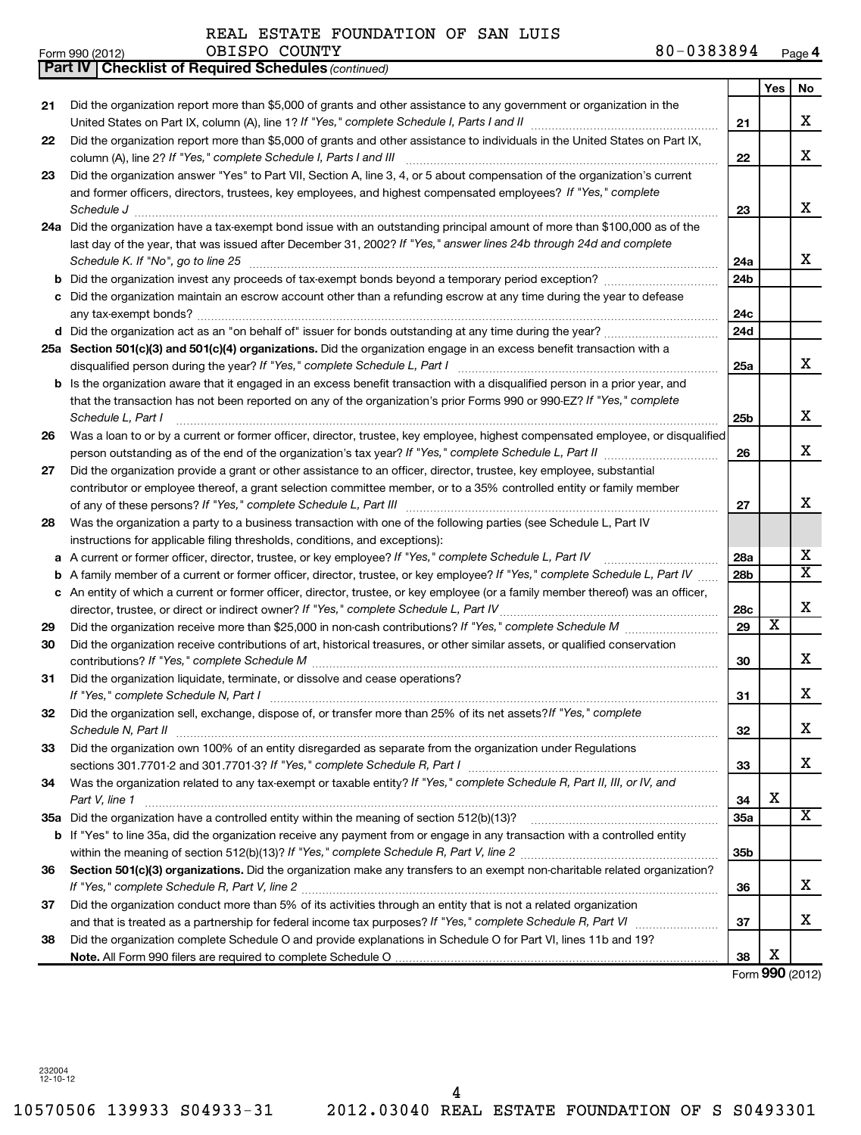|    | <b>Part IV   Checklist of Required Schedules (continued)</b>                                                                                                                                          |                 |                         |                         |  |  |  |
|----|-------------------------------------------------------------------------------------------------------------------------------------------------------------------------------------------------------|-----------------|-------------------------|-------------------------|--|--|--|
|    |                                                                                                                                                                                                       |                 | <b>Yes</b>              | No                      |  |  |  |
| 21 | Did the organization report more than \$5,000 of grants and other assistance to any government or organization in the                                                                                 |                 |                         |                         |  |  |  |
|    |                                                                                                                                                                                                       | 21              |                         | X                       |  |  |  |
| 22 | Did the organization report more than \$5,000 of grants and other assistance to individuals in the United States on Part IX,                                                                          |                 |                         |                         |  |  |  |
|    | column (A), line 2? If "Yes," complete Schedule I, Parts I and III                                                                                                                                    | 22              |                         | x                       |  |  |  |
| 23 | Did the organization answer "Yes" to Part VII, Section A, line 3, 4, or 5 about compensation of the organization's current                                                                            |                 |                         |                         |  |  |  |
|    |                                                                                                                                                                                                       |                 |                         |                         |  |  |  |
|    | and former officers, directors, trustees, key employees, and highest compensated employees? If "Yes," complete                                                                                        |                 |                         | x                       |  |  |  |
|    | Schedule J <b>Execute Schedule J Execute Schedule J</b>                                                                                                                                               | 23              |                         |                         |  |  |  |
|    | 24a Did the organization have a tax-exempt bond issue with an outstanding principal amount of more than \$100,000 as of the                                                                           |                 |                         |                         |  |  |  |
|    | last day of the year, that was issued after December 31, 2002? If "Yes," answer lines 24b through 24d and complete                                                                                    |                 |                         | x                       |  |  |  |
|    | Schedule K. If "No", go to line 25<br>24a                                                                                                                                                             |                 |                         |                         |  |  |  |
| b  |                                                                                                                                                                                                       | 24b             |                         |                         |  |  |  |
| С  | Did the organization maintain an escrow account other than a refunding escrow at any time during the year to defease                                                                                  |                 |                         |                         |  |  |  |
|    |                                                                                                                                                                                                       |                 |                         |                         |  |  |  |
|    |                                                                                                                                                                                                       | 24d             |                         |                         |  |  |  |
|    | 25a Section 501(c)(3) and 501(c)(4) organizations. Did the organization engage in an excess benefit transaction with a                                                                                |                 |                         |                         |  |  |  |
|    |                                                                                                                                                                                                       | 25a             |                         | x                       |  |  |  |
|    | <b>b</b> Is the organization aware that it engaged in an excess benefit transaction with a disqualified person in a prior year, and                                                                   |                 |                         |                         |  |  |  |
|    | that the transaction has not been reported on any of the organization's prior Forms 990 or 990-EZ? If "Yes," complete                                                                                 |                 |                         |                         |  |  |  |
|    | Schedule L, Part I                                                                                                                                                                                    | 25b             |                         | х                       |  |  |  |
| 26 | Was a loan to or by a current or former officer, director, trustee, key employee, highest compensated employee, or disqualified                                                                       |                 |                         |                         |  |  |  |
|    | person outstanding as of the end of the organization's tax year? If "Yes," complete Schedule L, Part II manufaction of the end of the organization's tax year? If "Yes," complete Schedule L, Part II |                 |                         |                         |  |  |  |
| 27 | Did the organization provide a grant or other assistance to an officer, director, trustee, key employee, substantial                                                                                  |                 |                         |                         |  |  |  |
|    | contributor or employee thereof, a grant selection committee member, or to a 35% controlled entity or family member                                                                                   |                 |                         |                         |  |  |  |
|    |                                                                                                                                                                                                       |                 |                         | х                       |  |  |  |
| 28 | Was the organization a party to a business transaction with one of the following parties (see Schedule L, Part IV                                                                                     |                 |                         |                         |  |  |  |
|    | instructions for applicable filing thresholds, conditions, and exceptions):                                                                                                                           |                 |                         |                         |  |  |  |
|    | A current or former officer, director, trustee, or key employee? If "Yes," complete Schedule L, Part IV                                                                                               | 28a             |                         | х                       |  |  |  |
| а  | A family member of a current or former officer, director, trustee, or key employee? If "Yes," complete Schedule L, Part IV                                                                            | 28 <sub>b</sub> |                         | $\overline{\textbf{x}}$ |  |  |  |
| b  |                                                                                                                                                                                                       |                 |                         |                         |  |  |  |
|    | c An entity of which a current or former officer, director, trustee, or key employee (or a family member thereof) was an officer,                                                                     |                 |                         | X                       |  |  |  |
|    | director, trustee, or direct or indirect owner? If "Yes," complete Schedule L, Part IV                                                                                                                | 28c             | $\overline{\textbf{x}}$ |                         |  |  |  |
| 29 |                                                                                                                                                                                                       | 29              |                         |                         |  |  |  |
| 30 | Did the organization receive contributions of art, historical treasures, or other similar assets, or qualified conservation                                                                           |                 |                         |                         |  |  |  |
|    |                                                                                                                                                                                                       | 30              |                         | x                       |  |  |  |
| 31 | Did the organization liquidate, terminate, or dissolve and cease operations?                                                                                                                          |                 |                         |                         |  |  |  |
|    |                                                                                                                                                                                                       | 31              |                         | x                       |  |  |  |
| 32 | Did the organization sell, exchange, dispose of, or transfer more than 25% of its net assets?/f "Yes," complete                                                                                       |                 |                         |                         |  |  |  |
|    | Schedule N, Part II                                                                                                                                                                                   | 32              |                         | x                       |  |  |  |
| 33 | Did the organization own 100% of an entity disregarded as separate from the organization under Regulations                                                                                            |                 |                         |                         |  |  |  |
|    |                                                                                                                                                                                                       | 33              |                         | x                       |  |  |  |
| 34 | Was the organization related to any tax-exempt or taxable entity? If "Yes," complete Schedule R, Part II, III, or IV, and                                                                             |                 |                         |                         |  |  |  |
|    | Part V, line 1                                                                                                                                                                                        | 34              | х                       |                         |  |  |  |
|    |                                                                                                                                                                                                       | 35a             |                         | $\overline{\textbf{x}}$ |  |  |  |
|    | b If "Yes" to line 35a, did the organization receive any payment from or engage in any transaction with a controlled entity                                                                           |                 |                         |                         |  |  |  |
|    |                                                                                                                                                                                                       | 35 <sub>b</sub> |                         |                         |  |  |  |
| 36 | Section 501(c)(3) organizations. Did the organization make any transfers to an exempt non-charitable related organization?                                                                            |                 |                         |                         |  |  |  |
|    |                                                                                                                                                                                                       | 36              |                         | x                       |  |  |  |
| 37 | Did the organization conduct more than 5% of its activities through an entity that is not a related organization                                                                                      |                 |                         |                         |  |  |  |
|    |                                                                                                                                                                                                       | 37              |                         | x                       |  |  |  |
| 38 | Did the organization complete Schedule O and provide explanations in Schedule O for Part VI, lines 11b and 19?                                                                                        |                 |                         |                         |  |  |  |
|    |                                                                                                                                                                                                       | 38              | х                       |                         |  |  |  |

Form (2012) **990**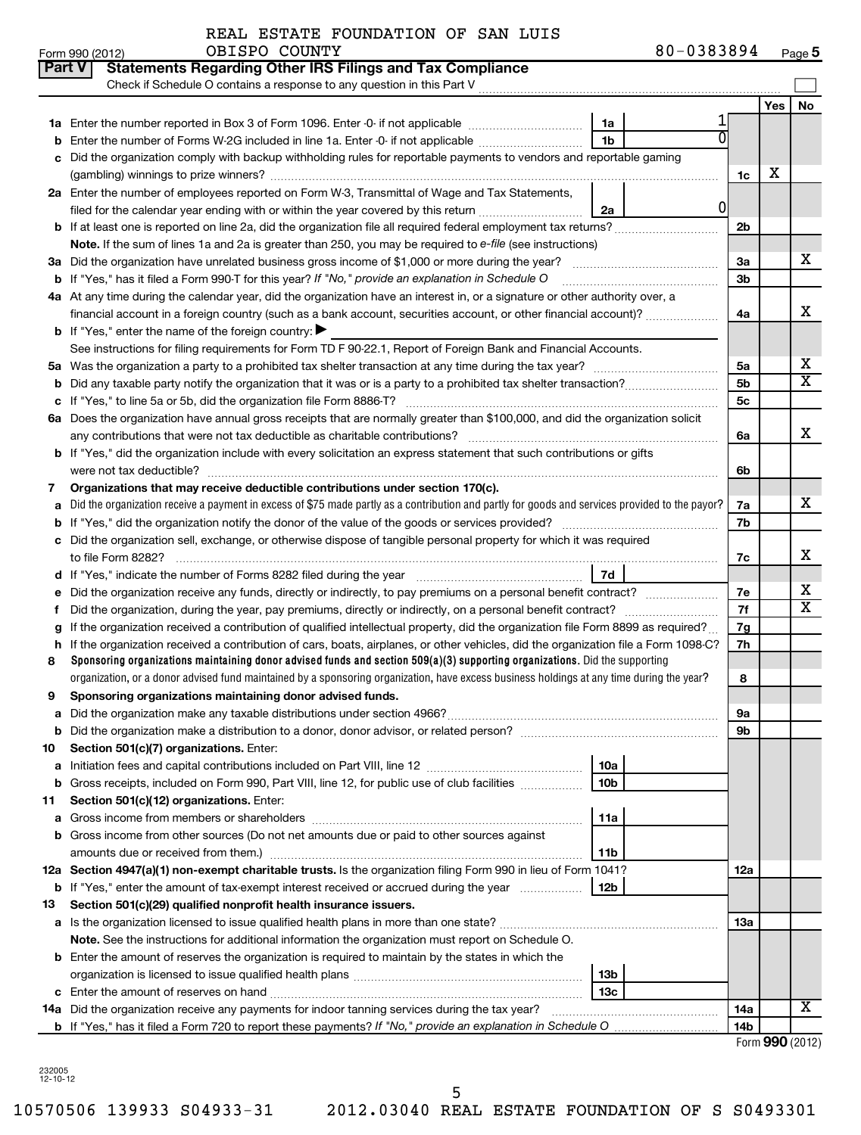|  |  |  | REAL ESTATE FOUNDATION OF SAN LUIS |  |  |  |
|--|--|--|------------------------------------|--|--|--|
|--|--|--|------------------------------------|--|--|--|

| <b>Part V</b> | <b>Statements Regarding Other IRS Filings and Tax Compliance</b><br>Check if Schedule O contains a response to any question in this Part V           |    |          |     |                         |  |  |  |  |
|---------------|------------------------------------------------------------------------------------------------------------------------------------------------------|----|----------|-----|-------------------------|--|--|--|--|
|               |                                                                                                                                                      |    |          | Yes | No                      |  |  |  |  |
|               | 1a                                                                                                                                                   |    |          |     |                         |  |  |  |  |
|               | 1 <sub>b</sub><br>Enter the number of Forms W-2G included in line 1a. Enter -0- if not applicable                                                    |    |          |     |                         |  |  |  |  |
| c             | Did the organization comply with backup withholding rules for reportable payments to vendors and reportable gaming                                   |    |          |     |                         |  |  |  |  |
|               |                                                                                                                                                      |    |          |     |                         |  |  |  |  |
|               | 2a Enter the number of employees reported on Form W-3, Transmittal of Wage and Tax Statements,                                                       |    |          |     |                         |  |  |  |  |
|               | filed for the calendar year ending with or within the year covered by this return<br>2a                                                              | 01 |          |     |                         |  |  |  |  |
|               |                                                                                                                                                      |    | 2b       |     |                         |  |  |  |  |
|               | Note. If the sum of lines 1a and 2a is greater than 250, you may be required to e-file (see instructions)                                            |    |          |     |                         |  |  |  |  |
|               |                                                                                                                                                      |    | За       |     | x                       |  |  |  |  |
|               | <b>b</b> If "Yes," has it filed a Form 990-T for this year? If "No," provide an explanation in Schedule O                                            |    |          |     |                         |  |  |  |  |
|               | 4a At any time during the calendar year, did the organization have an interest in, or a signature or other authority over, a                         |    |          |     |                         |  |  |  |  |
|               | financial account in a foreign country (such as a bank account, securities account, or other financial account)?                                     |    | 4a       |     | x                       |  |  |  |  |
|               | <b>b</b> If "Yes," enter the name of the foreign country:                                                                                            |    |          |     |                         |  |  |  |  |
|               | See instructions for filing requirements for Form TD F 90-22.1, Report of Foreign Bank and Financial Accounts.                                       |    |          |     |                         |  |  |  |  |
| 5а            |                                                                                                                                                      |    | 5а       |     | х                       |  |  |  |  |
| b             |                                                                                                                                                      |    | 5b       |     | $\overline{\textbf{X}}$ |  |  |  |  |
|               |                                                                                                                                                      |    | 5c       |     |                         |  |  |  |  |
|               | 6a Does the organization have annual gross receipts that are normally greater than \$100,000, and did the organization solicit                       |    |          |     |                         |  |  |  |  |
|               | any contributions that were not tax deductible as charitable contributions?                                                                          |    | 6a       |     | x                       |  |  |  |  |
|               | <b>b</b> If "Yes," did the organization include with every solicitation an express statement that such contributions or gifts                        |    |          |     |                         |  |  |  |  |
|               |                                                                                                                                                      |    | 6b       |     |                         |  |  |  |  |
| 7             | Organizations that may receive deductible contributions under section 170(c).                                                                        |    | 7a       |     | x                       |  |  |  |  |
|               | Did the organization receive a payment in excess of \$75 made partly as a contribution and partly for goods and services provided to the payor?<br>a |    |          |     |                         |  |  |  |  |
|               |                                                                                                                                                      |    |          |     |                         |  |  |  |  |
|               | Did the organization sell, exchange, or otherwise dispose of tangible personal property for which it was required<br>с                               |    |          |     |                         |  |  |  |  |
|               |                                                                                                                                                      |    |          |     |                         |  |  |  |  |
|               | 7d                                                                                                                                                   |    |          |     | х                       |  |  |  |  |
|               | Did the organization receive any funds, directly or indirectly, to pay premiums on a personal benefit contract?                                      |    | 7е<br>7f |     | $\overline{\text{X}}$   |  |  |  |  |
| f             | If the organization received a contribution of qualified intellectual property, did the organization file Form 8899 as required?                     |    |          |     |                         |  |  |  |  |
| h             | If the organization received a contribution of cars, boats, airplanes, or other vehicles, did the organization file a Form 1098-C?                   |    | 7g<br>7h |     |                         |  |  |  |  |
| 8             | Sponsoring organizations maintaining donor advised funds and section $509(a)(3)$ supporting organizations. Did the supporting                        |    |          |     |                         |  |  |  |  |
|               | organization, or a donor advised fund maintained by a sponsoring organization, have excess business holdings at any time during the year?            |    | 8        |     |                         |  |  |  |  |
| 9             |                                                                                                                                                      |    |          |     |                         |  |  |  |  |
|               | Sponsoring organizations maintaining donor advised funds.                                                                                            |    |          |     |                         |  |  |  |  |
|               | <b>b</b> Did the organization make a distribution to a donor, donor advisor, or related person?                                                      |    | υа<br>9b |     |                         |  |  |  |  |
| 10            | Section 501(c)(7) organizations. Enter:                                                                                                              |    |          |     |                         |  |  |  |  |
| а             | 10a                                                                                                                                                  |    |          |     |                         |  |  |  |  |
|               | 10 <sub>b</sub><br><b>b</b> Gross receipts, included on Form 990, Part VIII, line 12, for public use of club facilities <i>manumum</i>               |    |          |     |                         |  |  |  |  |
| 11            | Section 501(c)(12) organizations. Enter:                                                                                                             |    |          |     |                         |  |  |  |  |
| а             | 11a                                                                                                                                                  |    |          |     |                         |  |  |  |  |
|               | <b>b</b> Gross income from other sources (Do not net amounts due or paid to other sources against                                                    |    |          |     |                         |  |  |  |  |
|               | amounts due or received from them.)<br>11b                                                                                                           |    |          |     |                         |  |  |  |  |
|               | 12a Section 4947(a)(1) non-exempt charitable trusts. Is the organization filing Form 990 in lieu of Form 1041?                                       |    |          |     |                         |  |  |  |  |
|               | <b>b</b> If "Yes," enter the amount of tax-exempt interest received or accrued during the year<br>12b                                                |    |          |     |                         |  |  |  |  |
| 13            | Section 501(c)(29) qualified nonprofit health insurance issuers.                                                                                     |    |          |     |                         |  |  |  |  |
|               | a Is the organization licensed to issue qualified health plans in more than one state?                                                               |    | 13a      |     |                         |  |  |  |  |
|               | Note. See the instructions for additional information the organization must report on Schedule O.                                                    |    |          |     |                         |  |  |  |  |
|               | <b>b</b> Enter the amount of reserves the organization is required to maintain by the states in which the                                            |    |          |     |                         |  |  |  |  |
|               | 13b                                                                                                                                                  |    |          |     |                         |  |  |  |  |
|               | 13 <sub>c</sub>                                                                                                                                      |    |          |     |                         |  |  |  |  |
|               | 14a Did the organization receive any payments for indoor tanning services during the tax year?                                                       |    | 14a      |     | х                       |  |  |  |  |
|               | <b>b</b> If "Yes," has it filed a Form 720 to report these payments? If "No," provide an explanation in Schedule O                                   |    | 14b      |     |                         |  |  |  |  |

Form **990** (2012)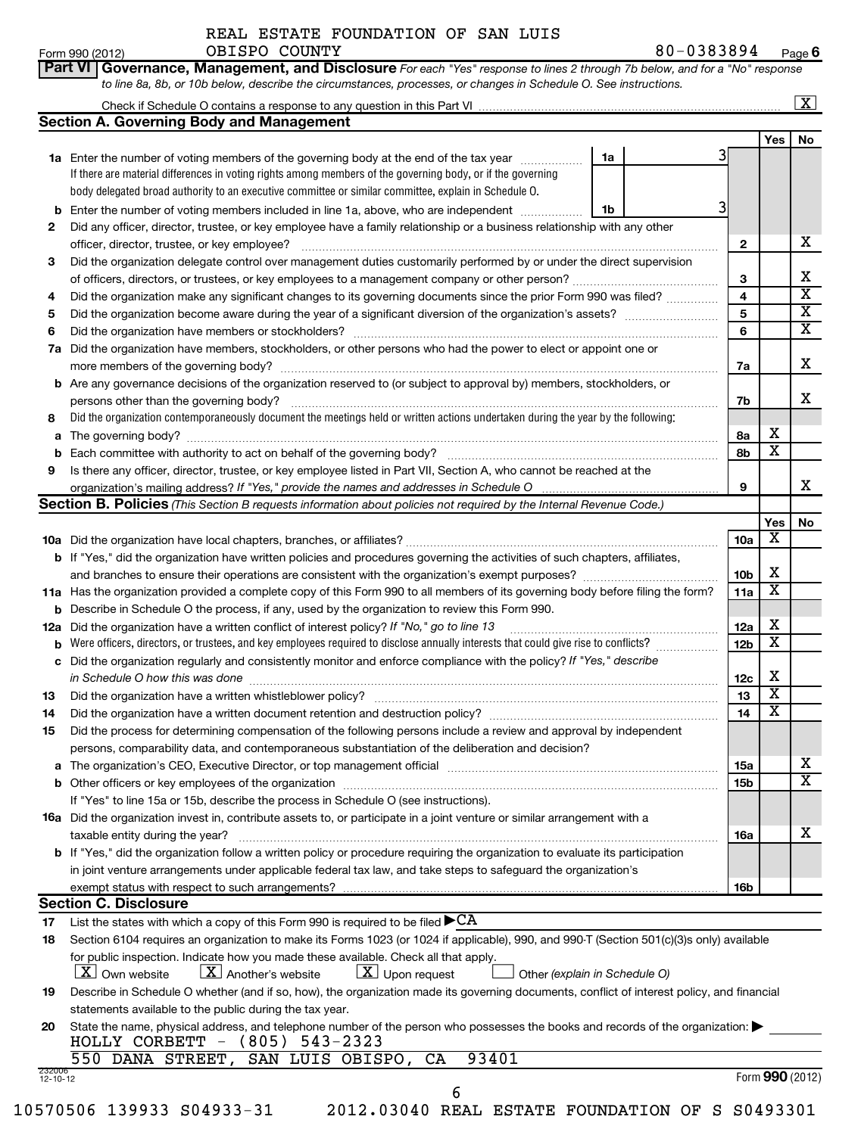**Part VI** Governance, Management, and Disclosure For each "Yes" response to lines 2 through 7b below, and for a "No" response *to line 8a, 8b, or 10b below, describe the circumstances, processes, or changes in Schedule O. See instructions.* Form 990 (2012)  $OBISPO$   $COUNTY$   $80-0383894$   $Page$ **6**

| to mic oa, ob, or Tob below, acsembe the circumstances, processes, or changes in ochealic O. Occ instructions. |  |
|----------------------------------------------------------------------------------------------------------------|--|
| Check if Schedule O contains a response to any question in this Part VI                                        |  |

 $\lfloor x \rfloor$ 

|                    | <b>Section A. Governing Body and Management</b>                                                                                                                           |    |  |                 |        |                              |  |  |  |  |
|--------------------|---------------------------------------------------------------------------------------------------------------------------------------------------------------------------|----|--|-----------------|--------|------------------------------|--|--|--|--|
|                    |                                                                                                                                                                           |    |  |                 | Yes    | No                           |  |  |  |  |
|                    | <b>1a</b> Enter the number of voting members of the governing body at the end of the tax year                                                                             | 1a |  | 3               |        |                              |  |  |  |  |
|                    | If there are material differences in voting rights among members of the governing body, or if the governing                                                               |    |  |                 |        |                              |  |  |  |  |
|                    | body delegated broad authority to an executive committee or similar committee, explain in Schedule O.                                                                     |    |  |                 |        |                              |  |  |  |  |
| b                  | Enter the number of voting members included in line 1a, above, who are independent                                                                                        | 1b |  | 3               |        |                              |  |  |  |  |
| 2                  | Did any officer, director, trustee, or key employee have a family relationship or a business relationship with any other                                                  |    |  |                 |        | x                            |  |  |  |  |
|                    | officer, director, trustee, or key employee?                                                                                                                              |    |  | 2               |        |                              |  |  |  |  |
| 3                  | Did the organization delegate control over management duties customarily performed by or under the direct supervision                                                     |    |  | 3               |        | х                            |  |  |  |  |
|                    | Did the organization make any significant changes to its governing documents since the prior Form 990 was filed?                                                          |    |  |                 |        |                              |  |  |  |  |
| 4                  | 5                                                                                                                                                                         |    |  |                 |        |                              |  |  |  |  |
|                    |                                                                                                                                                                           |    |  | 5<br>6          |        | $\overline{\mathbf{X}}$<br>X |  |  |  |  |
|                    | Did the organization have members or stockholders?<br>6<br>Did the organization have members, stockholders, or other persons who had the power to elect or appoint one or |    |  |                 |        |                              |  |  |  |  |
|                    | 7а                                                                                                                                                                        |    |  |                 |        |                              |  |  |  |  |
| b                  | Are any governance decisions of the organization reserved to (or subject to approval by) members, stockholders, or                                                        |    |  | 7a              |        | х                            |  |  |  |  |
|                    | persons other than the governing body?                                                                                                                                    |    |  | 7b              |        | x                            |  |  |  |  |
| 8                  | Did the organization contemporaneously document the meetings held or written actions undertaken during the year by the following:                                         |    |  |                 |        |                              |  |  |  |  |
| а                  |                                                                                                                                                                           |    |  | 8а              | х      |                              |  |  |  |  |
| b                  |                                                                                                                                                                           |    |  | 8b              | X      |                              |  |  |  |  |
| 9                  | Is there any officer, director, trustee, or key employee listed in Part VII, Section A, who cannot be reached at the                                                      |    |  |                 |        |                              |  |  |  |  |
|                    |                                                                                                                                                                           |    |  | 9               |        | x                            |  |  |  |  |
|                    | <b>Section B. Policies</b> (This Section B requests information about policies not required by the Internal Revenue Code.)                                                |    |  |                 |        |                              |  |  |  |  |
|                    |                                                                                                                                                                           |    |  |                 | Yes    | No                           |  |  |  |  |
|                    |                                                                                                                                                                           |    |  | 10a             | х      |                              |  |  |  |  |
|                    | <b>b</b> If "Yes," did the organization have written policies and procedures governing the activities of such chapters, affiliates,                                       |    |  |                 |        |                              |  |  |  |  |
|                    |                                                                                                                                                                           |    |  | 10 <sub>b</sub> | x      |                              |  |  |  |  |
|                    | 11a Has the organization provided a complete copy of this Form 990 to all members of its governing body before filing the form?                                           |    |  | 11a             | х      |                              |  |  |  |  |
| b                  | Describe in Schedule O the process, if any, used by the organization to review this Form 990.                                                                             |    |  |                 |        |                              |  |  |  |  |
| 12a                | Did the organization have a written conflict of interest policy? If "No," go to line 13                                                                                   |    |  | 12a             | х<br>х |                              |  |  |  |  |
| b                  | Were officers, directors, or trustees, and key employees required to disclose annually interests that could give rise to conflicts?                                       |    |  |                 |        |                              |  |  |  |  |
| c                  | Did the organization regularly and consistently monitor and enforce compliance with the policy? If "Yes," describe                                                        |    |  |                 |        |                              |  |  |  |  |
|                    | in Schedule O how this was done                                                                                                                                           |    |  | 12c             | х      |                              |  |  |  |  |
| 13                 |                                                                                                                                                                           |    |  | 13              | х      |                              |  |  |  |  |
| 14                 |                                                                                                                                                                           |    |  | 14              | х      |                              |  |  |  |  |
| 15                 | Did the process for determining compensation of the following persons include a review and approval by independent                                                        |    |  |                 |        |                              |  |  |  |  |
|                    | persons, comparability data, and contemporaneous substantiation of the deliberation and decision?                                                                         |    |  |                 |        |                              |  |  |  |  |
|                    |                                                                                                                                                                           |    |  | 15a             |        | X<br>$\overline{\text{x}}$   |  |  |  |  |
|                    |                                                                                                                                                                           |    |  | 15 <sub>b</sub> |        |                              |  |  |  |  |
|                    | If "Yes" to line 15a or 15b, describe the process in Schedule O (see instructions).                                                                                       |    |  |                 |        |                              |  |  |  |  |
|                    | <b>16a</b> Did the organization invest in, contribute assets to, or participate in a joint venture or similar arrangement with a                                          |    |  |                 |        | х                            |  |  |  |  |
|                    | taxable entity during the year?<br>b If "Yes," did the organization follow a written policy or procedure requiring the organization to evaluate its participation         |    |  | 16a             |        |                              |  |  |  |  |
|                    | in joint venture arrangements under applicable federal tax law, and take steps to safeguard the organization's                                                            |    |  |                 |        |                              |  |  |  |  |
|                    | exempt status with respect to such arrangements?                                                                                                                          |    |  | 16b             |        |                              |  |  |  |  |
|                    | <b>Section C. Disclosure</b>                                                                                                                                              |    |  |                 |        |                              |  |  |  |  |
| 17                 | List the states with which a copy of this Form 990 is required to be filed $\blacktriangleright$ CA                                                                       |    |  |                 |        |                              |  |  |  |  |
| 18                 | Section 6104 requires an organization to make its Forms 1023 (or 1024 if applicable), 990, and 990-T (Section 501(c)(3)s only) available                                  |    |  |                 |        |                              |  |  |  |  |
|                    | for public inspection. Indicate how you made these available. Check all that apply.                                                                                       |    |  |                 |        |                              |  |  |  |  |
|                    | $\lfloor x \rfloor$ Another's website<br>$\lfloor \underline{X} \rfloor$ Upon request<br>$ \underline{X} $ Own website<br>Other (explain in Schedule O)                   |    |  |                 |        |                              |  |  |  |  |
| 19                 | Describe in Schedule O whether (and if so, how), the organization made its governing documents, conflict of interest policy, and financial                                |    |  |                 |        |                              |  |  |  |  |
|                    | statements available to the public during the tax year.                                                                                                                   |    |  |                 |        |                              |  |  |  |  |
| 20                 | State the name, physical address, and telephone number of the person who possesses the books and records of the organization:                                             |    |  |                 |        |                              |  |  |  |  |
|                    | $HOLLY$ CORBETT - $(805)$ 543-2323                                                                                                                                        |    |  |                 |        |                              |  |  |  |  |
|                    | 93401<br>550 DANA STREET,<br>SAN LUIS OBISPO,<br>CA                                                                                                                       |    |  |                 |        |                              |  |  |  |  |
| 232006<br>12-10-12 |                                                                                                                                                                           |    |  |                 |        | Form 990 (2012)              |  |  |  |  |
|                    | 6                                                                                                                                                                         |    |  |                 |        |                              |  |  |  |  |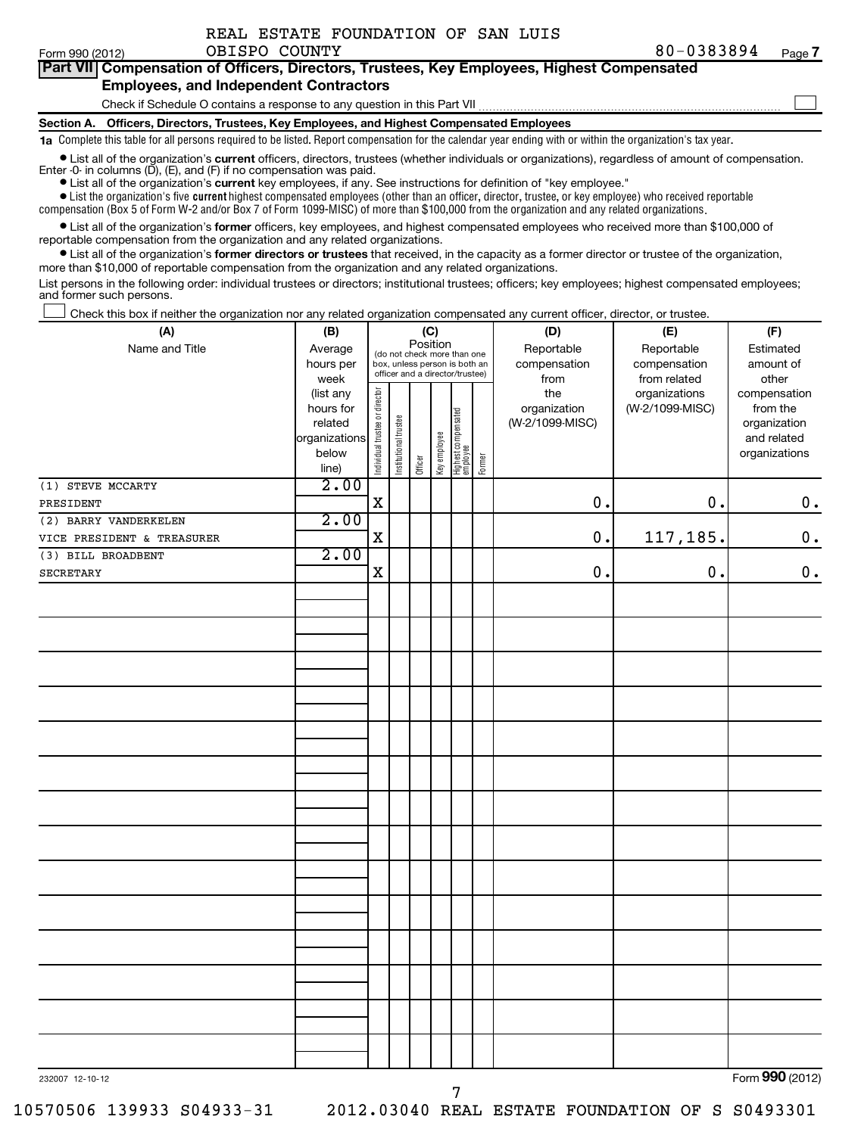$\sim$ 

| Part VII Compensation of Officers, Directors, Trustees, Key Employees, Highest Compensated |
|--------------------------------------------------------------------------------------------|
| <b>Employees, and Independent Contractors</b>                                              |

Check if Schedule O contains a response to any question in this Part VII

**Section A. Officers, Directors, Trustees, Key Employees, and Highest Compensated Employees**

**1a**  Complete this table for all persons required to be listed. Report compensation for the calendar year ending with or within the organization's tax year.

• List all of the organization's current officers, directors, trustees (whether individuals or organizations), regardless of amount of compensation. Enter -0- in columns  $(D)$ ,  $(E)$ , and  $(F)$  if no compensation was paid.

**•** List all of the organization's **current** key employees, if any. See instructions for definition of "key employee."

 $\bullet$  List the organization's five  $\tt current$  highest compensated employees (other than an officer, director, trustee, or key employee) who received reportable

compensation (Box 5 of Form W-2 and/or Box 7 of Form 1099-MISC) of more than \$100,000 from the organization and any related organizations .

 $\bullet$  List all of the organization's former officers, key employees, and highest compensated employees who received more than \$100,000 of reportable compensation from the organization and any related organizations.

**•** List all of the organization's former directors or trustees that received, in the capacity as a former director or trustee of the organization, more than \$10,000 of reportable compensation from the organization and any related organizations.

List persons in the following order: individual trustees or directors; institutional trustees; officers; key employees; highest compensated employees; and former such persons.

Check this box if neither the organization nor any related organization compensated any current officer, director, or trustee.  $\left\vert \cdot\right\vert$ 

| (A)                        | (B)                                                                          |                                                                                                                                                                |                       |         |              |                                   |        | (D)                                            | (E)                                              | (F)                                                                               |
|----------------------------|------------------------------------------------------------------------------|----------------------------------------------------------------------------------------------------------------------------------------------------------------|-----------------------|---------|--------------|-----------------------------------|--------|------------------------------------------------|--------------------------------------------------|-----------------------------------------------------------------------------------|
| Name and Title             | Average<br>hours per                                                         | (C)<br>Position<br>Reportable<br>Reportable<br>(do not check more than one<br>compensation<br>box, unless person is both an<br>officer and a director/trustee) |                       |         |              |                                   |        |                                                | compensation                                     | Estimated<br>amount of                                                            |
|                            | week<br>(list any<br>hours for<br>related<br>organizations<br>below<br>line) | Individual trustee or director                                                                                                                                 | Institutional trustee | Officer | Key employee | Highest compensated<br>  employee | Former | from<br>the<br>organization<br>(W-2/1099-MISC) | from related<br>organizations<br>(W-2/1099-MISC) | other<br>compensation<br>from the<br>organization<br>and related<br>organizations |
| (1) STEVE MCCARTY          | 2.00                                                                         |                                                                                                                                                                |                       |         |              |                                   |        |                                                |                                                  |                                                                                   |
| PRESIDENT                  |                                                                              | X                                                                                                                                                              |                       |         |              |                                   |        | 0.                                             | $\mathbf 0$ .                                    | $0\cdot$                                                                          |
| (2) BARRY VANDERKELEN      | 2.00                                                                         |                                                                                                                                                                |                       |         |              |                                   |        |                                                |                                                  |                                                                                   |
| VICE PRESIDENT & TREASURER |                                                                              | $\mathbf X$                                                                                                                                                    |                       |         |              |                                   |        | 0.                                             | 117,185.                                         | $\mathbf 0$ .                                                                     |
| (3) BILL BROADBENT         | 2.00                                                                         |                                                                                                                                                                |                       |         |              |                                   |        |                                                |                                                  |                                                                                   |
| <b>SECRETARY</b>           |                                                                              | $\mathbf X$                                                                                                                                                    |                       |         |              |                                   |        | 0.                                             | $\mathbf 0$ .                                    | $\mathbf 0$ .                                                                     |
|                            |                                                                              |                                                                                                                                                                |                       |         |              |                                   |        |                                                |                                                  |                                                                                   |
|                            |                                                                              |                                                                                                                                                                |                       |         |              |                                   |        |                                                |                                                  |                                                                                   |
|                            |                                                                              |                                                                                                                                                                |                       |         |              |                                   |        |                                                |                                                  |                                                                                   |
|                            |                                                                              |                                                                                                                                                                |                       |         |              |                                   |        |                                                |                                                  |                                                                                   |
|                            |                                                                              |                                                                                                                                                                |                       |         |              |                                   |        |                                                |                                                  |                                                                                   |
|                            |                                                                              |                                                                                                                                                                |                       |         |              |                                   |        |                                                |                                                  |                                                                                   |
|                            |                                                                              |                                                                                                                                                                |                       |         |              |                                   |        |                                                |                                                  |                                                                                   |
|                            |                                                                              |                                                                                                                                                                |                       |         |              |                                   |        |                                                |                                                  |                                                                                   |
|                            |                                                                              |                                                                                                                                                                |                       |         |              |                                   |        |                                                |                                                  |                                                                                   |
|                            |                                                                              |                                                                                                                                                                |                       |         |              |                                   |        |                                                |                                                  |                                                                                   |
|                            |                                                                              |                                                                                                                                                                |                       |         |              |                                   |        |                                                |                                                  |                                                                                   |
|                            |                                                                              |                                                                                                                                                                |                       |         |              |                                   |        |                                                |                                                  |                                                                                   |
|                            |                                                                              |                                                                                                                                                                |                       |         |              |                                   |        |                                                |                                                  |                                                                                   |
|                            |                                                                              |                                                                                                                                                                |                       |         |              |                                   |        |                                                |                                                  |                                                                                   |
|                            |                                                                              |                                                                                                                                                                |                       |         |              |                                   |        |                                                |                                                  |                                                                                   |
|                            |                                                                              |                                                                                                                                                                |                       |         |              |                                   |        |                                                |                                                  |                                                                                   |
|                            |                                                                              |                                                                                                                                                                |                       |         |              |                                   |        |                                                |                                                  |                                                                                   |
| 232007 12-10-12            |                                                                              |                                                                                                                                                                |                       |         |              |                                   |        |                                                |                                                  | Form 990 (2012)                                                                   |

7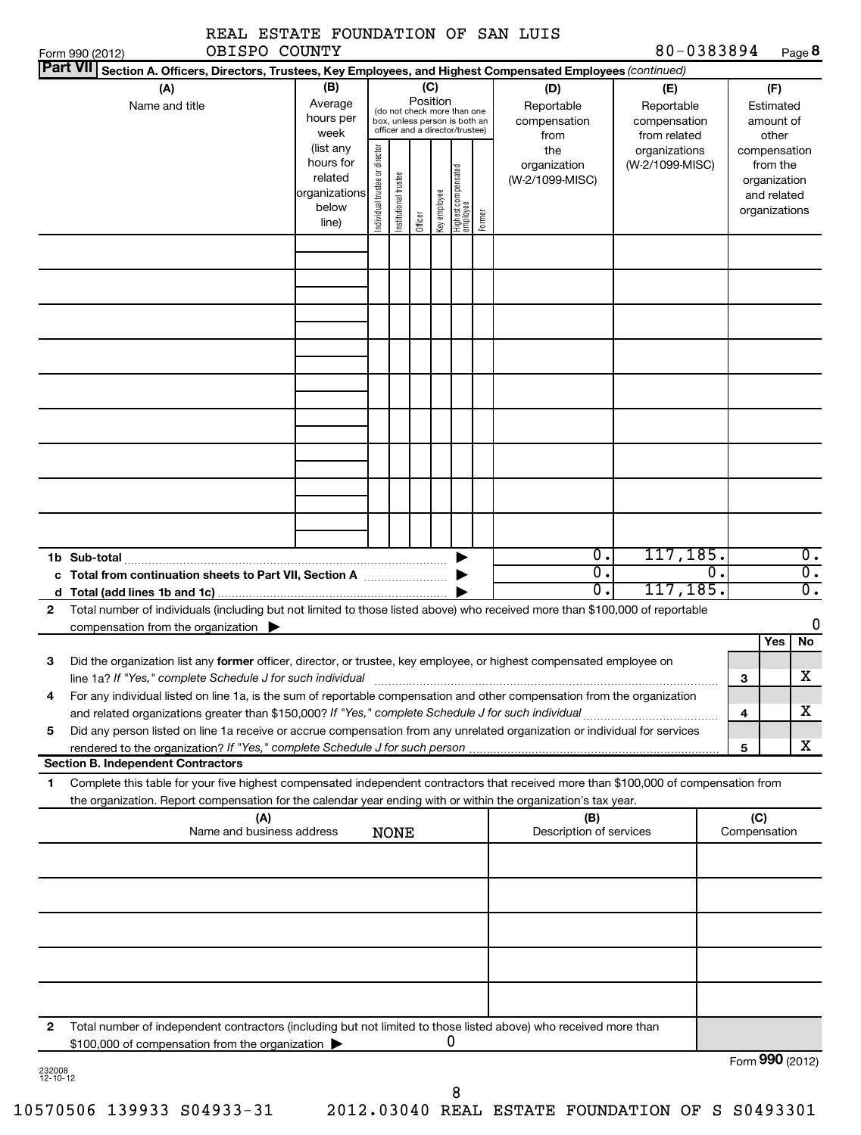|                 | OBISPO COUNTY<br>Form 990 (2012)                                                                                                                                                                                                                                                                                                                                                                                      | EUIAIE IOUNDAIION                                                                                           |                                |                       |                     |                     |                                                                                                                                     |        |                                                                                     | 80-0383894                                                                            |                     |                                                                                                                    | Page 8                      |
|-----------------|-----------------------------------------------------------------------------------------------------------------------------------------------------------------------------------------------------------------------------------------------------------------------------------------------------------------------------------------------------------------------------------------------------------------------|-------------------------------------------------------------------------------------------------------------|--------------------------------|-----------------------|---------------------|---------------------|-------------------------------------------------------------------------------------------------------------------------------------|--------|-------------------------------------------------------------------------------------|---------------------------------------------------------------------------------------|---------------------|--------------------------------------------------------------------------------------------------------------------|-----------------------------|
| <b>Part VII</b> | Section A. Officers, Directors, Trustees, Key Employees, and Highest Compensated Employees (continued)                                                                                                                                                                                                                                                                                                                |                                                                                                             |                                |                       |                     |                     |                                                                                                                                     |        |                                                                                     |                                                                                       |                     |                                                                                                                    |                             |
|                 | (A)<br>Name and title                                                                                                                                                                                                                                                                                                                                                                                                 | (B)<br>Average<br>hours per<br>week<br>(list any<br>hours for<br>related<br>organizations<br>below<br>line) | Individual trustee or director | Institutional trustee | Position<br>Officer | (C)<br>Key employee | (do not check more than one<br>box, unless person is both an<br>officer and a director/trustee)<br>Highest compensated<br> employee | Former | (D)<br>Reportable<br>compensation<br>from<br>the<br>organization<br>(W-2/1099-MISC) | (E)<br>Reportable<br>compensation<br>from related<br>organizations<br>(W-2/1099-MISC) |                     | (F)<br>Estimated<br>amount of<br>other<br>compensation<br>from the<br>organization<br>and related<br>organizations |                             |
|                 |                                                                                                                                                                                                                                                                                                                                                                                                                       |                                                                                                             |                                |                       |                     |                     |                                                                                                                                     |        |                                                                                     |                                                                                       |                     |                                                                                                                    |                             |
|                 | 1b Sub-total                                                                                                                                                                                                                                                                                                                                                                                                          |                                                                                                             |                                |                       |                     |                     |                                                                                                                                     |        | $\overline{0}$ .                                                                    | 117,185.                                                                              |                     |                                                                                                                    | $0$ .                       |
|                 | Total from continuation sheets to Part VII, Section A                                                                                                                                                                                                                                                                                                                                                                 |                                                                                                             |                                |                       |                     |                     |                                                                                                                                     |        | $\overline{0}$ .                                                                    |                                                                                       | 0.                  |                                                                                                                    | $\overline{\mathfrak{o}}$ . |
|                 |                                                                                                                                                                                                                                                                                                                                                                                                                       |                                                                                                             |                                |                       |                     |                     |                                                                                                                                     |        | σ.                                                                                  | 117, 185.                                                                             |                     |                                                                                                                    | σ.                          |
| 2               | Total number of individuals (including but not limited to those listed above) who received more than \$100,000 of reportable<br>compensation from the organization                                                                                                                                                                                                                                                    |                                                                                                             |                                |                       |                     |                     |                                                                                                                                     |        |                                                                                     |                                                                                       |                     |                                                                                                                    | 0                           |
| З<br>4          | Did the organization list any former officer, director, or trustee, key employee, or highest compensated employee on<br>line 1a? If "Yes," complete Schedule J for such individual<br>For any individual listed on line 1a, is the sum of reportable compensation and other compensation from the organization<br>and related organizations greater than \$150,000? If "Yes," complete Schedule J for such individual |                                                                                                             |                                |                       |                     |                     |                                                                                                                                     |        |                                                                                     |                                                                                       | 3<br>4              | <b>Yes</b>                                                                                                         | No<br>х<br>x                |
| 5               | Did any person listed on line 1a receive or accrue compensation from any unrelated organization or individual for services                                                                                                                                                                                                                                                                                            |                                                                                                             |                                |                       |                     |                     |                                                                                                                                     |        |                                                                                     |                                                                                       |                     |                                                                                                                    | x                           |
|                 | rendered to the organization? If "Yes," complete Schedule J for such person<br><b>Section B. Independent Contractors</b>                                                                                                                                                                                                                                                                                              |                                                                                                             |                                |                       |                     |                     |                                                                                                                                     |        |                                                                                     |                                                                                       | 5                   |                                                                                                                    |                             |
| 1               | Complete this table for your five highest compensated independent contractors that received more than \$100,000 of compensation from<br>the organization. Report compensation for the calendar year ending with or within the organization's tax year.                                                                                                                                                                |                                                                                                             |                                |                       |                     |                     |                                                                                                                                     |        |                                                                                     |                                                                                       |                     |                                                                                                                    |                             |
|                 | (B)<br>(A)<br>Name and business address<br>Description of services<br><b>NONE</b>                                                                                                                                                                                                                                                                                                                                     |                                                                                                             |                                |                       |                     |                     |                                                                                                                                     |        |                                                                                     |                                                                                       | (C)<br>Compensation |                                                                                                                    |                             |
|                 |                                                                                                                                                                                                                                                                                                                                                                                                                       |                                                                                                             |                                |                       |                     |                     |                                                                                                                                     |        |                                                                                     |                                                                                       |                     |                                                                                                                    |                             |
|                 |                                                                                                                                                                                                                                                                                                                                                                                                                       |                                                                                                             |                                |                       |                     |                     |                                                                                                                                     |        |                                                                                     |                                                                                       |                     |                                                                                                                    |                             |
|                 |                                                                                                                                                                                                                                                                                                                                                                                                                       |                                                                                                             |                                |                       |                     |                     |                                                                                                                                     |        |                                                                                     |                                                                                       |                     |                                                                                                                    |                             |

**2** Total number of independent contractors (including but not limited to those listed above) who received more than \$100,000 of compensation from the organization 0

Form (2012) **990**

232008 12-10-12

8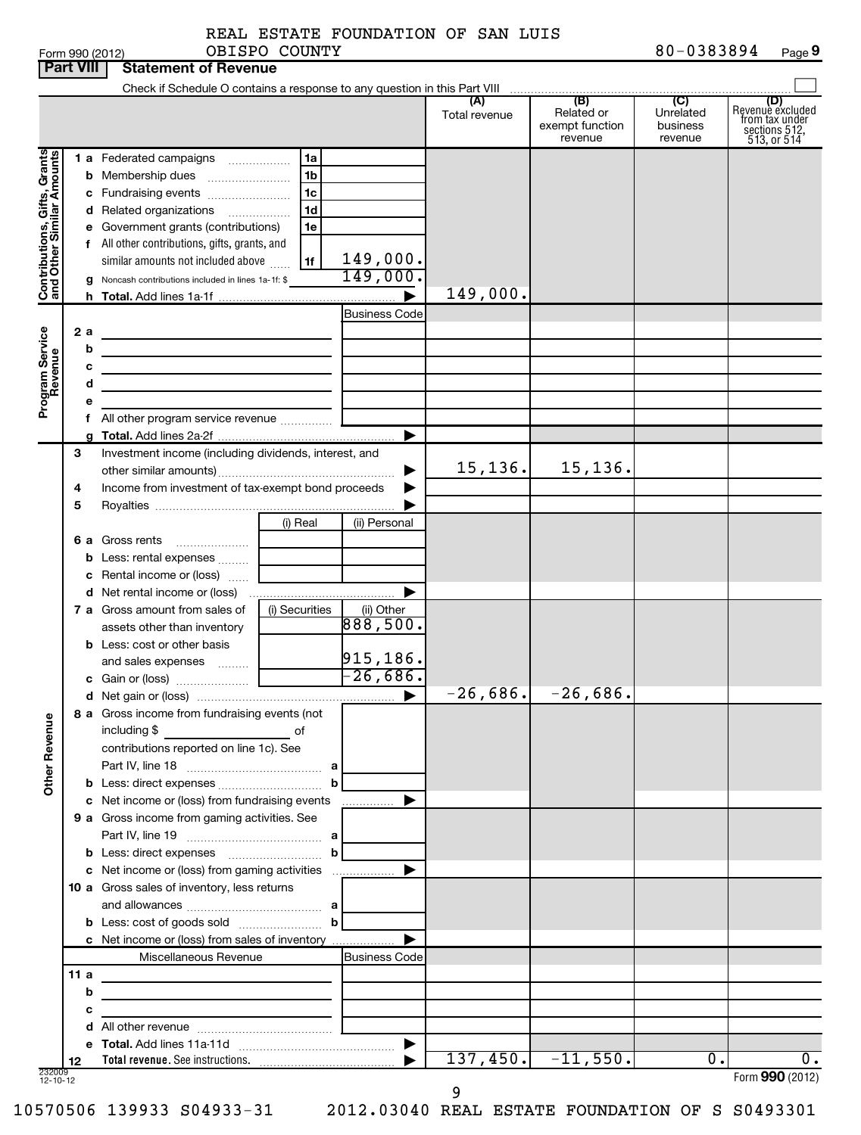|  | -nrm 990 (2012) |  |
|--|-----------------|--|

| Form 990 (2012) | <b>COUNTY</b><br>OBISPC | 1383894<br>n n<br>n<br>$\alpha U$ =<br>. | $\overline{\phantom{a}}$<br>$P$ age $\zeta$ |
|-----------------|-------------------------|------------------------------------------|---------------------------------------------|
|-----------------|-------------------------|------------------------------------------|---------------------------------------------|

|                                                           | <b>Part VIII</b> |   | <b>Statement of Revenue</b>                                                               |                |                        |               |                                                                                        |                                                    |                                                                           |
|-----------------------------------------------------------|------------------|---|-------------------------------------------------------------------------------------------|----------------|------------------------|---------------|----------------------------------------------------------------------------------------|----------------------------------------------------|---------------------------------------------------------------------------|
|                                                           |                  |   | Check if Schedule O contains a response to any question in this Part VIII                 |                |                        |               | $\begin{array}{c c c c c c} \hline & & \text{(B)} & & \text{(C)} \\\hline \end{array}$ |                                                    |                                                                           |
|                                                           |                  |   |                                                                                           |                |                        | Total revenue | Related or<br>exempt function<br>revenue                                               | $\overline{C}$<br>Unrelated<br>business<br>revenue | (D)<br>Revenue excluded<br>from tax under<br>sections 512,<br>513, or 514 |
|                                                           |                  |   | 1 a Federated campaigns                                                                   | 1a             |                        |               |                                                                                        |                                                    |                                                                           |
| Contributions, Gifts, Grants<br>and Other Similar Amounts |                  |   |                                                                                           | 1 <sub>b</sub> |                        |               |                                                                                        |                                                    |                                                                           |
|                                                           |                  |   | c Fundraising events                                                                      | 1 <sub>c</sub> |                        |               |                                                                                        |                                                    |                                                                           |
|                                                           |                  |   | d Related organizations                                                                   | 1 <sub>d</sub> |                        |               |                                                                                        |                                                    |                                                                           |
|                                                           |                  |   | e Government grants (contributions)                                                       | 1e             |                        |               |                                                                                        |                                                    |                                                                           |
|                                                           |                  |   | f All other contributions, gifts, grants, and                                             |                |                        |               |                                                                                        |                                                    |                                                                           |
|                                                           |                  |   | similar amounts not included above                                                        | 1f             | 149,000.               |               |                                                                                        |                                                    |                                                                           |
|                                                           |                  |   | Noncash contributions included in lines 1a-1f: \$                                         |                | 149,000.               |               |                                                                                        |                                                    |                                                                           |
|                                                           |                  |   |                                                                                           |                |                        | 149,000.      |                                                                                        |                                                    |                                                                           |
|                                                           |                  |   |                                                                                           |                | <b>Business Code</b>   |               |                                                                                        |                                                    |                                                                           |
|                                                           | 2a               |   |                                                                                           |                |                        |               |                                                                                        |                                                    |                                                                           |
|                                                           |                  | b | <u> 1989 - Johann Barbara, martxa alemaniar a</u>                                         |                |                        |               |                                                                                        |                                                    |                                                                           |
|                                                           |                  |   | <u> 1989 - Johann John Stein, mars an deus Amerikaansk kommunister (</u>                  |                |                        |               |                                                                                        |                                                    |                                                                           |
|                                                           |                  | d | the contract of the contract of the contract of the contract of the contract of           |                |                        |               |                                                                                        |                                                    |                                                                           |
| Program Service<br>Revenue                                |                  |   |                                                                                           |                |                        |               |                                                                                        |                                                    |                                                                           |
|                                                           |                  |   | f All other program service revenue  [                                                    |                |                        |               |                                                                                        |                                                    |                                                                           |
|                                                           |                  |   |                                                                                           |                | ▶                      |               |                                                                                        |                                                    |                                                                           |
|                                                           | З                |   | Investment income (including dividends, interest, and                                     |                |                        |               | 15, 136.                                                                               |                                                    |                                                                           |
|                                                           |                  |   |                                                                                           |                | ▶                      | 15, 136.      |                                                                                        |                                                    |                                                                           |
|                                                           | 4                |   | Income from investment of tax-exempt bond proceeds                                        |                |                        |               |                                                                                        |                                                    |                                                                           |
|                                                           | 5                |   |                                                                                           |                |                        |               |                                                                                        |                                                    |                                                                           |
|                                                           |                  |   |                                                                                           | (i) Real       | (ii) Personal          |               |                                                                                        |                                                    |                                                                           |
|                                                           |                  |   | 6 a Gross rents                                                                           |                |                        |               |                                                                                        |                                                    |                                                                           |
|                                                           |                  |   | b Less: rental expenses                                                                   |                |                        |               |                                                                                        |                                                    |                                                                           |
|                                                           |                  |   | c Rental income or (loss)                                                                 |                | ▶                      |               |                                                                                        |                                                    |                                                                           |
|                                                           |                  |   | 7 a Gross amount from sales of                                                            |                |                        |               |                                                                                        |                                                    |                                                                           |
|                                                           |                  |   | assets other than inventory                                                               | (i) Securities | (ii) Other<br>888,500. |               |                                                                                        |                                                    |                                                                           |
|                                                           |                  |   | <b>b</b> Less: cost or other basis                                                        |                |                        |               |                                                                                        |                                                    |                                                                           |
|                                                           |                  |   | and sales expenses                                                                        |                | 915, 186.              |               |                                                                                        |                                                    |                                                                           |
|                                                           |                  |   |                                                                                           |                | $-26,686.$             |               |                                                                                        |                                                    |                                                                           |
|                                                           |                  |   |                                                                                           |                | $\blacktriangleright$  |               | $-26,686.$ $-26,686.$                                                                  |                                                    |                                                                           |
|                                                           |                  |   | 8 a Gross income from fundraising events (not                                             |                |                        |               |                                                                                        |                                                    |                                                                           |
|                                                           |                  |   | including \$<br><u>of</u> of                                                              |                |                        |               |                                                                                        |                                                    |                                                                           |
|                                                           |                  |   | contributions reported on line 1c). See                                                   |                |                        |               |                                                                                        |                                                    |                                                                           |
|                                                           |                  |   |                                                                                           |                |                        |               |                                                                                        |                                                    |                                                                           |
| <b>Other Revenue</b>                                      |                  |   |                                                                                           | b              |                        |               |                                                                                        |                                                    |                                                                           |
|                                                           |                  |   | c Net income or (loss) from fundraising events                                            |                | ▶<br>.                 |               |                                                                                        |                                                    |                                                                           |
|                                                           |                  |   | 9 a Gross income from gaming activities. See                                              |                |                        |               |                                                                                        |                                                    |                                                                           |
|                                                           |                  |   |                                                                                           |                |                        |               |                                                                                        |                                                    |                                                                           |
|                                                           |                  |   |                                                                                           |                |                        |               |                                                                                        |                                                    |                                                                           |
|                                                           |                  |   | c Net income or (loss) from gaming activities                                             |                | ▶                      |               |                                                                                        |                                                    |                                                                           |
|                                                           |                  |   | 10 a Gross sales of inventory, less returns                                               |                |                        |               |                                                                                        |                                                    |                                                                           |
|                                                           |                  |   | and allowances $\ldots$ , $\ldots$ , $\ldots$ , $\ldots$ , $\ldots$ , $\ldots$ , $\ldots$ |                |                        |               |                                                                                        |                                                    |                                                                           |
|                                                           |                  |   | <b>b</b> Less: cost of goods sold $\ldots$ <b>b</b>                                       |                |                        |               |                                                                                        |                                                    |                                                                           |
|                                                           |                  |   | c Net income or (loss) from sales of inventory                                            |                |                        |               |                                                                                        |                                                    |                                                                           |
|                                                           |                  |   | Miscellaneous Revenue                                                                     |                | Business Code          |               |                                                                                        |                                                    |                                                                           |
|                                                           | 11a              |   | the control of the control of the control of the control of the control of                |                |                        |               |                                                                                        |                                                    |                                                                           |
|                                                           |                  | b | the control of the control of the control of the control of the control of                |                |                        |               |                                                                                        |                                                    |                                                                           |
|                                                           |                  | с | <u> 1989 - Johann Barbara, martxa alemaniar a</u>                                         |                |                        |               |                                                                                        |                                                    |                                                                           |
|                                                           |                  | d |                                                                                           |                |                        |               |                                                                                        |                                                    |                                                                           |
|                                                           |                  |   |                                                                                           |                |                        |               |                                                                                        |                                                    |                                                                           |
|                                                           | 12               |   |                                                                                           |                |                        | 137,450.      | $-11,550.$                                                                             | $\overline{0}$ .                                   | 0.                                                                        |
| 232009<br>12-10-12                                        |                  |   |                                                                                           |                |                        |               |                                                                                        |                                                    | Form 990 (2012)                                                           |

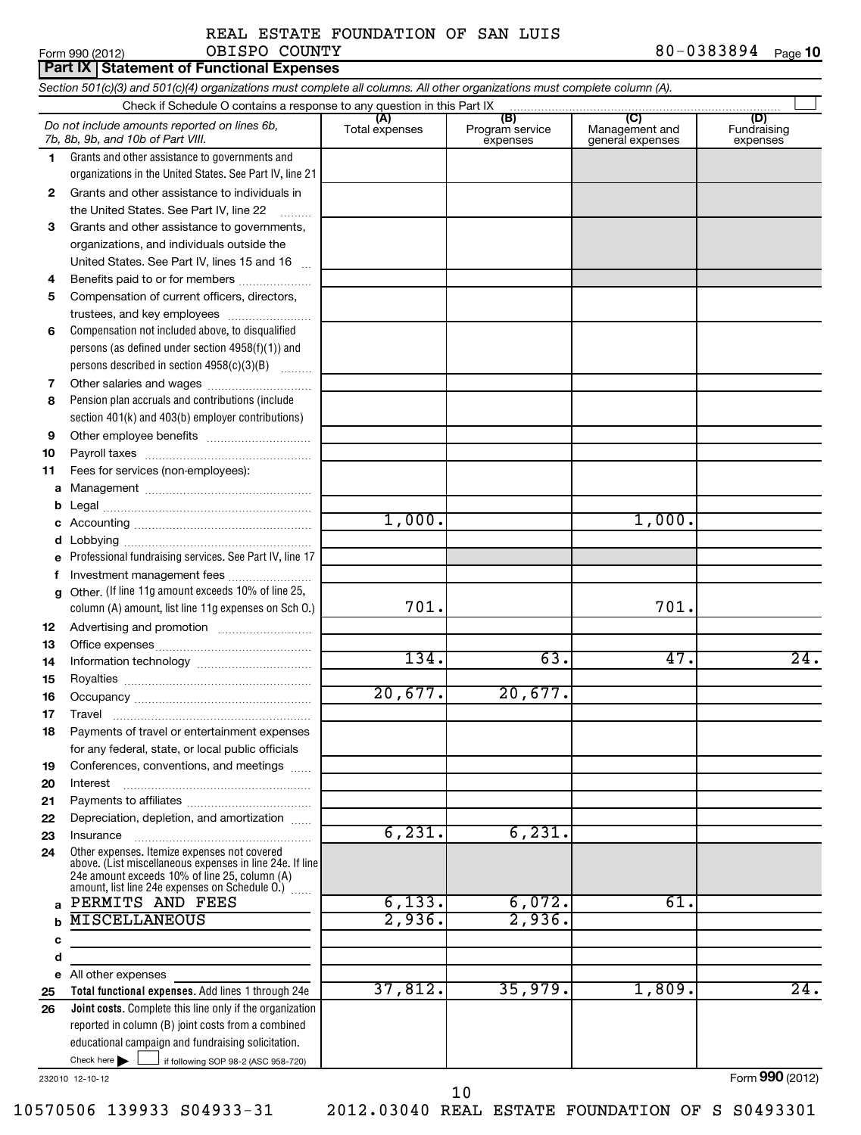Form 990 (2012) OBISPO\_COUNTY 8 U − U 3 8 3 8 9 4 Page 80-0383894 Page 10 OBISPO COUNTY and the set of the set of the set of the set of the set of the set of the set of the set of the s

|    | Part IX   Statement of Functional Expenses                                                                                 |                       |                                    |                                                               |                                |
|----|----------------------------------------------------------------------------------------------------------------------------|-----------------------|------------------------------------|---------------------------------------------------------------|--------------------------------|
|    | Section 501(c)(3) and 501(c)(4) organizations must complete all columns. All other organizations must complete column (A). |                       |                                    |                                                               |                                |
|    | Check if Schedule O contains a response to any question in this Part IX                                                    |                       |                                    |                                                               |                                |
|    | Do not include amounts reported on lines 6b,<br>7b, 8b, 9b, and 10b of Part VIII.                                          | (A)<br>Total expenses | (B)<br>Program service<br>expenses | $\overline{\text{(C)}}$<br>Management and<br>general expenses | (D)<br>Fundraising<br>expenses |
| 1. | Grants and other assistance to governments and                                                                             |                       |                                    |                                                               |                                |
|    | organizations in the United States. See Part IV, line 21                                                                   |                       |                                    |                                                               |                                |
| 2  | Grants and other assistance to individuals in<br>the United States. See Part IV, line 22                                   |                       |                                    |                                                               |                                |
|    | Grants and other assistance to governments,                                                                                |                       |                                    |                                                               |                                |
| 3  |                                                                                                                            |                       |                                    |                                                               |                                |
|    | organizations, and individuals outside the                                                                                 |                       |                                    |                                                               |                                |
|    | United States. See Part IV, lines 15 and 16                                                                                |                       |                                    |                                                               |                                |
| 4  | Benefits paid to or for members                                                                                            |                       |                                    |                                                               |                                |
| 5  | Compensation of current officers, directors,                                                                               |                       |                                    |                                                               |                                |
|    | trustees, and key employees                                                                                                |                       |                                    |                                                               |                                |
| 6  | Compensation not included above, to disqualified                                                                           |                       |                                    |                                                               |                                |
|    | persons (as defined under section 4958(f)(1)) and                                                                          |                       |                                    |                                                               |                                |
|    | persons described in section 4958(c)(3)(B)                                                                                 |                       |                                    |                                                               |                                |
| 7  | Other salaries and wages                                                                                                   |                       |                                    |                                                               |                                |
| 8  | Pension plan accruals and contributions (include                                                                           |                       |                                    |                                                               |                                |
|    | section 401(k) and 403(b) employer contributions)                                                                          |                       |                                    |                                                               |                                |
| 9  |                                                                                                                            |                       |                                    |                                                               |                                |
| 10 |                                                                                                                            |                       |                                    |                                                               |                                |
| 11 | Fees for services (non-employees):                                                                                         |                       |                                    |                                                               |                                |
| a  |                                                                                                                            |                       |                                    |                                                               |                                |
| b  |                                                                                                                            |                       |                                    |                                                               |                                |
| с  |                                                                                                                            | 1,000.                |                                    | 1,000.                                                        |                                |
| d  |                                                                                                                            |                       |                                    |                                                               |                                |
|    | Professional fundraising services. See Part IV, line 17                                                                    |                       |                                    |                                                               |                                |
| f  | Investment management fees                                                                                                 |                       |                                    |                                                               |                                |
| a  | Other. (If line 11g amount exceeds 10% of line 25,                                                                         |                       |                                    |                                                               |                                |
|    | column (A) amount, list line 11g expenses on Sch O.)                                                                       | 701.                  |                                    | 701.                                                          |                                |
| 12 |                                                                                                                            |                       |                                    |                                                               |                                |
| 13 |                                                                                                                            |                       |                                    |                                                               |                                |
| 14 |                                                                                                                            | 134.                  | 63.                                | 47.                                                           | 24.                            |
| 15 |                                                                                                                            |                       |                                    |                                                               |                                |
| 16 |                                                                                                                            | 20,677.               | 20,677.                            |                                                               |                                |
| 17 | Travel                                                                                                                     |                       |                                    |                                                               |                                |
| 18 | Payments of travel or entertainment expenses                                                                               |                       |                                    |                                                               |                                |
|    | for any federal, state, or local public officials                                                                          |                       |                                    |                                                               |                                |
| 19 | Conferences, conventions, and meetings                                                                                     |                       |                                    |                                                               |                                |
| 20 | Interest                                                                                                                   |                       |                                    |                                                               |                                |
| 21 |                                                                                                                            |                       |                                    |                                                               |                                |
| 22 | Depreciation, depletion, and amortization                                                                                  |                       |                                    |                                                               |                                |
| 23 | Insurance                                                                                                                  | 6, 231.               | 6, 231.                            |                                                               |                                |
| 24 | Other expenses. Itemize expenses not covered                                                                               |                       |                                    |                                                               |                                |
|    | above. (List miscellaneous expenses in line 24e. If line                                                                   |                       |                                    |                                                               |                                |
|    | 24e amount exceeds 10% of line 25, column (A)<br>amount, list line 24e expenses on Schedule O.) [                          |                       |                                    |                                                               |                                |
| a  | PERMITS AND FEES                                                                                                           | 6,133.                | 6,072.                             | 61.                                                           |                                |
| b  | <b>MISCELLANEOUS</b>                                                                                                       | 2,936.                | 2,936.                             |                                                               |                                |
| c  |                                                                                                                            |                       |                                    |                                                               |                                |
| d  |                                                                                                                            |                       |                                    |                                                               |                                |
|    | e All other expenses                                                                                                       |                       |                                    |                                                               |                                |
| 25 | Total functional expenses. Add lines 1 through 24e                                                                         | 37,812.               | 35,979.                            | 1,809.                                                        | $\overline{24}$ .              |
| 26 | <b>Joint costs.</b> Complete this line only if the organization                                                            |                       |                                    |                                                               |                                |
|    | reported in column (B) joint costs from a combined                                                                         |                       |                                    |                                                               |                                |
|    | educational campaign and fundraising solicitation.                                                                         |                       |                                    |                                                               |                                |
|    | Check here $\blacktriangleright$<br>if following SOP 98-2 (ASC 958-720)                                                    |                       |                                    |                                                               |                                |
|    |                                                                                                                            |                       |                                    |                                                               |                                |

232010 12-10-12

Form **990** (2012)

10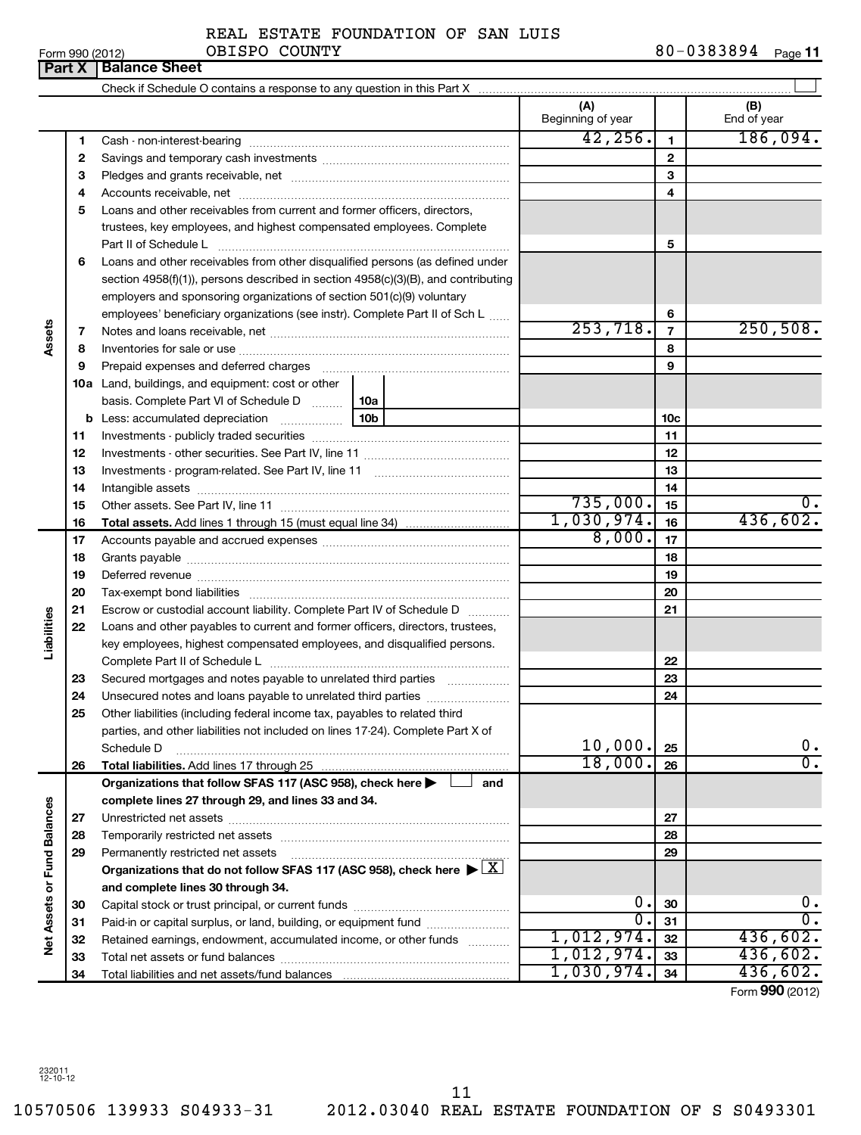Form 990 (2012) **OBISPO** COUNTY 8 0-0 3 8 3 8 9 4 <sub>Page</sub> **11** REAL ESTATE FOUNDATION OF SAN LUIS OBISPO COUNTY

|                             |    | <b>Part X   Balance Sheet</b>                                                                                                                                 |                          |                |                    |
|-----------------------------|----|---------------------------------------------------------------------------------------------------------------------------------------------------------------|--------------------------|----------------|--------------------|
|                             |    |                                                                                                                                                               |                          |                |                    |
|                             |    |                                                                                                                                                               | (A)<br>Beginning of year |                | (B)<br>End of year |
|                             | 1  |                                                                                                                                                               | 42, 256.                 | 1              | 186,094.           |
|                             | 2  |                                                                                                                                                               |                          | $\mathbf{2}$   |                    |
|                             | 3  |                                                                                                                                                               |                          | 3              |                    |
|                             | 4  |                                                                                                                                                               |                          | 4              |                    |
|                             | 5  | Loans and other receivables from current and former officers, directors,                                                                                      |                          |                |                    |
|                             |    | trustees, key employees, and highest compensated employees. Complete                                                                                          |                          |                |                    |
|                             |    | Part II of Schedule L                                                                                                                                         |                          | 5              |                    |
|                             | 6  | Loans and other receivables from other disqualified persons (as defined under                                                                                 |                          |                |                    |
|                             |    | section 4958(f)(1)), persons described in section 4958(c)(3)(B), and contributing                                                                             |                          |                |                    |
|                             |    | employers and sponsoring organizations of section 501(c)(9) voluntary                                                                                         |                          |                |                    |
|                             |    | employees' beneficiary organizations (see instr). Complete Part II of Sch L                                                                                   |                          | 6              |                    |
| Assets                      | 7  |                                                                                                                                                               | $\overline{253,718.}$    | $\overline{7}$ | 250,508.           |
|                             | 8  |                                                                                                                                                               |                          | 8              |                    |
|                             | 9  |                                                                                                                                                               |                          | 9              |                    |
|                             |    | 10a Land, buildings, and equipment: cost or other                                                                                                             |                          |                |                    |
|                             |    | basis. Complete Part VI of Schedule D    10a                                                                                                                  |                          |                |                    |
|                             |    | 10b                                                                                                                                                           |                          | 10c            |                    |
|                             | 11 |                                                                                                                                                               |                          | 11             |                    |
|                             | 12 |                                                                                                                                                               |                          | 12             |                    |
|                             | 13 |                                                                                                                                                               |                          | 13             |                    |
|                             | 14 |                                                                                                                                                               |                          | 14             |                    |
|                             | 15 |                                                                                                                                                               | 735,000.                 | 15             | 0.                 |
|                             | 16 |                                                                                                                                                               | 1,030,974.               | 16             | 436,602.           |
|                             | 17 |                                                                                                                                                               | 8,000.                   | 17             |                    |
|                             | 18 |                                                                                                                                                               |                          | 18             |                    |
|                             | 19 |                                                                                                                                                               |                          | 19             |                    |
|                             | 20 |                                                                                                                                                               |                          | 20             |                    |
|                             | 21 | Escrow or custodial account liability. Complete Part IV of Schedule D                                                                                         |                          | 21             |                    |
| Liabilities                 | 22 | Loans and other payables to current and former officers, directors, trustees,                                                                                 |                          |                |                    |
|                             |    | key employees, highest compensated employees, and disqualified persons.                                                                                       |                          |                |                    |
|                             |    |                                                                                                                                                               |                          | 22             |                    |
|                             | 23 | Secured mortgages and notes payable to unrelated third parties <i>manumum</i>                                                                                 |                          | 23             |                    |
|                             | 24 |                                                                                                                                                               |                          | 24             |                    |
|                             | 25 | Other liabilities (including federal income tax, payables to related third<br>parties, and other liabilities not included on lines 17-24). Complete Part X of |                          |                |                    |
|                             |    | Schedule D                                                                                                                                                    | 10,000.                  | 25             | $0$ .              |
|                             | 26 |                                                                                                                                                               | 18,000.                  | 26             | $\overline{0}$ .   |
|                             |    | Organizations that follow SFAS 117 (ASC 958), check here<br>and                                                                                               |                          |                |                    |
|                             |    | complete lines 27 through 29, and lines 33 and 34.                                                                                                            |                          |                |                    |
|                             | 27 |                                                                                                                                                               |                          | 27             |                    |
|                             | 28 |                                                                                                                                                               |                          | 28             |                    |
|                             | 29 | Permanently restricted net assets                                                                                                                             |                          | 29             |                    |
|                             |    | Organizations that do not follow SFAS 117 (ASC 958), check here $\blacktriangleright \lfloor \underline{X} \rfloor$                                           |                          |                |                    |
|                             |    | and complete lines 30 through 34.                                                                                                                             |                          |                |                    |
| Net Assets or Fund Balances | 30 |                                                                                                                                                               | 0.                       | 30             | 0.                 |
|                             | 31 | Paid-in or capital surplus, or land, building, or equipment fund                                                                                              | $\overline{0}$ .         | 31             | $\overline{0}$ .   |
|                             | 32 | Retained earnings, endowment, accumulated income, or other funds                                                                                              | 1,012,974.               | 32             | 436,602.           |
|                             | 33 |                                                                                                                                                               | 1,012,974.               | 33             | 436,602.           |
|                             | 34 |                                                                                                                                                               | 1,030,974.               | 34             | 436,602.           |
|                             |    |                                                                                                                                                               |                          |                | Form 990 (2012)    |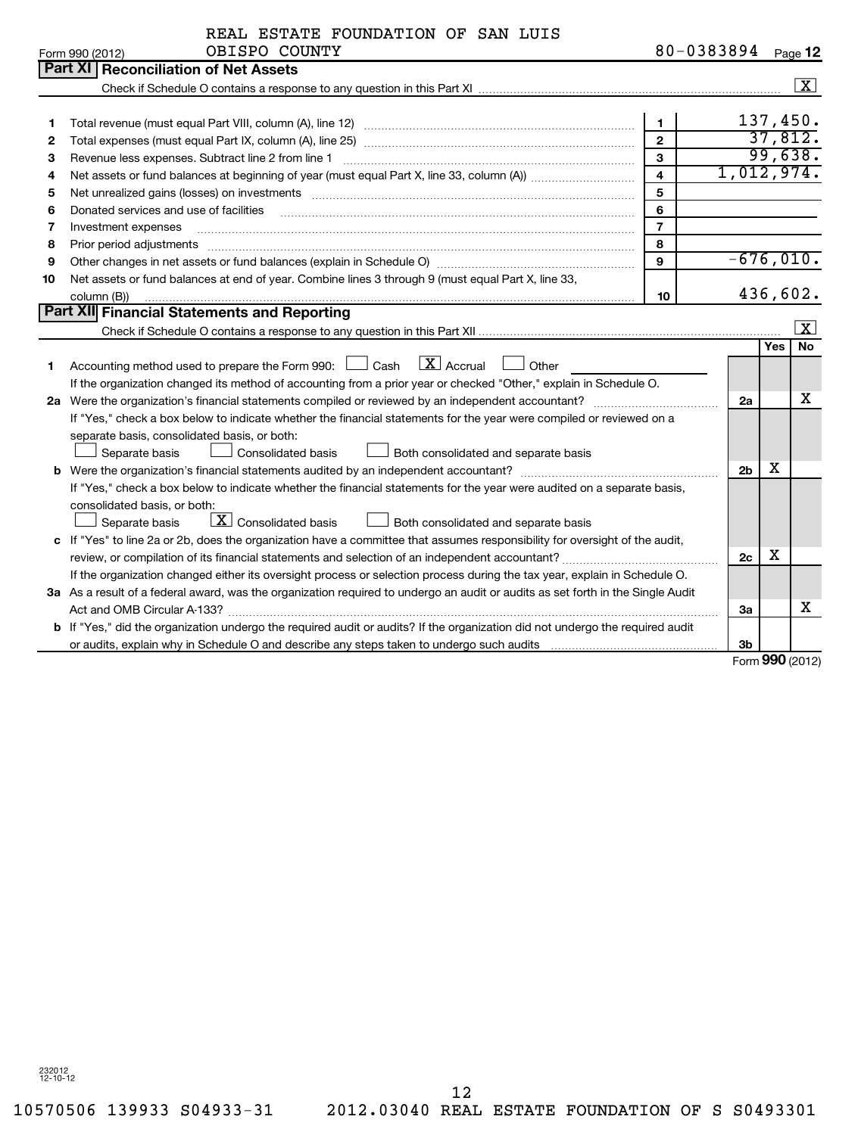1383894 **Pegg 12** 

|                 | REAL ESTATE FOUNDATION OF SAN LUIS |            |      |
|-----------------|------------------------------------|------------|------|
| Form 990 (2012) | OBISPO COUNTY                      | 80-0383894 | Page |

|    | Form 990 (2012)<br>ODIDIO COONII                                                                                                                                                                                                    |                | o o — o jo jo j <del>i</del> |          | Page i∠                 |  |  |  |
|----|-------------------------------------------------------------------------------------------------------------------------------------------------------------------------------------------------------------------------------------|----------------|------------------------------|----------|-------------------------|--|--|--|
|    | <b>Part XI Reconciliation of Net Assets</b>                                                                                                                                                                                         |                |                              |          |                         |  |  |  |
|    |                                                                                                                                                                                                                                     |                |                              |          | $\boxed{\mathbf{X}}$    |  |  |  |
|    |                                                                                                                                                                                                                                     |                |                              |          |                         |  |  |  |
| 1. |                                                                                                                                                                                                                                     | $\mathbf{1}$   |                              | 137,450. |                         |  |  |  |
| 2  |                                                                                                                                                                                                                                     | $\overline{2}$ |                              |          | 37,812.                 |  |  |  |
| з  | Revenue less expenses. Subtract line 2 from line 1                                                                                                                                                                                  | $\mathbf{3}$   |                              |          | 99,638.                 |  |  |  |
| 4  |                                                                                                                                                                                                                                     | $\overline{4}$ | 1,012,974.                   |          |                         |  |  |  |
| 5  | 5<br>Net unrealized gains (losses) on investments [111] matter in the contract of the contract of the contract of the contract of the contract of the contract of the contract of the contract of the contract of the contract of t |                |                              |          |                         |  |  |  |
| 6  | Donated services and use of facilities                                                                                                                                                                                              | 6              |                              |          |                         |  |  |  |
| 7  | Investment expenses                                                                                                                                                                                                                 | $\overline{7}$ |                              |          |                         |  |  |  |
| 8  | Prior period adjustments                                                                                                                                                                                                            | 8              |                              |          |                         |  |  |  |
| 9  |                                                                                                                                                                                                                                     | 9              | $-676,010.$                  |          |                         |  |  |  |
| 10 | Net assets or fund balances at end of year. Combine lines 3 through 9 (must equal Part X, line 33,                                                                                                                                  |                |                              |          |                         |  |  |  |
|    | column (B))                                                                                                                                                                                                                         | 10             |                              |          | 436,602.                |  |  |  |
|    | Part XII Financial Statements and Reporting                                                                                                                                                                                         |                |                              |          |                         |  |  |  |
|    |                                                                                                                                                                                                                                     |                |                              |          | $\overline{\mathbf{x}}$ |  |  |  |
|    |                                                                                                                                                                                                                                     |                |                              | Yes      | <b>No</b>               |  |  |  |
| 1. | Accounting method used to prepare the Form 990: $\Box$ Cash $\Box X$ Accrual<br>Other                                                                                                                                               |                |                              |          |                         |  |  |  |
|    | If the organization changed its method of accounting from a prior year or checked "Other," explain in Schedule O.                                                                                                                   |                |                              |          |                         |  |  |  |
|    |                                                                                                                                                                                                                                     |                | 2a                           |          | x                       |  |  |  |
|    | If "Yes," check a box below to indicate whether the financial statements for the year were compiled or reviewed on a                                                                                                                |                |                              |          |                         |  |  |  |
|    | separate basis, consolidated basis, or both:                                                                                                                                                                                        |                |                              |          |                         |  |  |  |
|    | Separate basis<br>Consolidated basis<br>Both consolidated and separate basis                                                                                                                                                        |                |                              |          |                         |  |  |  |
|    |                                                                                                                                                                                                                                     |                | 2 <sub>b</sub>               | х        |                         |  |  |  |
|    | If "Yes," check a box below to indicate whether the financial statements for the year were audited on a separate basis,                                                                                                             |                |                              |          |                         |  |  |  |
|    | consolidated basis, or both:                                                                                                                                                                                                        |                |                              |          |                         |  |  |  |
|    | $\lfloor x \rfloor$ Consolidated basis<br>Separate basis<br>Both consolidated and separate basis                                                                                                                                    |                |                              |          |                         |  |  |  |
|    | c If "Yes" to line 2a or 2b, does the organization have a committee that assumes responsibility for oversight of the audit,                                                                                                         |                |                              |          |                         |  |  |  |
|    |                                                                                                                                                                                                                                     |                | 2c                           | x        |                         |  |  |  |
|    | If the organization changed either its oversight process or selection process during the tax year, explain in Schedule O.                                                                                                           |                |                              |          |                         |  |  |  |
|    | 3a As a result of a federal award, was the organization required to undergo an audit or audits as set forth in the Single Audit                                                                                                     |                |                              |          |                         |  |  |  |
|    |                                                                                                                                                                                                                                     |                | За                           |          | x                       |  |  |  |
|    | b If "Yes," did the organization undergo the required audit or audits? If the organization did not undergo the required audit                                                                                                       |                |                              |          |                         |  |  |  |
|    |                                                                                                                                                                                                                                     |                | 3 <sub>b</sub>               |          |                         |  |  |  |

Form **990** (2012)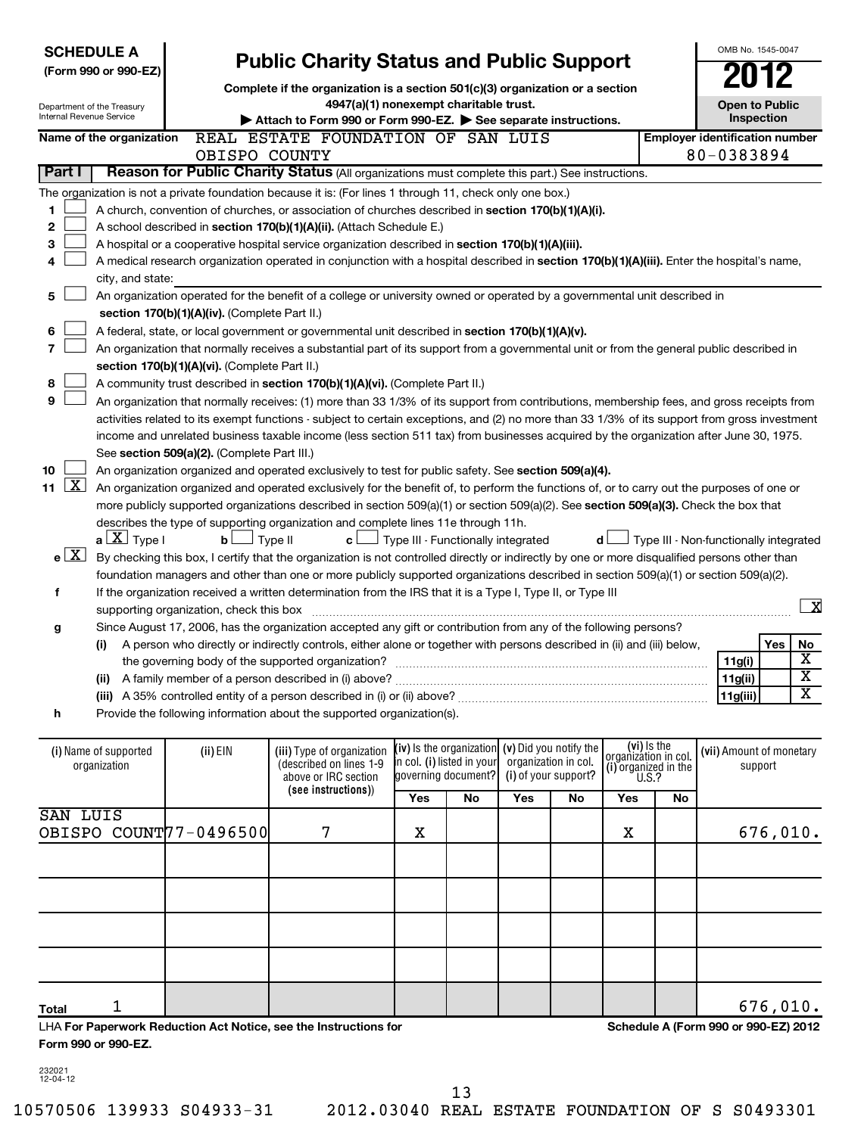| Internal Revenue Service  | <b>SCHEDULE A</b><br>(Form 990 or 990-EZ)<br>Department of the Treasury                                                                                        |                                               |                                                                                                                                               | <b>Public Charity Status and Public Support</b><br>Complete if the organization is a section 501(c)(3) organization or a section<br>4947(a)(1) nonexempt charitable trust.<br>Attach to Form 990 or Form 990-EZ. See separate instructions. |                                                 |     |                                                                        |                                                             |       |                                                     |         |                         |  |
|---------------------------|----------------------------------------------------------------------------------------------------------------------------------------------------------------|-----------------------------------------------|-----------------------------------------------------------------------------------------------------------------------------------------------|---------------------------------------------------------------------------------------------------------------------------------------------------------------------------------------------------------------------------------------------|-------------------------------------------------|-----|------------------------------------------------------------------------|-------------------------------------------------------------|-------|-----------------------------------------------------|---------|-------------------------|--|
|                           | Name of the organization                                                                                                                                       |                                               | REAL ESTATE FOUNDATION OF SAN LUIS                                                                                                            |                                                                                                                                                                                                                                             |                                                 |     |                                                                        |                                                             |       | <b>Employer identification number</b><br>80-0383894 |         |                         |  |
| Part I                    |                                                                                                                                                                | OBISPO COUNTY                                 | Reason for Public Charity Status (All organizations must complete this part.) See instructions.                                               |                                                                                                                                                                                                                                             |                                                 |     |                                                                        |                                                             |       |                                                     |         |                         |  |
|                           |                                                                                                                                                                |                                               | The organization is not a private foundation because it is: (For lines 1 through 11, check only one box.)                                     |                                                                                                                                                                                                                                             |                                                 |     |                                                                        |                                                             |       |                                                     |         |                         |  |
| 1                         |                                                                                                                                                                |                                               | A church, convention of churches, or association of churches described in section 170(b)(1)(A)(i).                                            |                                                                                                                                                                                                                                             |                                                 |     |                                                                        |                                                             |       |                                                     |         |                         |  |
| 2                         |                                                                                                                                                                |                                               | A school described in section 170(b)(1)(A)(ii). (Attach Schedule E.)                                                                          |                                                                                                                                                                                                                                             |                                                 |     |                                                                        |                                                             |       |                                                     |         |                         |  |
| 3                         |                                                                                                                                                                |                                               | A hospital or a cooperative hospital service organization described in section 170(b)(1)(A)(iii).                                             |                                                                                                                                                                                                                                             |                                                 |     |                                                                        |                                                             |       |                                                     |         |                         |  |
| 4                         |                                                                                                                                                                |                                               |                                                                                                                                               |                                                                                                                                                                                                                                             |                                                 |     |                                                                        |                                                             |       |                                                     |         |                         |  |
|                           | A medical research organization operated in conjunction with a hospital described in section 170(b)(1)(A)(iii). Enter the hospital's name,<br>city, and state: |                                               |                                                                                                                                               |                                                                                                                                                                                                                                             |                                                 |     |                                                                        |                                                             |       |                                                     |         |                         |  |
| 5                         | An organization operated for the benefit of a college or university owned or operated by a governmental unit described in                                      |                                               |                                                                                                                                               |                                                                                                                                                                                                                                             |                                                 |     |                                                                        |                                                             |       |                                                     |         |                         |  |
|                           |                                                                                                                                                                | section 170(b)(1)(A)(iv). (Complete Part II.) |                                                                                                                                               |                                                                                                                                                                                                                                             |                                                 |     |                                                                        |                                                             |       |                                                     |         |                         |  |
| 6                         |                                                                                                                                                                |                                               | A federal, state, or local government or governmental unit described in section 170(b)(1)(A)(v).                                              |                                                                                                                                                                                                                                             |                                                 |     |                                                                        |                                                             |       |                                                     |         |                         |  |
| $\overline{7}$            |                                                                                                                                                                |                                               | An organization that normally receives a substantial part of its support from a governmental unit or from the general public described in     |                                                                                                                                                                                                                                             |                                                 |     |                                                                        |                                                             |       |                                                     |         |                         |  |
|                           |                                                                                                                                                                | section 170(b)(1)(A)(vi). (Complete Part II.) |                                                                                                                                               |                                                                                                                                                                                                                                             |                                                 |     |                                                                        |                                                             |       |                                                     |         |                         |  |
| 8                         |                                                                                                                                                                |                                               | A community trust described in section 170(b)(1)(A)(vi). (Complete Part II.)                                                                  |                                                                                                                                                                                                                                             |                                                 |     |                                                                        |                                                             |       |                                                     |         |                         |  |
| 9                         |                                                                                                                                                                |                                               | An organization that normally receives: (1) more than 33 1/3% of its support from contributions, membership fees, and gross receipts from     |                                                                                                                                                                                                                                             |                                                 |     |                                                                        |                                                             |       |                                                     |         |                         |  |
|                           |                                                                                                                                                                |                                               | activities related to its exempt functions - subject to certain exceptions, and (2) no more than 33 1/3% of its support from gross investment |                                                                                                                                                                                                                                             |                                                 |     |                                                                        |                                                             |       |                                                     |         |                         |  |
|                           |                                                                                                                                                                |                                               | income and unrelated business taxable income (less section 511 tax) from businesses acquired by the organization after June 30, 1975.         |                                                                                                                                                                                                                                             |                                                 |     |                                                                        |                                                             |       |                                                     |         |                         |  |
|                           |                                                                                                                                                                | See section 509(a)(2). (Complete Part III.)   |                                                                                                                                               |                                                                                                                                                                                                                                             |                                                 |     |                                                                        |                                                             |       |                                                     |         |                         |  |
| 10                        |                                                                                                                                                                |                                               | An organization organized and operated exclusively to test for public safety. See section 509(a)(4).                                          |                                                                                                                                                                                                                                             |                                                 |     |                                                                        |                                                             |       |                                                     |         |                         |  |
| $\lfloor x \rfloor$<br>11 |                                                                                                                                                                |                                               | An organization organized and operated exclusively for the benefit of, to perform the functions of, or to carry out the purposes of one or    |                                                                                                                                                                                                                                             |                                                 |     |                                                                        |                                                             |       |                                                     |         |                         |  |
|                           |                                                                                                                                                                |                                               | more publicly supported organizations described in section 509(a)(1) or section 509(a)(2). See section 509(a)(3). Check the box that          |                                                                                                                                                                                                                                             |                                                 |     |                                                                        |                                                             |       |                                                     |         |                         |  |
|                           |                                                                                                                                                                |                                               | describes the type of supporting organization and complete lines 11e through 11h.                                                             |                                                                                                                                                                                                                                             |                                                 |     |                                                                        |                                                             |       |                                                     |         |                         |  |
|                           | $a \perp X$ Type I                                                                                                                                             | bl                                            | 」Туре II<br>c l                                                                                                                               | Type III - Functionally integrated                                                                                                                                                                                                          |                                                 |     |                                                                        | d l                                                         |       | Type III - Non-functionally integrated              |         |                         |  |
| e[X]                      |                                                                                                                                                                |                                               | By checking this box, I certify that the organization is not controlled directly or indirectly by one or more disqualified persons other than |                                                                                                                                                                                                                                             |                                                 |     |                                                                        |                                                             |       |                                                     |         |                         |  |
|                           |                                                                                                                                                                |                                               | foundation managers and other than one or more publicly supported organizations described in section 509(a)(1) or section 509(a)(2).          |                                                                                                                                                                                                                                             |                                                 |     |                                                                        |                                                             |       |                                                     |         |                         |  |
| f                         |                                                                                                                                                                |                                               | If the organization received a written determination from the IRS that it is a Type I, Type II, or Type III                                   |                                                                                                                                                                                                                                             |                                                 |     |                                                                        |                                                             |       |                                                     |         |                         |  |
|                           |                                                                                                                                                                | supporting organization, check this box       |                                                                                                                                               |                                                                                                                                                                                                                                             |                                                 |     |                                                                        |                                                             |       |                                                     |         | $\overline{\mathbf{x}}$ |  |
| g                         |                                                                                                                                                                |                                               | Since August 17, 2006, has the organization accepted any gift or contribution from any of the following persons?                              |                                                                                                                                                                                                                                             |                                                 |     |                                                                        |                                                             |       |                                                     |         |                         |  |
|                           | (i)                                                                                                                                                            |                                               | A person who directly or indirectly controls, either alone or together with persons described in (ii) and (iii) below,                        |                                                                                                                                                                                                                                             |                                                 |     |                                                                        |                                                             |       |                                                     | Yes     | No                      |  |
|                           |                                                                                                                                                                |                                               |                                                                                                                                               |                                                                                                                                                                                                                                             |                                                 |     |                                                                        |                                                             |       | 11g(i)                                              |         | $\overline{\textbf{X}}$ |  |
|                           |                                                                                                                                                                |                                               | (ii) A family member of a person described in (i) above?                                                                                      |                                                                                                                                                                                                                                             |                                                 |     |                                                                        |                                                             |       | 11g(ii)                                             |         | $\overline{\text{x}}$   |  |
|                           |                                                                                                                                                                |                                               |                                                                                                                                               |                                                                                                                                                                                                                                             |                                                 |     |                                                                        |                                                             |       | 11g(iii)                                            |         | $\overline{\mathbf{X}}$ |  |
| h                         |                                                                                                                                                                |                                               | Provide the following information about the supported organization(s).                                                                        |                                                                                                                                                                                                                                             |                                                 |     |                                                                        |                                                             |       |                                                     |         |                         |  |
|                           |                                                                                                                                                                |                                               |                                                                                                                                               |                                                                                                                                                                                                                                             |                                                 |     |                                                                        |                                                             |       |                                                     |         |                         |  |
|                           | (i) Name of supported<br>organization                                                                                                                          | (ii) EIN                                      | (iii) Type of organization<br>(described on lines 1-9<br>above or IRC section<br>(see instructions))                                          | in col. (i) listed in your                                                                                                                                                                                                                  | (iv) Is the organization<br>governing document? |     | (v) Did you notify the<br>organization in col.<br>(i) of your support? | (vi) Is the<br>organization in col.<br>(i) organized in the | U.S.? | (vii) Amount of monetary                            | support |                         |  |
|                           |                                                                                                                                                                |                                               |                                                                                                                                               | Yes                                                                                                                                                                                                                                         | No                                              | Yes | No                                                                     | Yes                                                         | No    |                                                     |         |                         |  |
| SAN LUIS                  |                                                                                                                                                                |                                               |                                                                                                                                               |                                                                                                                                                                                                                                             |                                                 |     |                                                                        |                                                             |       |                                                     |         |                         |  |
|                           |                                                                                                                                                                | OBISPO COUNT77-0496500                        | 7                                                                                                                                             | Χ                                                                                                                                                                                                                                           |                                                 |     |                                                                        | Х                                                           |       |                                                     |         | 676,010.                |  |

| Total                                                            |                     |  |  |  |  |  |  |  | 676.010.                             |
|------------------------------------------------------------------|---------------------|--|--|--|--|--|--|--|--------------------------------------|
| LHA For Paperwork Reduction Act Notice, see the Instructions for |                     |  |  |  |  |  |  |  | Schedule A (Form 990 or 990-EZ) 2012 |
|                                                                  | Form 990 or 990-EZ. |  |  |  |  |  |  |  |                                      |

232021 12-04-12

13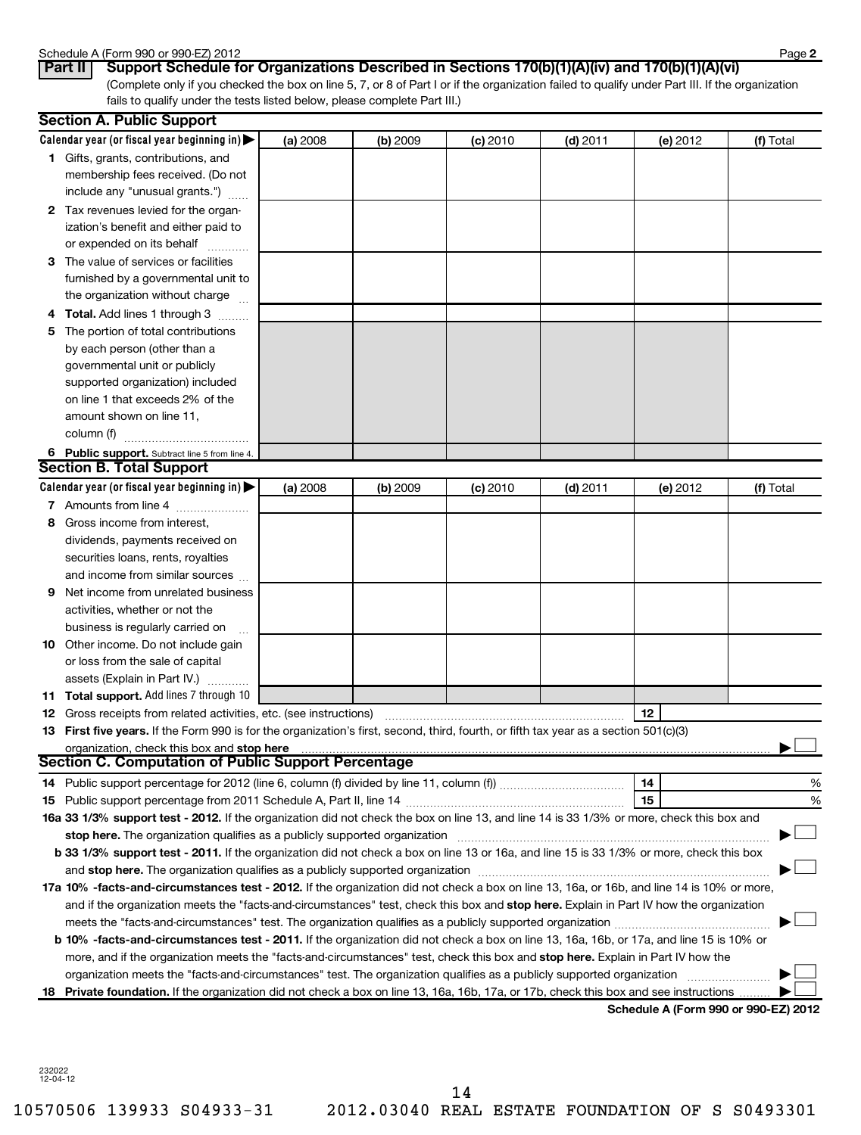### Schedule A (Form 990 or 990-EZ) 2012

| <b>OUTCAULT IT UITE JU</b> |  |     |
|----------------------------|--|-----|
| 10.411                     |  | $P$ |

(Complete only if you checked the box on line 5, 7, or 8 of Part I or if the organization failed to qualify under Part III. If the organization fails to qualify under the tests listed below, please complete Part III.) **Part II** | Support Schedule for Organizations Described in Sections 170(b)(1)(A)(iv) and 170(b)(1)(A)(vi)

|   | <b>Section A. Public Support</b>                                                                                                                                                                                               |          |          |            |            |                                      |           |
|---|--------------------------------------------------------------------------------------------------------------------------------------------------------------------------------------------------------------------------------|----------|----------|------------|------------|--------------------------------------|-----------|
|   | Calendar year (or fiscal year beginning in) $\blacktriangleright$                                                                                                                                                              | (a) 2008 | (b) 2009 | (c) 2010   | $(d)$ 2011 | (e) 2012                             | (f) Total |
|   | <b>1</b> Gifts, grants, contributions, and                                                                                                                                                                                     |          |          |            |            |                                      |           |
|   | membership fees received. (Do not                                                                                                                                                                                              |          |          |            |            |                                      |           |
|   | include any "unusual grants.")                                                                                                                                                                                                 |          |          |            |            |                                      |           |
|   | 2 Tax revenues levied for the organ-                                                                                                                                                                                           |          |          |            |            |                                      |           |
|   | ization's benefit and either paid to                                                                                                                                                                                           |          |          |            |            |                                      |           |
|   | or expended on its behalf                                                                                                                                                                                                      |          |          |            |            |                                      |           |
|   | 3 The value of services or facilities                                                                                                                                                                                          |          |          |            |            |                                      |           |
|   | furnished by a governmental unit to                                                                                                                                                                                            |          |          |            |            |                                      |           |
|   | the organization without charge                                                                                                                                                                                                |          |          |            |            |                                      |           |
|   | 4 Total. Add lines 1 through 3                                                                                                                                                                                                 |          |          |            |            |                                      |           |
|   | 5 The portion of total contributions                                                                                                                                                                                           |          |          |            |            |                                      |           |
|   | by each person (other than a                                                                                                                                                                                                   |          |          |            |            |                                      |           |
|   | governmental unit or publicly                                                                                                                                                                                                  |          |          |            |            |                                      |           |
|   | supported organization) included                                                                                                                                                                                               |          |          |            |            |                                      |           |
|   | on line 1 that exceeds 2% of the                                                                                                                                                                                               |          |          |            |            |                                      |           |
|   | amount shown on line 11,                                                                                                                                                                                                       |          |          |            |            |                                      |           |
|   | column (f)                                                                                                                                                                                                                     |          |          |            |            |                                      |           |
|   | 6 Public support. Subtract line 5 from line 4.                                                                                                                                                                                 |          |          |            |            |                                      |           |
|   | <b>Section B. Total Support</b>                                                                                                                                                                                                |          |          |            |            |                                      |           |
|   | Calendar year (or fiscal year beginning in)                                                                                                                                                                                    | (a) 2008 | (b) 2009 | $(c)$ 2010 | $(d)$ 2011 | (e) 2012                             | (f) Total |
|   | 7 Amounts from line 4                                                                                                                                                                                                          |          |          |            |            |                                      |           |
| 8 | Gross income from interest,                                                                                                                                                                                                    |          |          |            |            |                                      |           |
|   | dividends, payments received on                                                                                                                                                                                                |          |          |            |            |                                      |           |
|   | securities loans, rents, royalties                                                                                                                                                                                             |          |          |            |            |                                      |           |
|   | and income from similar sources                                                                                                                                                                                                |          |          |            |            |                                      |           |
| 9 | Net income from unrelated business                                                                                                                                                                                             |          |          |            |            |                                      |           |
|   | activities, whether or not the                                                                                                                                                                                                 |          |          |            |            |                                      |           |
|   | business is regularly carried on                                                                                                                                                                                               |          |          |            |            |                                      |           |
|   | <b>10</b> Other income. Do not include gain                                                                                                                                                                                    |          |          |            |            |                                      |           |
|   | or loss from the sale of capital                                                                                                                                                                                               |          |          |            |            |                                      |           |
|   | assets (Explain in Part IV.)                                                                                                                                                                                                   |          |          |            |            |                                      |           |
|   | <b>11 Total support.</b> Add lines 7 through 10                                                                                                                                                                                |          |          |            |            |                                      |           |
|   | <b>12</b> Gross receipts from related activities, etc. (see instructions)                                                                                                                                                      |          |          |            |            | 12                                   |           |
|   | 13 First five years. If the Form 990 is for the organization's first, second, third, fourth, or fifth tax year as a section 501(c)(3)                                                                                          |          |          |            |            |                                      |           |
|   | organization, check this box and stop here manufactured and content to the state of the state of the state of                                                                                                                  |          |          |            |            |                                      |           |
|   | Section C. Computation of Public Support Percentage                                                                                                                                                                            |          |          |            |            |                                      |           |
|   |                                                                                                                                                                                                                                |          |          |            |            | 14                                   | %         |
|   |                                                                                                                                                                                                                                |          |          |            |            | 15                                   | %         |
|   | 16a 33 1/3% support test - 2012. If the organization did not check the box on line 13, and line 14 is 33 1/3% or more, check this box and                                                                                      |          |          |            |            |                                      |           |
|   | stop here. The organization qualifies as a publicly supported organization manufaction contains an announcement of the state of the state of the state of the state of the state of the state of the state of the state of the |          |          |            |            |                                      |           |
|   | b 33 1/3% support test - 2011. If the organization did not check a box on line 13 or 16a, and line 15 is 33 1/3% or more, check this box                                                                                       |          |          |            |            |                                      |           |
|   | and stop here. The organization qualifies as a publicly supported organization manufaction manufacture. The organization of the state of the state of the state of the state of the state of the state of the state of the sta |          |          |            |            |                                      |           |
|   | 17a 10% -facts-and-circumstances test - 2012. If the organization did not check a box on line 13, 16a, or 16b, and line 14 is 10% or more,                                                                                     |          |          |            |            |                                      |           |
|   | and if the organization meets the "facts-and-circumstances" test, check this box and stop here. Explain in Part IV how the organization                                                                                        |          |          |            |            |                                      |           |
|   |                                                                                                                                                                                                                                |          |          |            |            |                                      |           |
|   | b 10% -facts-and-circumstances test - 2011. If the organization did not check a box on line 13, 16a, 16b, or 17a, and line 15 is 10% or                                                                                        |          |          |            |            |                                      |           |
|   | more, and if the organization meets the "facts-and-circumstances" test, check this box and stop here. Explain in Part IV how the                                                                                               |          |          |            |            |                                      |           |
|   | organization meets the "facts-and-circumstances" test. The organization qualifies as a publicly supported organization                                                                                                         |          |          |            |            |                                      |           |
|   | 18 Private foundation. If the organization did not check a box on line 13, 16a, 16b, 17a, or 17b, check this box and see instructions                                                                                          |          |          |            |            | Cahadula A (Faum 000 av 000 EZ) 0040 |           |

**Schedule A (Form 990 or 990-EZ) 2012**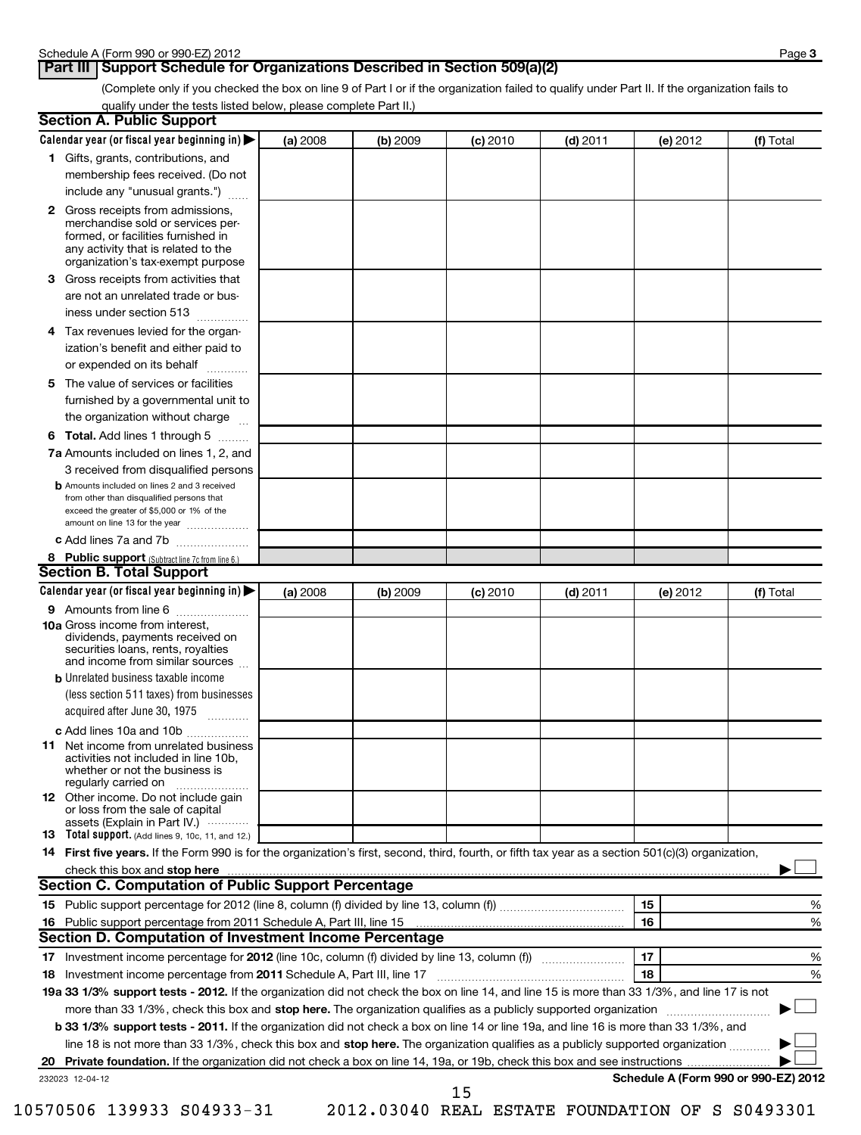# **Part III** Support Schedule for Organizations Described in Section 509(a)(2)

(Complete only if you checked the box on line 9 of Part I or if the organization failed to qualify under Part II. If the organization fails to qualify under the tests listed below, please complete Part II.)

| <b>Section A. Public Support</b>                                                                                                                                                                                               |          |          |            |            |          |                                      |
|--------------------------------------------------------------------------------------------------------------------------------------------------------------------------------------------------------------------------------|----------|----------|------------|------------|----------|--------------------------------------|
| Calendar year (or fiscal year beginning in) $\blacktriangleright$                                                                                                                                                              | (a) 2008 | (b) 2009 | $(c)$ 2010 | $(d)$ 2011 | (e) 2012 | (f) Total                            |
| 1 Gifts, grants, contributions, and                                                                                                                                                                                            |          |          |            |            |          |                                      |
| membership fees received. (Do not                                                                                                                                                                                              |          |          |            |            |          |                                      |
| include any "unusual grants.")                                                                                                                                                                                                 |          |          |            |            |          |                                      |
| 2 Gross receipts from admissions,<br>merchandise sold or services per-<br>formed, or facilities furnished in<br>any activity that is related to the<br>organization's tax-exempt purpose                                       |          |          |            |            |          |                                      |
| 3 Gross receipts from activities that<br>are not an unrelated trade or bus-                                                                                                                                                    |          |          |            |            |          |                                      |
| iness under section 513                                                                                                                                                                                                        |          |          |            |            |          |                                      |
| 4 Tax revenues levied for the organ-<br>ization's benefit and either paid to<br>or expended on its behalf                                                                                                                      |          |          |            |            |          |                                      |
| 5 The value of services or facilities                                                                                                                                                                                          |          |          |            |            |          |                                      |
| furnished by a governmental unit to<br>the organization without charge                                                                                                                                                         |          |          |            |            |          |                                      |
| 6 Total. Add lines 1 through 5                                                                                                                                                                                                 |          |          |            |            |          |                                      |
| <b>7a</b> Amounts included on lines 1, 2, and                                                                                                                                                                                  |          |          |            |            |          |                                      |
| 3 received from disqualified persons                                                                                                                                                                                           |          |          |            |            |          |                                      |
| <b>b</b> Amounts included on lines 2 and 3 received<br>from other than disqualified persons that<br>exceed the greater of \$5,000 or 1% of the<br>amount on line 13 for the year                                               |          |          |            |            |          |                                      |
| c Add lines 7a and 7b                                                                                                                                                                                                          |          |          |            |            |          |                                      |
| 8 Public support (Subtract line 7c from line 6.)                                                                                                                                                                               |          |          |            |            |          |                                      |
| <b>Section B. Total Support</b>                                                                                                                                                                                                |          |          |            |            |          |                                      |
| Calendar year (or fiscal year beginning in)                                                                                                                                                                                    | (a) 2008 | (b) 2009 | $(c)$ 2010 | $(d)$ 2011 | (e) 2012 | (f) Total                            |
| 9 Amounts from line 6                                                                                                                                                                                                          |          |          |            |            |          |                                      |
| <b>10a</b> Gross income from interest,<br>dividends, payments received on<br>securities loans, rents, royalties<br>and income from similar sources                                                                             |          |          |            |            |          |                                      |
| <b>b</b> Unrelated business taxable income                                                                                                                                                                                     |          |          |            |            |          |                                      |
| (less section 511 taxes) from businesses<br>acquired after June 30, 1975                                                                                                                                                       |          |          |            |            |          |                                      |
| c Add lines 10a and 10b                                                                                                                                                                                                        |          |          |            |            |          |                                      |
| <b>11</b> Net income from unrelated business<br>activities not included in line 10b,<br>whether or not the business is<br>regularly carried on                                                                                 |          |          |            |            |          |                                      |
| <b>12</b> Other income. Do not include gain<br>or loss from the sale of capital<br>assets (Explain in Part IV.) $\cdots$                                                                                                       |          |          |            |            |          |                                      |
| 13 Total support. (Add lines 9, 10c, 11, and 12.)                                                                                                                                                                              |          |          |            |            |          |                                      |
| 14 First five years. If the Form 990 is for the organization's first, second, third, fourth, or fifth tax year as a section 501(c)(3) organization,                                                                            |          |          |            |            |          |                                      |
| check this box and stop here with the continuum control of the state of the state of the state of the state of the state of the state of the state of the state of the state of the state of the state of the state of the sta |          |          |            |            |          |                                      |
| Section C. Computation of Public Support Percentage                                                                                                                                                                            |          |          |            |            |          |                                      |
|                                                                                                                                                                                                                                |          |          |            |            | 15       | %                                    |
|                                                                                                                                                                                                                                |          |          |            |            | 16       | %                                    |
| Section D. Computation of Investment Income Percentage                                                                                                                                                                         |          |          |            |            |          |                                      |
|                                                                                                                                                                                                                                |          |          |            |            | 17       | %                                    |
| 18 Investment income percentage from 2011 Schedule A, Part III, line 17                                                                                                                                                        |          |          |            |            | 18       | %                                    |
| 19a 33 1/3% support tests - 2012. If the organization did not check the box on line 14, and line 15 is more than 33 1/3%, and line 17 is not                                                                                   |          |          |            |            |          |                                      |
| more than 33 1/3%, check this box and stop here. The organization qualifies as a publicly supported organization                                                                                                               |          |          |            |            |          |                                      |
| b 33 1/3% support tests - 2011. If the organization did not check a box on line 14 or line 19a, and line 16 is more than 33 1/3%, and                                                                                          |          |          |            |            |          |                                      |
| line 18 is not more than 33 1/3%, check this box and stop here. The organization qualifies as a publicly supported organization                                                                                                |          |          |            |            |          |                                      |
| 232023 12-04-12                                                                                                                                                                                                                |          |          |            |            |          | Schedule A (Form 990 or 990-EZ) 2012 |
|                                                                                                                                                                                                                                |          |          | 15         |            |          |                                      |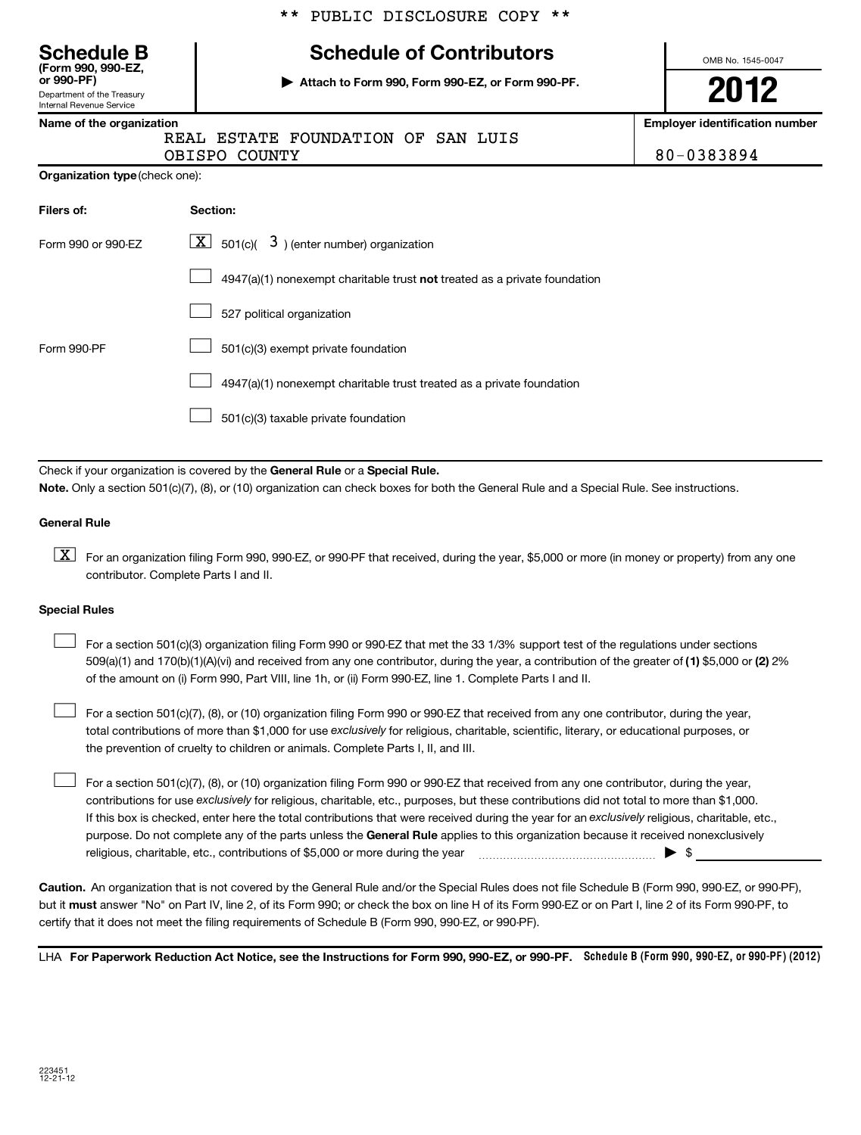Department of the Treasury Internal Revenue Service **(Form 990, 990-EZ,**

# **Schedule B Schedule of Contributors**

**or 990-PF) | Attach to Form 990, Form 990-EZ, or Form 990-PF.**

OMB No. 1545-0047

**2012**

# **Name of the organization Employer identification number**

REAL ESTATE FOUNDATION OF SAN LUIS OBISPO COUNTY 80-0383894

**Organization type** (check one):

| Filers of:         | <b>Section:</b>                                                           |
|--------------------|---------------------------------------------------------------------------|
| Form 990 or 990-FZ | $\lfloor \underline{X} \rfloor$ 501(c)( 3) (enter number) organization    |
|                    | 4947(a)(1) nonexempt charitable trust not treated as a private foundation |
|                    | 527 political organization                                                |
| Form 990-PF        | 501(c)(3) exempt private foundation                                       |
|                    | 4947(a)(1) nonexempt charitable trust treated as a private foundation     |
|                    | 501(c)(3) taxable private foundation                                      |

Check if your organization is covered by the General Rule or a Special Rule. **Note.**  Only a section 501(c)(7), (8), or (10) organization can check boxes for both the General Rule and a Special Rule. See instructions.

### **General Rule**

 $\boxed{\text{X}}$  For an organization filing Form 990, 990-EZ, or 990-PF that received, during the year, \$5,000 or more (in money or property) from any one contributor. Complete Parts I and II.

### **Special Rules**

509(a)(1) and 170(b)(1)(A)(vi) and received from any one contributor, during the year, a contribution of the greater of (1**)** \$5,000 or (**2**) 2% For a section 501(c)(3) organization filing Form 990 or 990-EZ that met the 33 1/3% support test of the regulations under sections of the amount on (i) Form 990, Part VIII, line 1h, or (ii) Form 990-EZ, line 1. Complete Parts I and II.  $\left\vert \cdot\right\vert$ 

total contributions of more than \$1,000 for use exclusively for religious, charitable, scientific, literary, or educational purposes, or For a section 501(c)(7), (8), or (10) organization filing Form 990 or 990-EZ that received from any one contributor, during the year, the prevention of cruelty to children or animals. Complete Parts I, II, and III.  $\left\vert \cdot\right\vert$ 

purpose. Do not complete any of the parts unless the General Rule applies to this organization because it received nonexclusively contributions for use exclusively for religious, charitable, etc., purposes, but these contributions did not total to more than \$1,000. If this box is checked, enter here the total contributions that were received during the year for an exclusively religious, charitable, etc., For a section 501(c)(7), (8), or (10) organization filing Form 990 or 990-EZ that received from any one contributor, during the year, religious, charitable, etc., contributions of \$5,000 or more during the year  $\ldots$   $\ldots$   $\ldots$   $\ldots$   $\ldots$   $\ldots$   $\ldots$   $\ldots$   $\blacktriangleright$   $\uparrow$  $\left\vert \cdot\right\vert$ 

**Caution.** An organization that is not covered by the General Rule and/or the Special Rules does not file Schedule B (Form 990, 990-EZ, or 990-PF), but it **must** answer "No" on Part IV, line 2, of its Form 990; or check the box on line H of its Form 990-EZ or on Part I, line 2 of its Form 990-PF, to certify that it does not meet the filing requirements of Schedule B (Form 990, 990-EZ, or 990-PF).

LHA For Paperwork Reduction Act Notice, see the Instructions for Form 990, 990-EZ, or 990-PF. Schedule B (Form 990, 990-EZ, or 990-PF) (2012)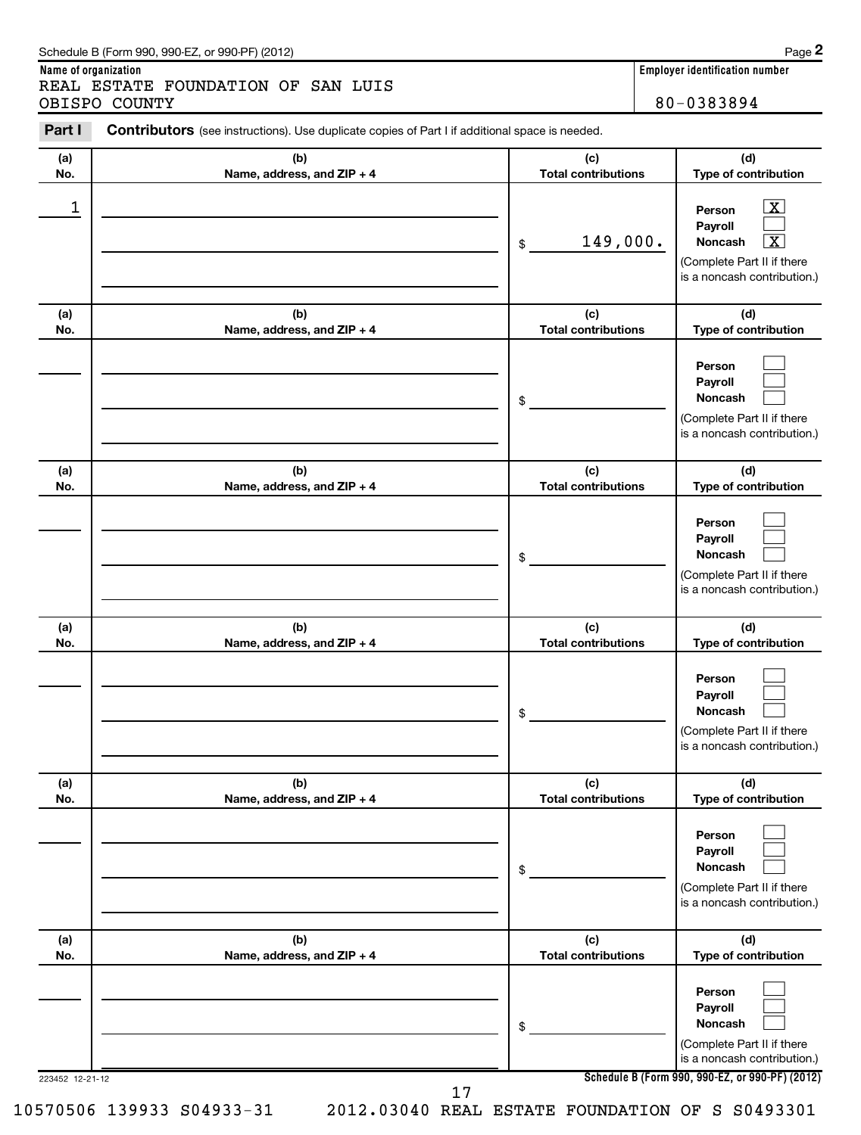|            | REAL ESTATE FOUNDATION OF SAN LUIS<br>OBISPO COUNTY                                                   |                                   | 80-0383894                                                                                                                 |
|------------|-------------------------------------------------------------------------------------------------------|-----------------------------------|----------------------------------------------------------------------------------------------------------------------------|
| Part I     | <b>Contributors</b> (see instructions). Use duplicate copies of Part I if additional space is needed. |                                   |                                                                                                                            |
| (a)<br>No. | (b)<br>Name, address, and $ZIP + 4$                                                                   | (c)<br><b>Total contributions</b> | (d)<br>Type of contribu                                                                                                    |
|            |                                                                                                       | 149,000.<br>\$                    | <u> X</u><br>Person<br><b>Payroll</b><br>$\overline{\mathbf{x}}$<br>Noncash<br>(Complete Part II if<br>is a noncash contri |
| (a)<br>No. | (b)<br>Name, address, and $ZIP + 4$                                                                   | (c)<br><b>Total contributions</b> | (d)<br>Type of contribu                                                                                                    |
|            |                                                                                                       | \$                                | Person<br>Payroll<br><b>Noncash</b><br>(Complete Part II if<br>is a noncash contri                                         |

| (b)                                 | (c)                               | (d)<br>Type of contribution                                                               |
|-------------------------------------|-----------------------------------|-------------------------------------------------------------------------------------------|
|                                     | \$                                | Person<br>Payroll<br>Noncash<br>(Complete Part II if there<br>is a noncash contribution.) |
| (b)<br>Name, address, and ZIP + 4   | (c)<br><b>Total contributions</b> | (d)<br>Type of contribution                                                               |
|                                     | \$                                | Person<br>Payroll<br>Noncash<br>(Complete Part II if there<br>is a noncash contribution.) |
| (b)<br>Name, address, and ZIP + 4   | (c)<br><b>Total contributions</b> | (d)<br>Type of contribution                                                               |
|                                     | \$                                | Person<br>Payroll<br>Noncash<br>(Complete Part II if there<br>is a noncash contribution.) |
| (b)<br>Name, address, and ZIP + 4   | (c)<br><b>Total contributions</b> | (d)<br>Type of contribution                                                               |
|                                     | \$                                | Person<br>Payroll<br>Noncash<br>(Complete Part II if there<br>is a noncash contribution.) |
| (b)<br>Name, address, and $ZIP + 4$ | (c)<br><b>Total contributions</b> | (d)<br><b>Type of contribution</b>                                                        |
|                                     | \$                                | Person<br>Payroll<br>Noncash                                                              |
|                                     | Name, address, and ZIP + 4        | <b>Total contributions</b>                                                                |

**(d) Type of contribution**

> $\boxed{\mathbf{X}}$  $\Box$  $\overline{X}$

**2**

(Complete Part II if there is a noncash contribution.)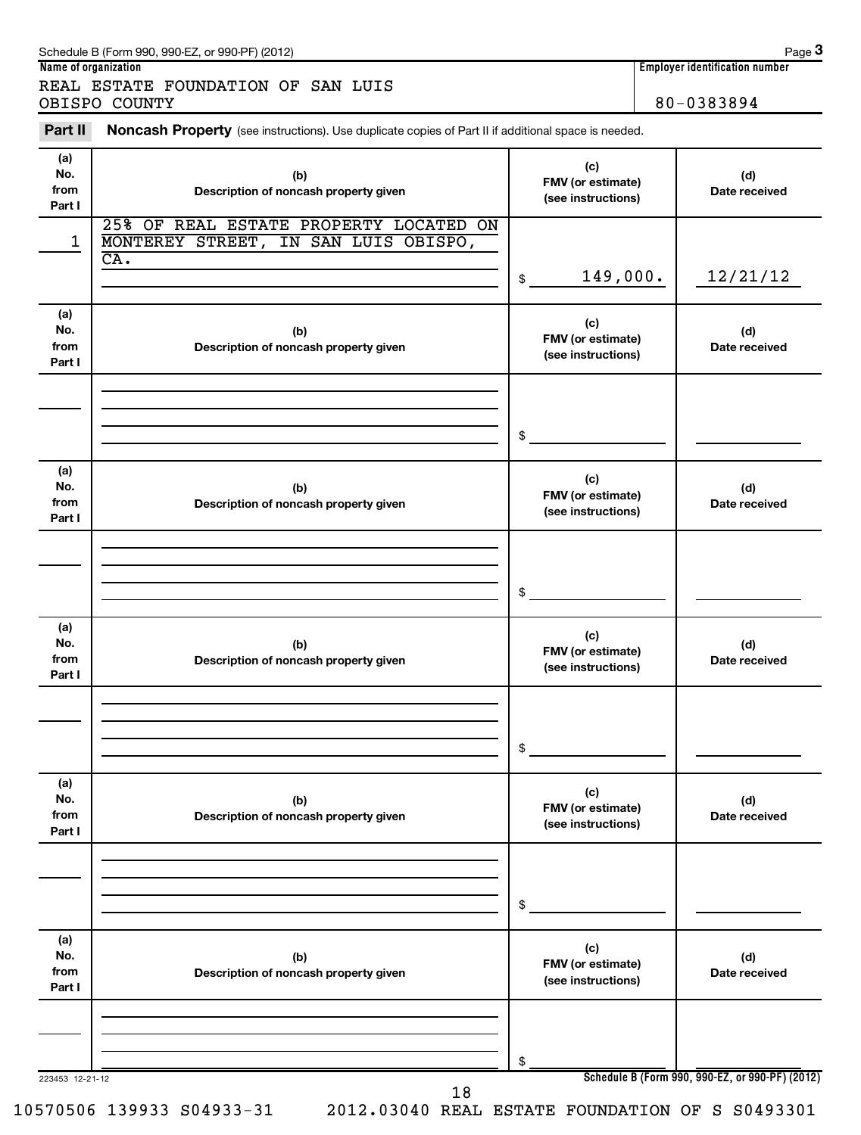| Schedule B (Form 990, 990-EZ, or 990-PF) (2012) | Page |
|-------------------------------------------------|------|
|-------------------------------------------------|------|

**3**

| Name of organization               | Emplover identification number |
|------------------------------------|--------------------------------|
| REAL ESTATE FOUNDATION OF SAN LUIS |                                |
| OBISPO COUNTY                      | 80-0383894                     |

Part II Noncash Property (see instructions). Use duplicate copies of Part II if additional space is needed.

| (a)<br>No.<br>from<br>Part I | (b)<br>Description of noncash property given                                                               | (c)<br>FMV (or estimate)<br>(see instructions) | (d)<br>Date received                            |
|------------------------------|------------------------------------------------------------------------------------------------------------|------------------------------------------------|-------------------------------------------------|
| 1                            | 25% OF REAL ESTATE PROPERTY LOCATED ON<br>MONTEREY STREET, IN SAN LUIS OBISPO,<br>$\overline{\text{CA}}$ . | 149,000.<br>\$                                 | 12/21/12                                        |
| (a)<br>No.<br>from<br>Part I | (b)<br>Description of noncash property given                                                               | (c)<br>FMV (or estimate)<br>(see instructions) | (d)<br>Date received                            |
|                              |                                                                                                            | \$                                             |                                                 |
| (a)<br>No.<br>from<br>Part I | (b)<br>Description of noncash property given                                                               | (c)<br>FMV (or estimate)<br>(see instructions) | (d)<br>Date received                            |
|                              |                                                                                                            | \$                                             |                                                 |
| (a)<br>No.<br>from<br>Part I | (b)<br>Description of noncash property given                                                               | (c)<br>FMV (or estimate)<br>(see instructions) | (d)<br>Date received                            |
|                              |                                                                                                            | \$                                             |                                                 |
| (a)<br>No.<br>from<br>Part I | (b)<br>Description of noncash property given                                                               | (c)<br>FMV (or estimate)<br>(see instructions) | (d)<br>Date received                            |
|                              |                                                                                                            | \$                                             |                                                 |
| (a)<br>No.<br>from<br>Part I | (b)<br>Description of noncash property given                                                               | (c)<br>FMV (or estimate)<br>(see instructions) | (d)<br>Date received                            |
| 223453 12-21-12              | 18                                                                                                         | \$                                             | Schedule B (Form 990, 990-EZ, or 990-PF) (2012) |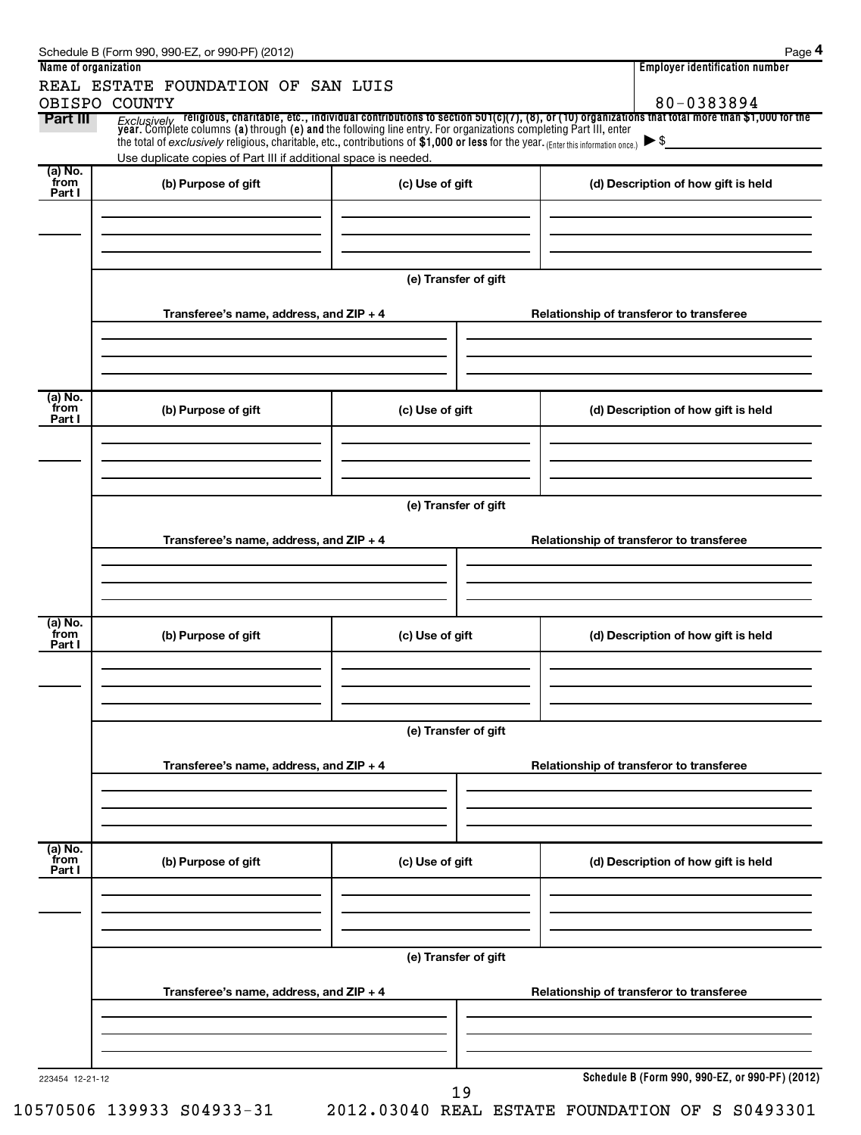| Name of organization      |                                                                                                                                                                                                                                 |                      | <b>Employer identification number</b>                                                                                                                                                                                              |  |  |  |
|---------------------------|---------------------------------------------------------------------------------------------------------------------------------------------------------------------------------------------------------------------------------|----------------------|------------------------------------------------------------------------------------------------------------------------------------------------------------------------------------------------------------------------------------|--|--|--|
|                           | REAL ESTATE FOUNDATION OF SAN LUIS<br>OBISPO COUNTY                                                                                                                                                                             |                      | 80-0383894                                                                                                                                                                                                                         |  |  |  |
| Part III                  |                                                                                                                                                                                                                                 |                      | Exclusively religious, charitable, etc., individual contributions to section 501(c)(7), (8), or (10) organizations that total more than \$1,000 for the<br>year. Complete columns (a) through (e) and the following line entry. Fo |  |  |  |
|                           | the total of exclusively religious, charitable, etc., contributions of \$1,000 or less for the year. (Enter this information once.) $\blacktriangleright$ \$<br>Use duplicate copies of Part III if additional space is needed. |                      |                                                                                                                                                                                                                                    |  |  |  |
| (a) No.<br>from<br>Part I | (b) Purpose of gift                                                                                                                                                                                                             | (c) Use of gift      | (d) Description of how gift is held                                                                                                                                                                                                |  |  |  |
|                           |                                                                                                                                                                                                                                 | (e) Transfer of gift |                                                                                                                                                                                                                                    |  |  |  |
|                           |                                                                                                                                                                                                                                 |                      |                                                                                                                                                                                                                                    |  |  |  |
|                           | Transferee's name, address, and ZIP + 4                                                                                                                                                                                         |                      | Relationship of transferor to transferee                                                                                                                                                                                           |  |  |  |
| (a) No.<br>from<br>Part I | (b) Purpose of gift                                                                                                                                                                                                             | (c) Use of gift      | (d) Description of how gift is held                                                                                                                                                                                                |  |  |  |
|                           |                                                                                                                                                                                                                                 |                      |                                                                                                                                                                                                                                    |  |  |  |
|                           | (e) Transfer of gift                                                                                                                                                                                                            |                      |                                                                                                                                                                                                                                    |  |  |  |
|                           | Transferee's name, address, and ZIP + 4                                                                                                                                                                                         |                      | Relationship of transferor to transferee                                                                                                                                                                                           |  |  |  |
|                           |                                                                                                                                                                                                                                 |                      |                                                                                                                                                                                                                                    |  |  |  |
|                           |                                                                                                                                                                                                                                 |                      |                                                                                                                                                                                                                                    |  |  |  |
|                           |                                                                                                                                                                                                                                 |                      |                                                                                                                                                                                                                                    |  |  |  |
| (a) No.<br>from<br>Part I | (b) Purpose of gift                                                                                                                                                                                                             | (c) Use of gift      | (d) Description of how gift is held                                                                                                                                                                                                |  |  |  |
|                           |                                                                                                                                                                                                                                 |                      |                                                                                                                                                                                                                                    |  |  |  |
|                           |                                                                                                                                                                                                                                 | (e) Transfer of gift |                                                                                                                                                                                                                                    |  |  |  |
|                           | Transferee's name, address, and ZIP + 4                                                                                                                                                                                         |                      | Relationship of transferor to transferee                                                                                                                                                                                           |  |  |  |
|                           |                                                                                                                                                                                                                                 |                      |                                                                                                                                                                                                                                    |  |  |  |
| (a) No.<br>from           | (b) Purpose of gift                                                                                                                                                                                                             | (c) Use of gift      | (d) Description of how gift is held                                                                                                                                                                                                |  |  |  |
| Part I                    |                                                                                                                                                                                                                                 |                      |                                                                                                                                                                                                                                    |  |  |  |
|                           |                                                                                                                                                                                                                                 |                      |                                                                                                                                                                                                                                    |  |  |  |
|                           | (e) Transfer of gift                                                                                                                                                                                                            |                      |                                                                                                                                                                                                                                    |  |  |  |
|                           | Transferee's name, address, and ZIP + 4                                                                                                                                                                                         |                      | Relationship of transferor to transferee                                                                                                                                                                                           |  |  |  |
|                           |                                                                                                                                                                                                                                 |                      |                                                                                                                                                                                                                                    |  |  |  |
|                           |                                                                                                                                                                                                                                 |                      |                                                                                                                                                                                                                                    |  |  |  |
| 223454 12-21-12           |                                                                                                                                                                                                                                 | 19                   | Schedule B (Form 990, 990-EZ, or 990-PF) (2012)                                                                                                                                                                                    |  |  |  |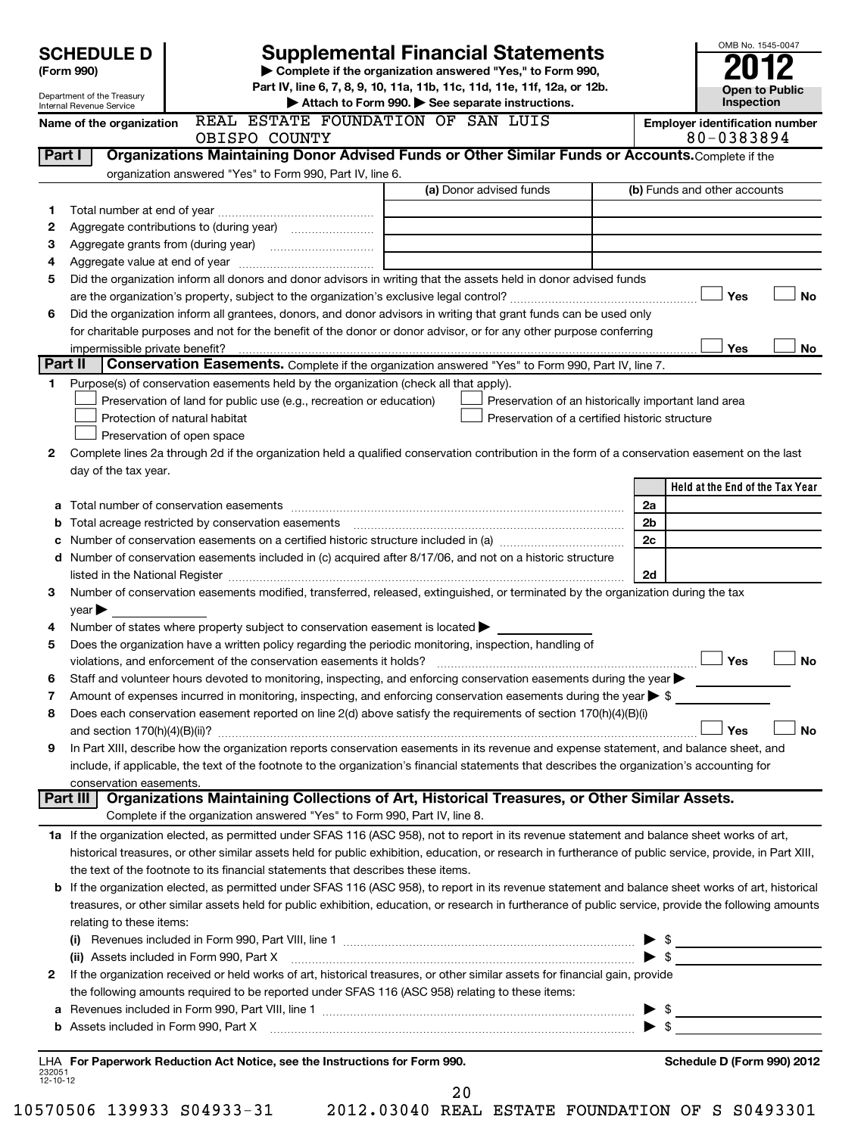|                    | <b>SCHEDULE D</b>                         |                                                                                                        | <b>Supplemental Financial Statements</b>                                                                                                                                                                                                                |                         | OMB No. 1545-0047                                   |
|--------------------|-------------------------------------------|--------------------------------------------------------------------------------------------------------|---------------------------------------------------------------------------------------------------------------------------------------------------------------------------------------------------------------------------------------------------------|-------------------------|-----------------------------------------------------|
|                    | (Form 990)                                |                                                                                                        | Complete if the organization answered "Yes," to Form 990,                                                                                                                                                                                               |                         |                                                     |
|                    | Department of the Treasury                |                                                                                                        | Part IV, line 6, 7, 8, 9, 10, 11a, 11b, 11c, 11d, 11e, 11f, 12a, or 12b.                                                                                                                                                                                |                         | <b>Open to Public</b>                               |
|                    | Internal Revenue Service                  |                                                                                                        | Attach to Form 990. See separate instructions.                                                                                                                                                                                                          |                         | Inspection                                          |
|                    | Name of the organization                  | REAL ESTATE FOUNDATION OF SAN LUIS<br>OBISPO COUNTY                                                    |                                                                                                                                                                                                                                                         |                         | <b>Employer identification number</b><br>80-0383894 |
|                    | Part I                                    |                                                                                                        | Organizations Maintaining Donor Advised Funds or Other Similar Funds or Accounts. Complete if the                                                                                                                                                       |                         |                                                     |
|                    |                                           | organization answered "Yes" to Form 990, Part IV, line 6.                                              |                                                                                                                                                                                                                                                         |                         |                                                     |
|                    |                                           |                                                                                                        | (a) Donor advised funds                                                                                                                                                                                                                                 |                         | (b) Funds and other accounts                        |
| 1                  |                                           |                                                                                                        |                                                                                                                                                                                                                                                         |                         |                                                     |
| 2                  |                                           |                                                                                                        |                                                                                                                                                                                                                                                         |                         |                                                     |
| З<br>4             |                                           |                                                                                                        |                                                                                                                                                                                                                                                         |                         |                                                     |
| 5                  |                                           |                                                                                                        | Did the organization inform all donors and donor advisors in writing that the assets held in donor advised funds                                                                                                                                        |                         |                                                     |
|                    |                                           |                                                                                                        |                                                                                                                                                                                                                                                         |                         | Yes<br><b>No</b>                                    |
| 6                  |                                           |                                                                                                        | Did the organization inform all grantees, donors, and donor advisors in writing that grant funds can be used only                                                                                                                                       |                         |                                                     |
|                    |                                           |                                                                                                        | for charitable purposes and not for the benefit of the donor or donor advisor, or for any other purpose conferring                                                                                                                                      |                         |                                                     |
|                    | impermissible private benefit?<br>Part II |                                                                                                        |                                                                                                                                                                                                                                                         |                         | Yes<br>No                                           |
| 1.                 |                                           | Purpose(s) of conservation easements held by the organization (check all that apply).                  | Conservation Easements. Complete if the organization answered "Yes" to Form 990, Part IV, line 7.                                                                                                                                                       |                         |                                                     |
|                    |                                           | Preservation of land for public use (e.g., recreation or education)                                    | Preservation of an historically important land area                                                                                                                                                                                                     |                         |                                                     |
|                    |                                           | Protection of natural habitat                                                                          | Preservation of a certified historic structure                                                                                                                                                                                                          |                         |                                                     |
|                    |                                           | Preservation of open space                                                                             |                                                                                                                                                                                                                                                         |                         |                                                     |
| 2                  |                                           |                                                                                                        | Complete lines 2a through 2d if the organization held a qualified conservation contribution in the form of a conservation easement on the last                                                                                                          |                         |                                                     |
|                    | day of the tax year.                      |                                                                                                        |                                                                                                                                                                                                                                                         |                         |                                                     |
|                    |                                           |                                                                                                        |                                                                                                                                                                                                                                                         |                         | Held at the End of the Tax Year                     |
| а                  |                                           |                                                                                                        |                                                                                                                                                                                                                                                         | 2a                      |                                                     |
| b                  |                                           | Total acreage restricted by conservation easements                                                     |                                                                                                                                                                                                                                                         | 2 <sub>b</sub>          |                                                     |
| с                  |                                           |                                                                                                        | d Number of conservation easements included in (c) acquired after 8/17/06, and not on a historic structure                                                                                                                                              | 2c                      |                                                     |
|                    |                                           |                                                                                                        | listed in the National Register [111] Marshall Register [11] Marshall Register [11] Marshall Register [11] Marshall Register [11] Marshall Register [11] Marshall Register [11] Marshall Register [11] Marshall Register [11]                           | 2d                      |                                                     |
| 3                  |                                           |                                                                                                        | Number of conservation easements modified, transferred, released, extinguished, or terminated by the organization during the tax                                                                                                                        |                         |                                                     |
|                    | $year \triangleright$                     |                                                                                                        |                                                                                                                                                                                                                                                         |                         |                                                     |
| 4                  |                                           | Number of states where property subject to conservation easement is located >                          |                                                                                                                                                                                                                                                         |                         |                                                     |
| 5                  |                                           | Does the organization have a written policy regarding the periodic monitoring, inspection, handling of |                                                                                                                                                                                                                                                         |                         |                                                     |
|                    |                                           | violations, and enforcement of the conservation easements it holds?                                    |                                                                                                                                                                                                                                                         |                         | Yes<br><b>No</b>                                    |
| 6                  |                                           |                                                                                                        | Staff and volunteer hours devoted to monitoring, inspecting, and enforcing conservation easements during the year                                                                                                                                       |                         |                                                     |
| 7                  |                                           |                                                                                                        | Amount of expenses incurred in monitoring, inspecting, and enforcing conservation easements during the year $\blacktriangleright$ \$<br>Does each conservation easement reported on line 2(d) above satisfy the requirements of section 170(h)(4)(B)(i) |                         |                                                     |
| 8                  |                                           |                                                                                                        |                                                                                                                                                                                                                                                         |                         | Yes<br>No                                           |
| 9                  |                                           |                                                                                                        | In Part XIII, describe how the organization reports conservation easements in its revenue and expense statement, and balance sheet, and                                                                                                                 |                         |                                                     |
|                    |                                           |                                                                                                        | include, if applicable, the text of the footnote to the organization's financial statements that describes the organization's accounting for                                                                                                            |                         |                                                     |
|                    | conservation easements.                   |                                                                                                        |                                                                                                                                                                                                                                                         |                         |                                                     |
|                    | Part III                                  |                                                                                                        | Organizations Maintaining Collections of Art, Historical Treasures, or Other Similar Assets.                                                                                                                                                            |                         |                                                     |
|                    |                                           | Complete if the organization answered "Yes" to Form 990, Part IV, line 8.                              |                                                                                                                                                                                                                                                         |                         |                                                     |
|                    |                                           |                                                                                                        | 1a If the organization elected, as permitted under SFAS 116 (ASC 958), not to report in its revenue statement and balance sheet works of art,                                                                                                           |                         |                                                     |
|                    |                                           |                                                                                                        | historical treasures, or other similar assets held for public exhibition, education, or research in furtherance of public service, provide, in Part XIII,                                                                                               |                         |                                                     |
|                    |                                           | the text of the footnote to its financial statements that describes these items.                       | b If the organization elected, as permitted under SFAS 116 (ASC 958), to report in its revenue statement and balance sheet works of art, historical                                                                                                     |                         |                                                     |
|                    |                                           |                                                                                                        | treasures, or other similar assets held for public exhibition, education, or research in furtherance of public service, provide the following amounts                                                                                                   |                         |                                                     |
|                    | relating to these items:                  |                                                                                                        |                                                                                                                                                                                                                                                         |                         |                                                     |
|                    |                                           |                                                                                                        |                                                                                                                                                                                                                                                         |                         |                                                     |
|                    |                                           |                                                                                                        |                                                                                                                                                                                                                                                         | $\blacktriangleright$ s |                                                     |
| 2                  |                                           |                                                                                                        | If the organization received or held works of art, historical treasures, or other similar assets for financial gain, provide                                                                                                                            |                         |                                                     |
|                    |                                           | the following amounts required to be reported under SFAS 116 (ASC 958) relating to these items:        |                                                                                                                                                                                                                                                         |                         |                                                     |
| а                  |                                           |                                                                                                        |                                                                                                                                                                                                                                                         |                         |                                                     |
| b                  |                                           |                                                                                                        |                                                                                                                                                                                                                                                         |                         |                                                     |
|                    |                                           | LHA For Paperwork Reduction Act Notice, see the Instructions for Form 990.                             |                                                                                                                                                                                                                                                         |                         | Schedule D (Form 990) 2012                          |
| 232051<br>12-10-12 |                                           |                                                                                                        |                                                                                                                                                                                                                                                         |                         |                                                     |
|                    |                                           |                                                                                                        | 20                                                                                                                                                                                                                                                      |                         |                                                     |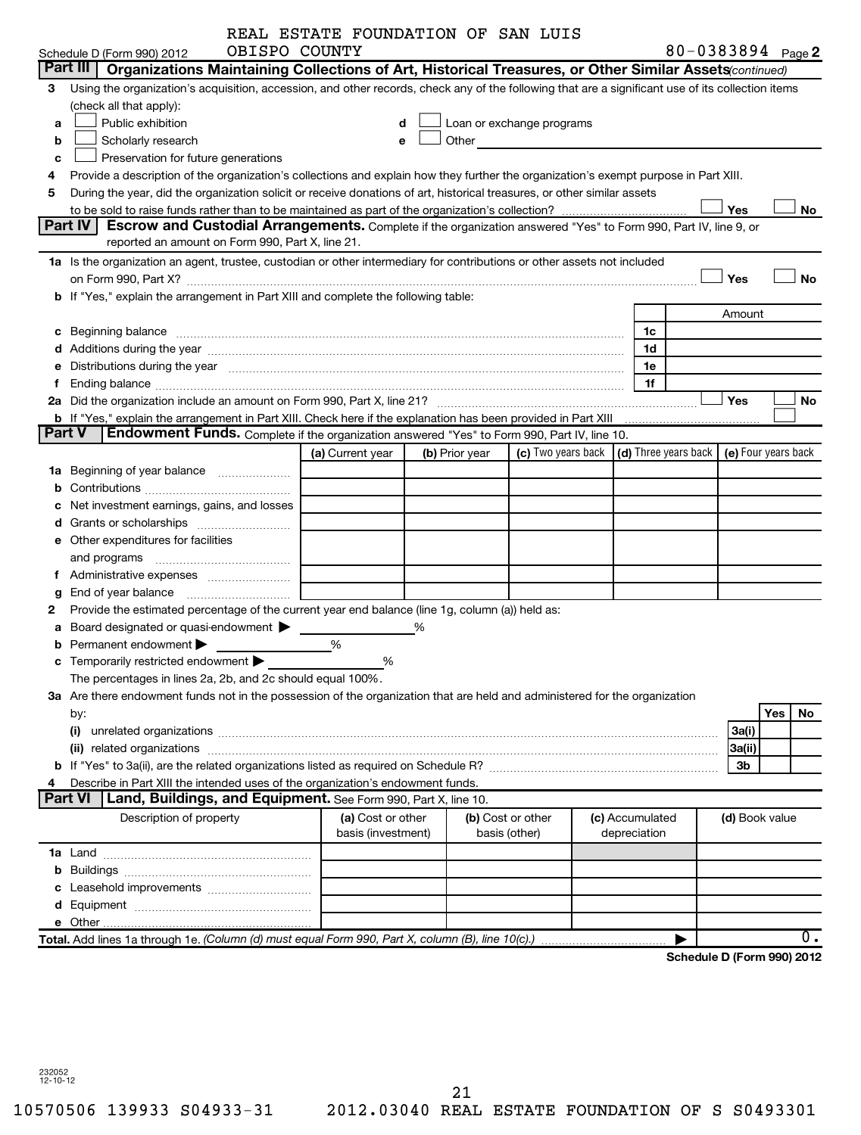|                     |                                                                                                                                                                                                                                | REAL ESTATE FOUNDATION OF SAN LUIS      |   |                |                                                                                                                                                                                                                               |  |                                 |                            |                |     |           |
|---------------------|--------------------------------------------------------------------------------------------------------------------------------------------------------------------------------------------------------------------------------|-----------------------------------------|---|----------------|-------------------------------------------------------------------------------------------------------------------------------------------------------------------------------------------------------------------------------|--|---------------------------------|----------------------------|----------------|-----|-----------|
|                     | OBISPO COUNTY<br>Schedule D (Form 990) 2012                                                                                                                                                                                    |                                         |   |                |                                                                                                                                                                                                                               |  |                                 | 80-0383894 Page 2          |                |     |           |
|                     | Part III   Organizations Maintaining Collections of Art, Historical Treasures, or Other Similar Assets continued)                                                                                                              |                                         |   |                |                                                                                                                                                                                                                               |  |                                 |                            |                |     |           |
| 3                   | Using the organization's acquisition, accession, and other records, check any of the following that are a significant use of its collection items                                                                              |                                         |   |                |                                                                                                                                                                                                                               |  |                                 |                            |                |     |           |
|                     | (check all that apply):                                                                                                                                                                                                        |                                         |   |                |                                                                                                                                                                                                                               |  |                                 |                            |                |     |           |
| a                   | Public exhibition                                                                                                                                                                                                              |                                         |   |                | Loan or exchange programs                                                                                                                                                                                                     |  |                                 |                            |                |     |           |
| b                   | Scholarly research                                                                                                                                                                                                             | e                                       |   |                | Other and the contract of the contract of the contract of the contract of the contract of the contract of the contract of the contract of the contract of the contract of the contract of the contract of the contract of the |  |                                 |                            |                |     |           |
| c                   | Preservation for future generations                                                                                                                                                                                            |                                         |   |                |                                                                                                                                                                                                                               |  |                                 |                            |                |     |           |
| 4                   | Provide a description of the organization's collections and explain how they further the organization's exempt purpose in Part XIII.                                                                                           |                                         |   |                |                                                                                                                                                                                                                               |  |                                 |                            |                |     |           |
| 5                   | During the year, did the organization solicit or receive donations of art, historical treasures, or other similar assets                                                                                                       |                                         |   |                |                                                                                                                                                                                                                               |  |                                 |                            |                |     |           |
|                     |                                                                                                                                                                                                                                |                                         |   |                |                                                                                                                                                                                                                               |  |                                 |                            | Yes            |     | No        |
|                     | Part IV<br>Escrow and Custodial Arrangements. Complete if the organization answered "Yes" to Form 990, Part IV, line 9, or                                                                                                     |                                         |   |                |                                                                                                                                                                                                                               |  |                                 |                            |                |     |           |
|                     | reported an amount on Form 990, Part X, line 21.                                                                                                                                                                               |                                         |   |                |                                                                                                                                                                                                                               |  |                                 |                            |                |     |           |
|                     | 1a Is the organization an agent, trustee, custodian or other intermediary for contributions or other assets not included                                                                                                       |                                         |   |                |                                                                                                                                                                                                                               |  |                                 |                            |                |     |           |
|                     |                                                                                                                                                                                                                                |                                         |   |                |                                                                                                                                                                                                                               |  |                                 |                            | Yes            |     | <b>No</b> |
|                     | b If "Yes," explain the arrangement in Part XIII and complete the following table:                                                                                                                                             |                                         |   |                |                                                                                                                                                                                                                               |  |                                 |                            |                |     |           |
|                     |                                                                                                                                                                                                                                |                                         |   |                |                                                                                                                                                                                                                               |  |                                 |                            | Amount         |     |           |
|                     | c Beginning balance measurements and the contract of the contract of the contract of the contract of the contract of the contract of the contract of the contract of the contract of the contract of the contract of the contr |                                         |   |                |                                                                                                                                                                                                                               |  | 1c                              |                            |                |     |           |
|                     |                                                                                                                                                                                                                                |                                         |   |                |                                                                                                                                                                                                                               |  | 1d                              |                            |                |     |           |
|                     | e Distributions during the year manufactured and continuum and contact the year manufactured and contact the year manufactured and contact the year manufactured and contact the year manufactured and contact the year manufa |                                         |   |                |                                                                                                                                                                                                                               |  | 1e                              |                            |                |     |           |
| f.                  |                                                                                                                                                                                                                                |                                         |   |                |                                                                                                                                                                                                                               |  | 1f                              |                            |                |     |           |
|                     |                                                                                                                                                                                                                                |                                         |   |                |                                                                                                                                                                                                                               |  |                                 |                            | Yes            |     | No        |
|                     |                                                                                                                                                                                                                                |                                         |   |                |                                                                                                                                                                                                                               |  |                                 |                            |                |     |           |
| <b>Part V</b>       | Endowment Funds. Complete if the organization answered "Yes" to Form 990, Part IV, line 10.                                                                                                                                    |                                         |   |                |                                                                                                                                                                                                                               |  |                                 |                            |                |     |           |
|                     |                                                                                                                                                                                                                                | (a) Current year                        |   | (b) Prior year | (c) Two years back $\vert$ (d) Three years back $\vert$ (e) Four years back                                                                                                                                                   |  |                                 |                            |                |     |           |
|                     | 1a Beginning of year balance                                                                                                                                                                                                   |                                         |   |                |                                                                                                                                                                                                                               |  |                                 |                            |                |     |           |
|                     |                                                                                                                                                                                                                                |                                         |   |                |                                                                                                                                                                                                                               |  |                                 |                            |                |     |           |
|                     | c Net investment earnings, gains, and losses                                                                                                                                                                                   |                                         |   |                |                                                                                                                                                                                                                               |  |                                 |                            |                |     |           |
|                     |                                                                                                                                                                                                                                |                                         |   |                |                                                                                                                                                                                                                               |  |                                 |                            |                |     |           |
|                     | e Other expenditures for facilities                                                                                                                                                                                            |                                         |   |                |                                                                                                                                                                                                                               |  |                                 |                            |                |     |           |
|                     | and programs                                                                                                                                                                                                                   |                                         |   |                |                                                                                                                                                                                                                               |  |                                 |                            |                |     |           |
|                     |                                                                                                                                                                                                                                |                                         |   |                |                                                                                                                                                                                                                               |  |                                 |                            |                |     |           |
| g                   | End of year balance <i>[[[[[[[[[[[[[[[[[[[[[[[[[[[[[]]]]</i>                                                                                                                                                                   |                                         |   |                |                                                                                                                                                                                                                               |  |                                 |                            |                |     |           |
| 2                   | Provide the estimated percentage of the current year end balance (line 1g, column (a)) held as:                                                                                                                                |                                         |   |                |                                                                                                                                                                                                                               |  |                                 |                            |                |     |           |
|                     | <b>a</b> Board designated or quasi-endowment $\blacktriangleright$                                                                                                                                                             |                                         | % |                |                                                                                                                                                                                                                               |  |                                 |                            |                |     |           |
| b                   | Permanent endowment                                                                                                                                                                                                            | %                                       |   |                |                                                                                                                                                                                                                               |  |                                 |                            |                |     |           |
|                     | c Temporarily restricted endowment                                                                                                                                                                                             | %                                       |   |                |                                                                                                                                                                                                                               |  |                                 |                            |                |     |           |
|                     |                                                                                                                                                                                                                                |                                         |   |                |                                                                                                                                                                                                                               |  |                                 |                            |                |     |           |
|                     | The percentages in lines 2a, 2b, and 2c should equal 100%.<br>3a Are there endowment funds not in the possession of the organization that are held and administered for the organization                                       |                                         |   |                |                                                                                                                                                                                                                               |  |                                 |                            |                |     |           |
|                     |                                                                                                                                                                                                                                |                                         |   |                |                                                                                                                                                                                                                               |  |                                 |                            |                | Yes | No        |
|                     | by:                                                                                                                                                                                                                            |                                         |   |                |                                                                                                                                                                                                                               |  |                                 |                            |                |     |           |
|                     | (i)                                                                                                                                                                                                                            |                                         |   |                |                                                                                                                                                                                                                               |  |                                 |                            | 3a(i)          |     |           |
|                     |                                                                                                                                                                                                                                |                                         |   |                |                                                                                                                                                                                                                               |  |                                 |                            | 3a(ii)         |     |           |
|                     |                                                                                                                                                                                                                                |                                         |   |                |                                                                                                                                                                                                                               |  |                                 |                            | 3b             |     |           |
| 4<br><b>Part VI</b> | Describe in Part XIII the intended uses of the organization's endowment funds.<br>Land, Buildings, and Equipment. See Form 990, Part X, line 10.                                                                               |                                         |   |                |                                                                                                                                                                                                                               |  |                                 |                            |                |     |           |
|                     |                                                                                                                                                                                                                                |                                         |   |                |                                                                                                                                                                                                                               |  |                                 |                            |                |     |           |
|                     | Description of property                                                                                                                                                                                                        | (a) Cost or other<br>basis (investment) |   |                | (b) Cost or other<br>basis (other)                                                                                                                                                                                            |  | (c) Accumulated<br>depreciation |                            | (d) Book value |     |           |
|                     |                                                                                                                                                                                                                                |                                         |   |                |                                                                                                                                                                                                                               |  |                                 |                            |                |     |           |
|                     |                                                                                                                                                                                                                                |                                         |   |                |                                                                                                                                                                                                                               |  |                                 |                            |                |     |           |
|                     |                                                                                                                                                                                                                                |                                         |   |                |                                                                                                                                                                                                                               |  |                                 |                            |                |     |           |
|                     |                                                                                                                                                                                                                                |                                         |   |                |                                                                                                                                                                                                                               |  |                                 |                            |                |     |           |
|                     |                                                                                                                                                                                                                                |                                         |   |                |                                                                                                                                                                                                                               |  |                                 |                            |                |     |           |
|                     |                                                                                                                                                                                                                                |                                         |   |                |                                                                                                                                                                                                                               |  |                                 |                            |                |     |           |
|                     | Total. Add lines 1a through 1e. (Column (d) must equal Form 990, Part X, column (B), line 10(c).)                                                                                                                              |                                         |   |                |                                                                                                                                                                                                                               |  |                                 |                            |                |     | 0.        |
|                     |                                                                                                                                                                                                                                |                                         |   |                |                                                                                                                                                                                                                               |  |                                 | Schedule D (Form 990) 2012 |                |     |           |

232052 12-10-12

21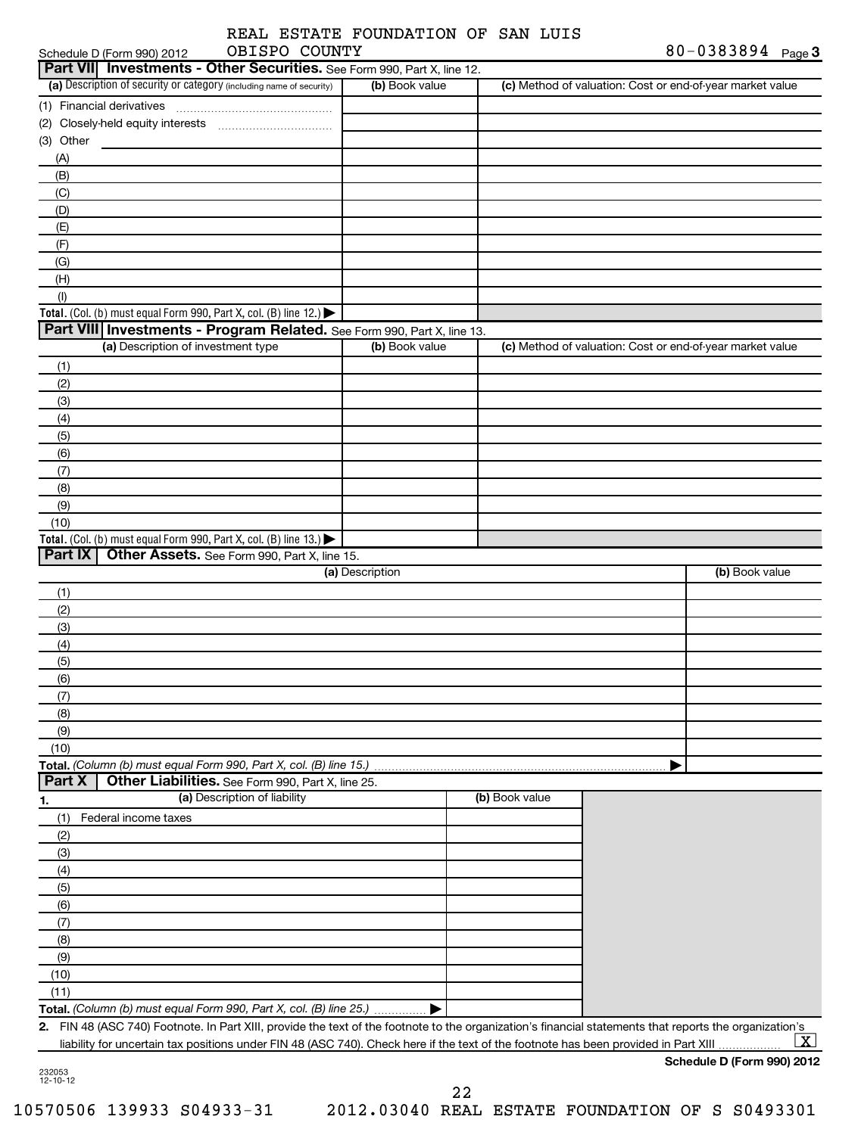## REAL ESTATE FOUNDATION OF SAN LUIS OBISPO COUNTY

| OBISPO COUNTY<br>Schedule D (Form 990) 2012                                                                                                             |                 |                | 80-0383894 $_{Page 3}$                                    |
|---------------------------------------------------------------------------------------------------------------------------------------------------------|-----------------|----------------|-----------------------------------------------------------|
| Part VII Investments - Other Securities. See Form 990, Part X, line 12.                                                                                 |                 |                |                                                           |
| (a) Description of security or category (including name of security)                                                                                    | (b) Book value  |                | (c) Method of valuation: Cost or end-of-year market value |
| (1) Financial derivatives                                                                                                                               |                 |                |                                                           |
|                                                                                                                                                         |                 |                |                                                           |
| (3) Other                                                                                                                                               |                 |                |                                                           |
| (A)                                                                                                                                                     |                 |                |                                                           |
| (B)                                                                                                                                                     |                 |                |                                                           |
| (C)                                                                                                                                                     |                 |                |                                                           |
| (D)                                                                                                                                                     |                 |                |                                                           |
| (E)                                                                                                                                                     |                 |                |                                                           |
| (F)                                                                                                                                                     |                 |                |                                                           |
| (G)                                                                                                                                                     |                 |                |                                                           |
| (H)                                                                                                                                                     |                 |                |                                                           |
| (1)<br>Total. (Col. (b) must equal Form 990, Part X, col. (B) line 12.) $\blacktriangleright$                                                           |                 |                |                                                           |
| Part VIII Investments - Program Related. See Form 990, Part X, line 13.                                                                                 |                 |                |                                                           |
| (a) Description of investment type                                                                                                                      | (b) Book value  |                | (c) Method of valuation: Cost or end-of-year market value |
| (1)                                                                                                                                                     |                 |                |                                                           |
| (2)                                                                                                                                                     |                 |                |                                                           |
| (3)                                                                                                                                                     |                 |                |                                                           |
| (4)                                                                                                                                                     |                 |                |                                                           |
| (5)                                                                                                                                                     |                 |                |                                                           |
| (6)                                                                                                                                                     |                 |                |                                                           |
| (7)                                                                                                                                                     |                 |                |                                                           |
| (8)                                                                                                                                                     |                 |                |                                                           |
| (9)                                                                                                                                                     |                 |                |                                                           |
| (10)                                                                                                                                                    |                 |                |                                                           |
| Total. (Col. (b) must equal Form 990, Part X, col. (B) line 13.)                                                                                        |                 |                |                                                           |
| Part IX<br>Other Assets. See Form 990, Part X, line 15.                                                                                                 |                 |                |                                                           |
|                                                                                                                                                         | (a) Description |                | (b) Book value                                            |
| (1)                                                                                                                                                     |                 |                |                                                           |
| (2)                                                                                                                                                     |                 |                |                                                           |
| (3)                                                                                                                                                     |                 |                |                                                           |
| (4)                                                                                                                                                     |                 |                |                                                           |
| (5)                                                                                                                                                     |                 |                |                                                           |
| (6)                                                                                                                                                     |                 |                |                                                           |
| (7)                                                                                                                                                     |                 |                |                                                           |
| (8)                                                                                                                                                     |                 |                |                                                           |
| (9)                                                                                                                                                     |                 |                |                                                           |
| (10)                                                                                                                                                    |                 |                |                                                           |
| Total. (Column (b) must equal Form 990, Part X, col. (B) line 15.)                                                                                      |                 |                |                                                           |
| Part X<br>Other Liabilities. See Form 990, Part X, line 25.                                                                                             |                 |                |                                                           |
| (a) Description of liability<br>1.                                                                                                                      |                 | (b) Book value |                                                           |
| Federal income taxes<br>(1)                                                                                                                             |                 |                |                                                           |
| (2)                                                                                                                                                     |                 |                |                                                           |
| (3)                                                                                                                                                     |                 |                |                                                           |
| (4)                                                                                                                                                     |                 |                |                                                           |
| (5)                                                                                                                                                     |                 |                |                                                           |
| (6)                                                                                                                                                     |                 |                |                                                           |
| (7)                                                                                                                                                     |                 |                |                                                           |
| (8)                                                                                                                                                     |                 |                |                                                           |
| (9)                                                                                                                                                     |                 |                |                                                           |
| (10)                                                                                                                                                    |                 |                |                                                           |
| (11)                                                                                                                                                    |                 |                |                                                           |
| Total. (Column (b) must equal Form 990, Part X, col. (B) line 25.)                                                                                      |                 |                |                                                           |
| 2. FIN 48 (ASC 740) Footnote. In Part XIII, provide the text of the footnote to the organization's financial statements that reports the organization's |                 |                |                                                           |
| liability for uncertain tax positions under FIN 48 (ASC 740). Check here if the text of the footnote has been provided in Part XIII                     |                 |                | $\mathbf{X}$                                              |

**Schedule D (Form 990) 2012**

232053 12-10-12

22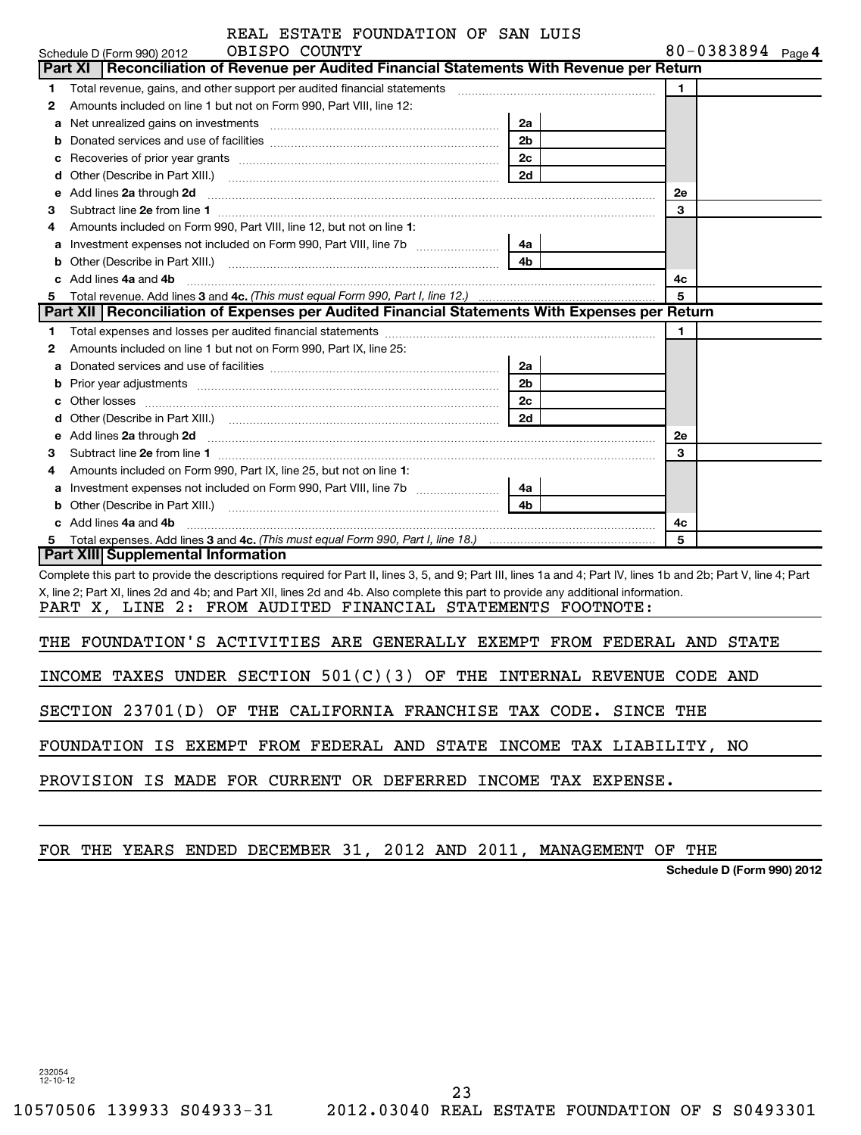| REAL ESTATE FOUNDATION OF SAN LUIS |  |  |  |  |
|------------------------------------|--|--|--|--|
|------------------------------------|--|--|--|--|

|    | OBISPO COUNTY<br>Schedule D (Form 990) 2012                                                                                                                      |                |    | 80-0383894 Page 4 |  |
|----|------------------------------------------------------------------------------------------------------------------------------------------------------------------|----------------|----|-------------------|--|
|    | Reconciliation of Revenue per Audited Financial Statements With Revenue per Return<br>Part XI                                                                    |                |    |                   |  |
| 1  | Total revenue, gains, and other support per audited financial statements                                                                                         |                | 1  |                   |  |
| 2  | Amounts included on line 1 but not on Form 990, Part VIII, line 12:                                                                                              |                |    |                   |  |
| а  | Net unrealized gains on investments [111] www.communicalizations.communically                                                                                    | 2a             |    |                   |  |
| b  |                                                                                                                                                                  | 2 <sub>b</sub> |    |                   |  |
| с  |                                                                                                                                                                  | 2c             |    |                   |  |
| d  |                                                                                                                                                                  | 2d             |    |                   |  |
| е  | Add lines 2a through 2d                                                                                                                                          |                | 2e |                   |  |
| з  |                                                                                                                                                                  |                | 3  |                   |  |
| 4  | Amounts included on Form 990, Part VIII, line 12, but not on line 1:                                                                                             |                |    |                   |  |
| а  |                                                                                                                                                                  |                |    |                   |  |
| b  |                                                                                                                                                                  | 4b             |    |                   |  |
|    | Add lines 4a and 4b                                                                                                                                              |                | 4с |                   |  |
| 5  | Total revenue. Add lines 3 and 4c. (This must equal Form 990, Part I, line 12.)                                                                                  |                | 5  |                   |  |
|    | Part XII   Reconciliation of Expenses per Audited Financial Statements With Expenses per Return                                                                  |                |    |                   |  |
| 1. |                                                                                                                                                                  |                | 1  |                   |  |
| 2  | Amounts included on line 1 but not on Form 990, Part IX, line 25:                                                                                                |                |    |                   |  |
| а  |                                                                                                                                                                  | 2a             |    |                   |  |
| b  |                                                                                                                                                                  | 2 <sub>b</sub> |    |                   |  |
| с  |                                                                                                                                                                  | 2 <sub>c</sub> |    |                   |  |
| d  |                                                                                                                                                                  | 2d             |    |                   |  |
| е  | Add lines 2a through 2d                                                                                                                                          |                | 2e |                   |  |
| з  |                                                                                                                                                                  |                | 3  |                   |  |
| 4  | Amounts included on Form 990, Part IX, line 25, but not on line 1:                                                                                               |                |    |                   |  |
| а  |                                                                                                                                                                  |                |    |                   |  |
| b  |                                                                                                                                                                  | 4 <sub>b</sub> |    |                   |  |
|    | Add lines 4a and 4b                                                                                                                                              |                | 4c |                   |  |
| 5  |                                                                                                                                                                  |                | 5  |                   |  |
|    | Part XIII Supplemental Information                                                                                                                               |                |    |                   |  |
|    | Complete this part to provide the descriptions required for Part II, lines 3, 5, and 9; Part III, lines 1a and 4; Part IV, lines 1b and 2b; Part V, line 4; Part |                |    |                   |  |
|    | X, line 2; Part XI, lines 2d and 4b; and Part XII, lines 2d and 4b. Also complete this part to provide any additional information.                               |                |    |                   |  |
|    | PART X, LINE 2: FROM AUDITED FINANCIAL STATEMENTS FOOTNOTE:                                                                                                      |                |    |                   |  |
|    | THE FOUNDATION'S ACTIVITIES ARE GENERALLY EXEMPT FROM FEDERAL AND STATE                                                                                          |                |    |                   |  |
|    |                                                                                                                                                                  |                |    |                   |  |
|    | INCOME TAXES UNDER SECTION $501(C)(3)$ OF THE INTERNAL REVENUE CODE AND                                                                                          |                |    |                   |  |
|    | SECTION 23701(D) OF THE CALIFORNIA FRANCHISE TAX CODE. SINCE THE                                                                                                 |                |    |                   |  |
|    | FOUNDATION IS EXEMPT FROM FEDERAL AND STATE INCOME TAX LIABILITY, NO                                                                                             |                |    |                   |  |
|    | PROVISION IS MADE FOR CURRENT OR DEFERRED INCOME TAX EXPENSE.                                                                                                    |                |    |                   |  |
|    |                                                                                                                                                                  |                |    |                   |  |
|    |                                                                                                                                                                  |                |    |                   |  |

# FOR THE YEARS ENDED DECEMBER 31, 2012 AND 2011, MANAGEMENT OF THE

**Schedule D (Form 990) 2012**

232054 12-10-12

23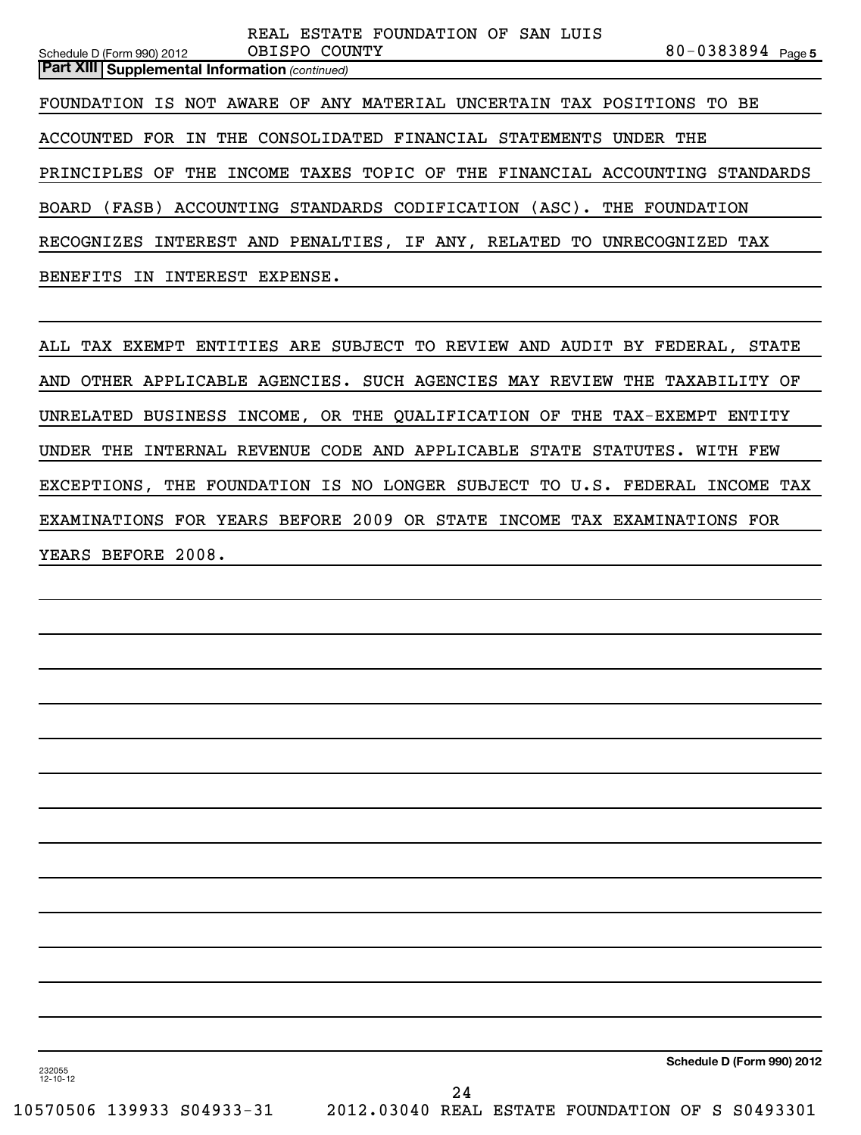80-0383894 <sub>Page 5</sub> **Part XIII | Supplemental Information** (continued) Schedule D (Form 990) 2012 OBISPO COUNTY FOUNDATION IS NOT AWARE OF ANY MATERIAL UNCERTAIN TAX POSITIONS TO BE ACCOUNTED FOR IN THE CONSOLIDATED FINANCIAL STATEMENTS UNDER THE PRINCIPLES OF THE INCOME TAXES TOPIC OF THE FINANCIAL ACCOUNTING STANDARDS BOARD (FASB) ACCOUNTING STANDARDS CODIFICATION (ASC). THE FOUNDATION RECOGNIZES INTEREST AND PENALTIES, IF ANY, RELATED TO UNRECOGNIZED TAX BENEFITS IN INTEREST EXPENSE.

REAL ESTATE FOUNDATION OF SAN LUIS

ALL TAX EXEMPT ENTITIES ARE SUBJECT TO REVIEW AND AUDIT BY FEDERAL, STATE AND OTHER APPLICABLE AGENCIES. SUCH AGENCIES MAY REVIEW THE TAXABILITY OF UNRELATED BUSINESS INCOME, OR THE QUALIFICATION OF THE TAX-EXEMPT ENTITY UNDER THE INTERNAL REVENUE CODE AND APPLICABLE STATE STATUTES. WITH FEW EXCEPTIONS, THE FOUNDATION IS NO LONGER SUBJECT TO U.S. FEDERAL INCOME TAX EXAMINATIONS FOR YEARS BEFORE 2009 OR STATE INCOME TAX EXAMINATIONS FOR YEARS BEFORE 2008.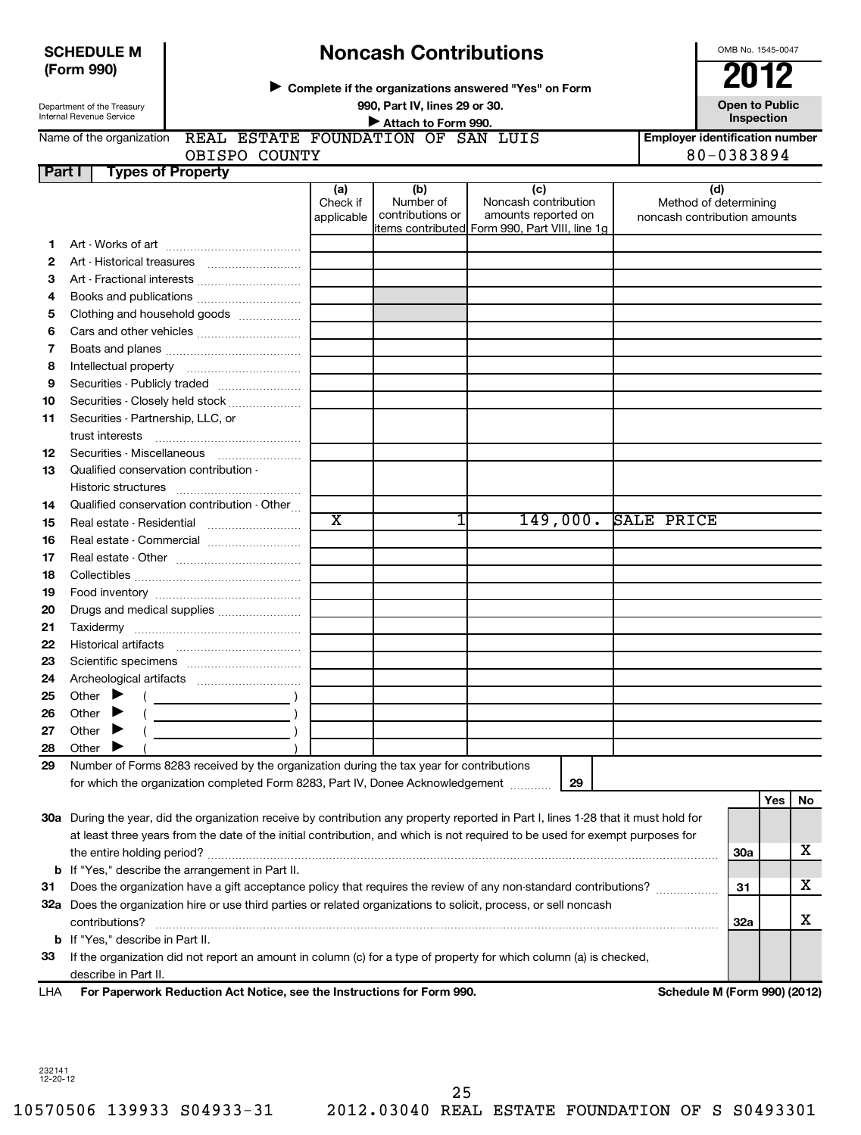## **SCHEDULE M (Form 990)**

# **Noncash Contributions**

**Complete if the organizations answered "Yes" on Form** <sup>J</sup>**2012**

Department of the Treasury Internal Revenue Service

# **990, Part IV, lines 29 or 30. Open to Public Unspection**<br> **■** Attach to Form 990

OMB No. 1545-0047

**Inspection Inspection Inspection Inspection Inspection** 

| Name of the organization             |               | REAL ESTATE FOUNDATION OF SAN LUIS |  |  | l Emplover identification number |
|--------------------------------------|---------------|------------------------------------|--|--|----------------------------------|
|                                      | OBISPO COUNTY |                                    |  |  | 80-0383894                       |
| l Part I<br><b>Types of Property</b> |               |                                    |  |  |                                  |

|    |                                                                                                                                                                                                                                                                                                                                                                                                                                              | (a)<br>Check if<br>applicable | (b)<br>Number of<br>contributions or | (c)<br>Noncash contribution<br>amounts reported on | (d)<br>Method of determining<br>noncash contribution amounts |            |     |    |
|----|----------------------------------------------------------------------------------------------------------------------------------------------------------------------------------------------------------------------------------------------------------------------------------------------------------------------------------------------------------------------------------------------------------------------------------------------|-------------------------------|--------------------------------------|----------------------------------------------------|--------------------------------------------------------------|------------|-----|----|
|    |                                                                                                                                                                                                                                                                                                                                                                                                                                              |                               |                                      | items contributed Form 990, Part VIII, line 1g     |                                                              |            |     |    |
| 1. |                                                                                                                                                                                                                                                                                                                                                                                                                                              |                               |                                      |                                                    |                                                              |            |     |    |
| 2  |                                                                                                                                                                                                                                                                                                                                                                                                                                              |                               |                                      |                                                    |                                                              |            |     |    |
| 3  |                                                                                                                                                                                                                                                                                                                                                                                                                                              |                               |                                      |                                                    |                                                              |            |     |    |
| 4  |                                                                                                                                                                                                                                                                                                                                                                                                                                              |                               |                                      |                                                    |                                                              |            |     |    |
| 5  | Clothing and household goods                                                                                                                                                                                                                                                                                                                                                                                                                 |                               |                                      |                                                    |                                                              |            |     |    |
| 6  |                                                                                                                                                                                                                                                                                                                                                                                                                                              |                               |                                      |                                                    |                                                              |            |     |    |
| 7  |                                                                                                                                                                                                                                                                                                                                                                                                                                              |                               |                                      |                                                    |                                                              |            |     |    |
| 8  |                                                                                                                                                                                                                                                                                                                                                                                                                                              |                               |                                      |                                                    |                                                              |            |     |    |
| 9  |                                                                                                                                                                                                                                                                                                                                                                                                                                              |                               |                                      |                                                    |                                                              |            |     |    |
| 10 | Securities - Closely held stock                                                                                                                                                                                                                                                                                                                                                                                                              |                               |                                      |                                                    |                                                              |            |     |    |
| 11 | Securities - Partnership, LLC, or                                                                                                                                                                                                                                                                                                                                                                                                            |                               |                                      |                                                    |                                                              |            |     |    |
|    | trust interests                                                                                                                                                                                                                                                                                                                                                                                                                              |                               |                                      |                                                    |                                                              |            |     |    |
| 12 | Securities - Miscellaneous                                                                                                                                                                                                                                                                                                                                                                                                                   |                               |                                      |                                                    |                                                              |            |     |    |
| 13 | Qualified conservation contribution -                                                                                                                                                                                                                                                                                                                                                                                                        |                               |                                      |                                                    |                                                              |            |     |    |
|    | Historic structures                                                                                                                                                                                                                                                                                                                                                                                                                          |                               |                                      |                                                    |                                                              |            |     |    |
| 14 | Qualified conservation contribution - Other                                                                                                                                                                                                                                                                                                                                                                                                  | $\overline{\text{x}}$         | 1                                    | 149,000.                                           | SALE PRICE                                                   |            |     |    |
| 15 | Real estate - Residential                                                                                                                                                                                                                                                                                                                                                                                                                    |                               |                                      |                                                    |                                                              |            |     |    |
| 16 | Real estate - Commercial                                                                                                                                                                                                                                                                                                                                                                                                                     |                               |                                      |                                                    |                                                              |            |     |    |
| 17 |                                                                                                                                                                                                                                                                                                                                                                                                                                              |                               |                                      |                                                    |                                                              |            |     |    |
| 18 |                                                                                                                                                                                                                                                                                                                                                                                                                                              |                               |                                      |                                                    |                                                              |            |     |    |
| 19 |                                                                                                                                                                                                                                                                                                                                                                                                                                              |                               |                                      |                                                    |                                                              |            |     |    |
| 20 | Drugs and medical supplies                                                                                                                                                                                                                                                                                                                                                                                                                   |                               |                                      |                                                    |                                                              |            |     |    |
| 21 |                                                                                                                                                                                                                                                                                                                                                                                                                                              |                               |                                      |                                                    |                                                              |            |     |    |
| 22 |                                                                                                                                                                                                                                                                                                                                                                                                                                              |                               |                                      |                                                    |                                                              |            |     |    |
| 23 |                                                                                                                                                                                                                                                                                                                                                                                                                                              |                               |                                      |                                                    |                                                              |            |     |    |
| 24 |                                                                                                                                                                                                                                                                                                                                                                                                                                              |                               |                                      |                                                    |                                                              |            |     |    |
| 25 | Other $\blacktriangleright$<br>$\left(\begin{array}{ccc}\n\frac{1}{2} & \frac{1}{2} & \frac{1}{2} & \frac{1}{2} & \frac{1}{2} & \frac{1}{2} & \frac{1}{2} & \frac{1}{2} & \frac{1}{2} & \frac{1}{2} & \frac{1}{2} & \frac{1}{2} & \frac{1}{2} & \frac{1}{2} & \frac{1}{2} & \frac{1}{2} & \frac{1}{2} & \frac{1}{2} & \frac{1}{2} & \frac{1}{2} & \frac{1}{2} & \frac{1}{2} & \frac{1}{2} & \frac{1}{2} & \frac{1}{2} & \frac{1}{2} & \frac$ |                               |                                      |                                                    |                                                              |            |     |    |
| 26 | Other $\blacktriangleright$                                                                                                                                                                                                                                                                                                                                                                                                                  |                               |                                      |                                                    |                                                              |            |     |    |
| 27 | Other $\blacktriangleright$                                                                                                                                                                                                                                                                                                                                                                                                                  |                               |                                      |                                                    |                                                              |            |     |    |
| 28 | Other                                                                                                                                                                                                                                                                                                                                                                                                                                        |                               |                                      |                                                    |                                                              |            |     |    |
| 29 | Number of Forms 8283 received by the organization during the tax year for contributions                                                                                                                                                                                                                                                                                                                                                      |                               |                                      |                                                    |                                                              |            |     |    |
|    | for which the organization completed Form 8283, Part IV, Donee Acknowledgement                                                                                                                                                                                                                                                                                                                                                               |                               |                                      | 29                                                 |                                                              |            |     |    |
|    |                                                                                                                                                                                                                                                                                                                                                                                                                                              |                               |                                      |                                                    |                                                              |            | Yes | No |
|    | 30a During the year, did the organization receive by contribution any property reported in Part I, lines 1-28 that it must hold for                                                                                                                                                                                                                                                                                                          |                               |                                      |                                                    |                                                              |            |     |    |
|    | at least three years from the date of the initial contribution, and which is not required to be used for exempt purposes for                                                                                                                                                                                                                                                                                                                 |                               |                                      |                                                    |                                                              |            |     |    |
|    | the entire holding period?                                                                                                                                                                                                                                                                                                                                                                                                                   |                               |                                      |                                                    |                                                              | <b>30a</b> |     | х  |
|    | <b>b</b> If "Yes," describe the arrangement in Part II.                                                                                                                                                                                                                                                                                                                                                                                      |                               |                                      |                                                    |                                                              |            |     |    |
| 31 | Does the organization have a gift acceptance policy that requires the review of any non-standard contributions?                                                                                                                                                                                                                                                                                                                              |                               |                                      |                                                    |                                                              | 31         |     | х  |
|    | 32a Does the organization hire or use third parties or related organizations to solicit, process, or sell noncash                                                                                                                                                                                                                                                                                                                            |                               |                                      |                                                    |                                                              |            |     |    |
|    | contributions?                                                                                                                                                                                                                                                                                                                                                                                                                               |                               |                                      |                                                    |                                                              | <b>32a</b> |     | х  |
|    | <b>b</b> If "Yes," describe in Part II.                                                                                                                                                                                                                                                                                                                                                                                                      |                               |                                      |                                                    |                                                              |            |     |    |

**For Paperwork Reduction Act Notice, see the Instructions for Form 990. Schedule M (Form 990) (2012)** LHA

**33** If the organization did not report an amount in column (c) for a type of property for which column (a) is checked,

232141 12-20-12

describe in Part II.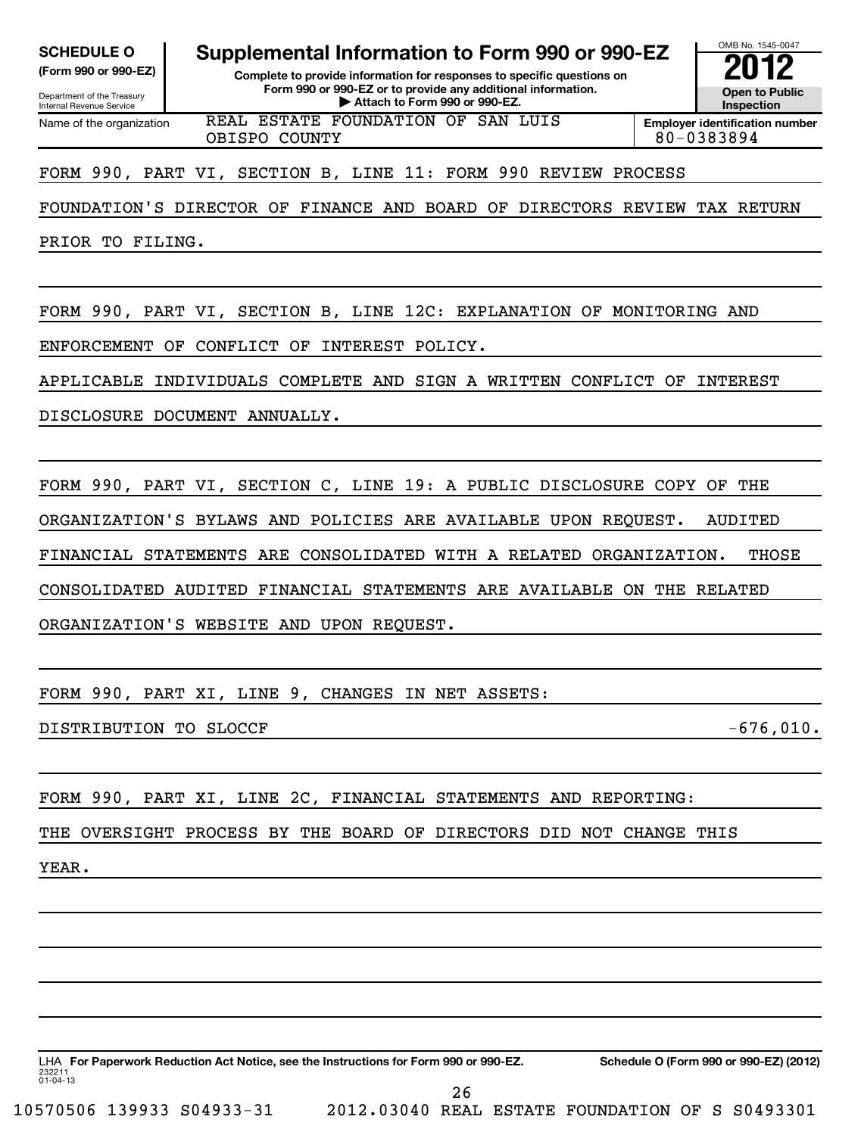Department of the Treasury

Internal Revenue Service

**SCHEDULE O Supplemental Information to Form 990 or 990-EZ 2012**

**(Form 990 or 990-EZ) Complete to provide information for responses to specific questions on Form 990 or 990-EZ or to provide any additional information. P** Attach to provide any additional information. <br>
inspection and Devil and Devil and Devil and Devil and Devil and Devil and Devil and Devil and Devil and Devi

OMB No. 1545-0047 **Inspection**

Name of the organization REAL ESTATE FOUNDATION OF SAN LUIS OBISPO COUNTY 80-0383894

**Employer identification number**

FORM 990, PART VI, SECTION B, LINE 11: FORM 990 REVIEW PROCESS

FOUNDATION'S DIRECTOR OF FINANCE AND BOARD OF DIRECTORS REVIEW TAX RETURN

PRIOR TO FILING.

FORM 990, PART VI, SECTION B, LINE 12C: EXPLANATION OF MONITORING AND

ENFORCEMENT OF CONFLICT OF INTEREST POLICY.

APPLICABLE INDIVIDUALS COMPLETE AND SIGN A WRITTEN CONFLICT OF INTEREST

DISCLOSURE DOCUMENT ANNUALLY.

FORM 990, PART VI, SECTION C, LINE 19: A PUBLIC DISCLOSURE COPY OF THE ORGANIZATION'S BYLAWS AND POLICIES ARE AVAILABLE UPON REQUEST. AUDITED FINANCIAL STATEMENTS ARE CONSOLIDATED WITH A RELATED ORGANIZATION. THOSE CONSOLIDATED AUDITED FINANCIAL STATEMENTS ARE AVAILABLE ON THE RELATED ORGANIZATION'S WEBSITE AND UPON REQUEST.

FORM 990, PART XI, LINE 9, CHANGES IN NET ASSETS:

DISTRIBUTION TO SLOCCF  $-676,010$ .

FORM 990, PART XI, LINE 2C, FINANCIAL STATEMENTS AND REPORTING:

THE OVERSIGHT PROCESS BY THE BOARD OF DIRECTORS DID NOT CHANGE THIS

YEAR.

232211 01-04-13 LHA For Paperwork Reduction Act Notice, see the Instructions for Form 990 or 990-EZ. Schedule O (Form 990 or 990-EZ) (2012) 10570506 139933 S04933-31 2012.03040 REAL ESTATE FOUNDATION OF S S0493301 26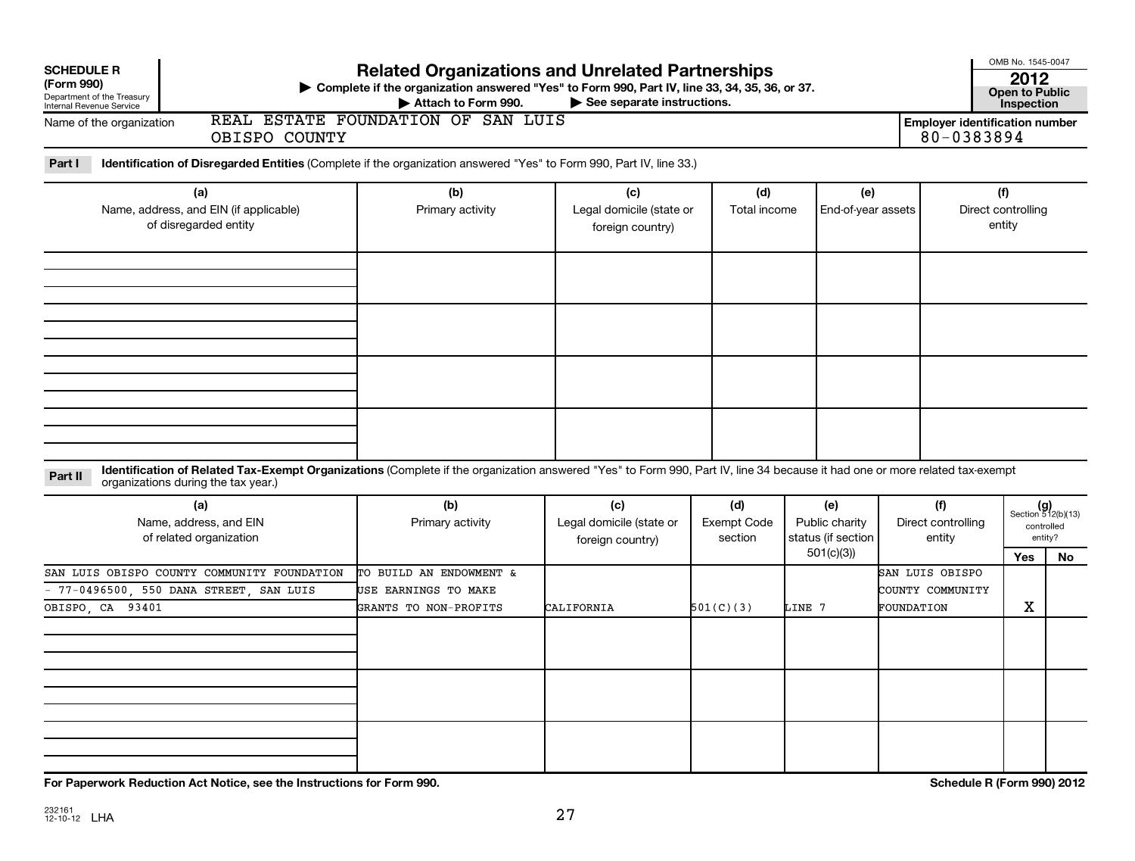| <b>SCHEDULE R</b><br>(Form 990)<br>Department of the Treasury<br>Internal Revenue Service<br>Name of the organization<br>OBISPO COUNTY                                                                                        | <b>Related Organizations and Unrelated Partnerships</b><br>▶ Complete if the organization answered "Yes" to Form 990, Part IV, line 33, 34, 35, 36, or 37.<br>Attach to Form 990.<br>REAL ESTATE FOUNDATION OF SAN LUIS | See separate instructions.                          |                                      |                                                          | <b>Employer identification number</b><br>80-0383894 | OMB No. 1545-0047<br>2012<br><b>Open to Public</b><br>Inspection |                                                            |
|-------------------------------------------------------------------------------------------------------------------------------------------------------------------------------------------------------------------------------|-------------------------------------------------------------------------------------------------------------------------------------------------------------------------------------------------------------------------|-----------------------------------------------------|--------------------------------------|----------------------------------------------------------|-----------------------------------------------------|------------------------------------------------------------------|------------------------------------------------------------|
| Part I<br>Identification of Disregarded Entities (Complete if the organization answered "Yes" to Form 990, Part IV, line 33.)                                                                                                 |                                                                                                                                                                                                                         |                                                     |                                      |                                                          |                                                     |                                                                  |                                                            |
| (a)<br>Name, address, and EIN (if applicable)<br>of disregarded entity                                                                                                                                                        | (b)<br>Primary activity                                                                                                                                                                                                 | (c)<br>Legal domicile (state or<br>foreign country) | (d)<br>Total income                  | (e)<br>End-of-year assets                                |                                                     | (f)<br>Direct controlling<br>entity                              |                                                            |
|                                                                                                                                                                                                                               |                                                                                                                                                                                                                         |                                                     |                                      |                                                          |                                                     |                                                                  |                                                            |
|                                                                                                                                                                                                                               |                                                                                                                                                                                                                         |                                                     |                                      |                                                          |                                                     |                                                                  |                                                            |
| Identification of Related Tax-Exempt Organizations (Complete if the organization answered "Yes" to Form 990, Part IV, line 34 because it had one or more related tax-exempt<br>Part II<br>organizations during the tax year.) |                                                                                                                                                                                                                         |                                                     |                                      |                                                          |                                                     |                                                                  |                                                            |
| (a)<br>Name, address, and EIN<br>of related organization                                                                                                                                                                      | (b)<br>Primary activity                                                                                                                                                                                                 | (c)<br>Legal domicile (state or<br>foreign country) | (d)<br><b>Exempt Code</b><br>section | (e)<br>Public charity<br>status (if section<br>501(c)(3) | (f)<br>Direct controlling<br>entity                 | Yes                                                              | $(g)$<br>Section 512(b)(13)<br>controlled<br>entity?<br>No |
| SAN LUIS OBISPO COUNTY COMMUNITY FOUNDATION<br>- 77-0496500, 550 DANA STREET, SAN LUIS<br>OBISPO, CA 93401                                                                                                                    | TO BUILD AN ENDOWMENT &<br>USE EARNINGS TO MAKE<br>GRANTS TO NON-PROFITS                                                                                                                                                | CALIFORNIA                                          | 501(C)(3)                            | LINE 7                                                   | SAN LUIS OBISPO<br>COUNTY COMMUNITY<br>FOUNDATION   | $\mathbf X$                                                      |                                                            |
|                                                                                                                                                                                                                               |                                                                                                                                                                                                                         |                                                     |                                      |                                                          |                                                     |                                                                  |                                                            |
|                                                                                                                                                                                                                               |                                                                                                                                                                                                                         |                                                     |                                      |                                                          |                                                     |                                                                  |                                                            |
|                                                                                                                                                                                                                               |                                                                                                                                                                                                                         |                                                     |                                      |                                                          |                                                     |                                                                  |                                                            |

**For Paperwork Reduction Act Notice, see the Instructions for Form 990. Schedule R (Form 990) 2012**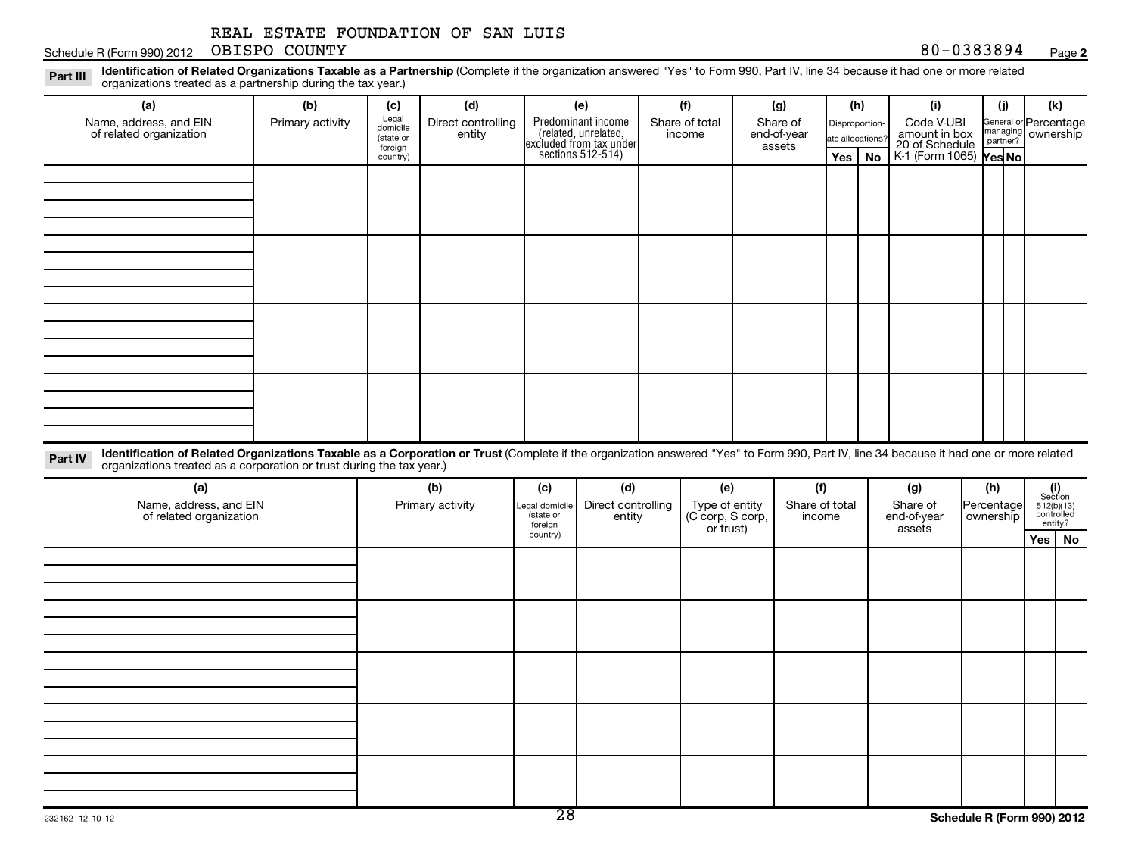Schedule R (Form 990) 2012 OBISPO COUNTY Names and Archives and Archives and Archives and Archives and Archives and Archives and Archives and Archives and Archives and Archives and Archives and Archives and Archives and

Part III Identification of Related Organizations Taxable as a Partnership (Complete if the organization answered "Yes" to Form 990, Part IV, line 34 because it had one or more related<br>Read to reconizations tracted as a par organizations treated as a partnership during the tax year.)

| organizations treated as a partnership during the tax year.)                                                                                                                                                                                                                |                  |                                           |                              |                             |                                                                                            |                                    |                                   |                                    |           |                                               |                                               |                                                                                                                                 |  |
|-----------------------------------------------------------------------------------------------------------------------------------------------------------------------------------------------------------------------------------------------------------------------------|------------------|-------------------------------------------|------------------------------|-----------------------------|--------------------------------------------------------------------------------------------|------------------------------------|-----------------------------------|------------------------------------|-----------|-----------------------------------------------|-----------------------------------------------|---------------------------------------------------------------------------------------------------------------------------------|--|
| (a)                                                                                                                                                                                                                                                                         | (b)              | (c)                                       | (d)                          |                             | (e)                                                                                        | (f)                                | (g)                               |                                    | (h)       | (i)                                           | (i)                                           | (k)                                                                                                                             |  |
| Name, address, and EIN<br>of related organization                                                                                                                                                                                                                           | Primary activity | Legal<br>domicile<br>(state or<br>foreign | Direct controlling<br>entity |                             | Predominant income<br>(related, unrelated,<br>excluded from tax under<br>sections 512-514) | Share of total<br>income           | Share of<br>end-of-year<br>assets | Disproportion-<br>ate allocations' |           | Code V-UBI<br>amount in box<br>20 of Schedule | General or Percentage<br>managing<br>partner? | ownership                                                                                                                       |  |
|                                                                                                                                                                                                                                                                             |                  | country)                                  |                              |                             |                                                                                            |                                    |                                   | Yes                                | <b>No</b> | K-1 (Form 1065) Yes No                        |                                               |                                                                                                                                 |  |
|                                                                                                                                                                                                                                                                             |                  |                                           |                              |                             |                                                                                            |                                    |                                   |                                    |           |                                               |                                               |                                                                                                                                 |  |
|                                                                                                                                                                                                                                                                             |                  |                                           |                              |                             |                                                                                            |                                    |                                   |                                    |           |                                               |                                               |                                                                                                                                 |  |
|                                                                                                                                                                                                                                                                             |                  |                                           |                              |                             |                                                                                            |                                    |                                   |                                    |           |                                               |                                               |                                                                                                                                 |  |
|                                                                                                                                                                                                                                                                             |                  |                                           |                              |                             |                                                                                            |                                    |                                   |                                    |           |                                               |                                               |                                                                                                                                 |  |
|                                                                                                                                                                                                                                                                             |                  |                                           |                              |                             |                                                                                            |                                    |                                   |                                    |           |                                               |                                               |                                                                                                                                 |  |
|                                                                                                                                                                                                                                                                             |                  |                                           |                              |                             |                                                                                            |                                    |                                   |                                    |           |                                               |                                               |                                                                                                                                 |  |
|                                                                                                                                                                                                                                                                             |                  |                                           |                              |                             |                                                                                            |                                    |                                   |                                    |           |                                               |                                               |                                                                                                                                 |  |
|                                                                                                                                                                                                                                                                             |                  |                                           |                              |                             |                                                                                            |                                    |                                   |                                    |           |                                               |                                               |                                                                                                                                 |  |
|                                                                                                                                                                                                                                                                             |                  |                                           |                              |                             |                                                                                            |                                    |                                   |                                    |           |                                               |                                               |                                                                                                                                 |  |
|                                                                                                                                                                                                                                                                             |                  |                                           |                              |                             |                                                                                            |                                    |                                   |                                    |           |                                               |                                               |                                                                                                                                 |  |
|                                                                                                                                                                                                                                                                             |                  |                                           |                              |                             |                                                                                            |                                    |                                   |                                    |           |                                               |                                               |                                                                                                                                 |  |
|                                                                                                                                                                                                                                                                             |                  |                                           |                              |                             |                                                                                            |                                    |                                   |                                    |           |                                               |                                               |                                                                                                                                 |  |
|                                                                                                                                                                                                                                                                             |                  |                                           |                              |                             |                                                                                            |                                    |                                   |                                    |           |                                               |                                               |                                                                                                                                 |  |
|                                                                                                                                                                                                                                                                             |                  |                                           |                              |                             |                                                                                            |                                    |                                   |                                    |           |                                               |                                               |                                                                                                                                 |  |
| Identification of Related Organizations Taxable as a Corporation or Trust (Complete if the organization answered "Yes" to Form 990, Part IV, line 34 because it had one or more related<br>Part IV<br>organizations treated as a corporation or trust during the tax year.) |                  |                                           |                              |                             |                                                                                            |                                    |                                   |                                    |           |                                               |                                               |                                                                                                                                 |  |
| (a)                                                                                                                                                                                                                                                                         |                  |                                           | (b)                          | (c)                         | (d)                                                                                        | (e)                                | (f)                               |                                    |           | (g)                                           | (h)                                           |                                                                                                                                 |  |
| Name, address, and EIN<br>of related organization                                                                                                                                                                                                                           |                  |                                           | Primary activity             | Legal domicile<br>(state or | Direct controlling<br>entity                                                               | Type of entity<br>(C corp, S corp, | Share of total<br>income          |                                    |           | Share of<br>end-of-year                       | Percentage<br>ownership                       | $\begin{array}{c} \textbf{(i)}\\ \text{Section}\\ 512 \text{(b)} \text{(13)}\\ \text{controlled} \\ \text{entity?} \end{array}$ |  |
|                                                                                                                                                                                                                                                                             |                  |                                           |                              | foreign<br>country)         |                                                                                            | or trust)                          |                                   |                                    |           | assets                                        |                                               |                                                                                                                                 |  |
|                                                                                                                                                                                                                                                                             |                  |                                           |                              |                             |                                                                                            |                                    |                                   |                                    |           |                                               |                                               | Yes   No                                                                                                                        |  |
|                                                                                                                                                                                                                                                                             |                  |                                           |                              |                             |                                                                                            |                                    |                                   |                                    |           |                                               |                                               |                                                                                                                                 |  |
|                                                                                                                                                                                                                                                                             |                  |                                           |                              |                             |                                                                                            |                                    |                                   |                                    |           |                                               |                                               |                                                                                                                                 |  |
|                                                                                                                                                                                                                                                                             |                  |                                           |                              |                             |                                                                                            |                                    |                                   |                                    |           |                                               |                                               |                                                                                                                                 |  |
|                                                                                                                                                                                                                                                                             |                  |                                           |                              |                             |                                                                                            |                                    |                                   |                                    |           |                                               |                                               |                                                                                                                                 |  |
|                                                                                                                                                                                                                                                                             |                  |                                           |                              |                             |                                                                                            |                                    |                                   |                                    |           |                                               |                                               |                                                                                                                                 |  |
|                                                                                                                                                                                                                                                                             |                  |                                           |                              |                             |                                                                                            |                                    |                                   |                                    |           |                                               |                                               |                                                                                                                                 |  |
|                                                                                                                                                                                                                                                                             |                  |                                           |                              |                             |                                                                                            |                                    |                                   |                                    |           |                                               |                                               |                                                                                                                                 |  |
|                                                                                                                                                                                                                                                                             |                  |                                           |                              |                             |                                                                                            |                                    |                                   |                                    |           |                                               |                                               |                                                                                                                                 |  |
|                                                                                                                                                                                                                                                                             |                  |                                           |                              |                             |                                                                                            |                                    |                                   |                                    |           |                                               |                                               |                                                                                                                                 |  |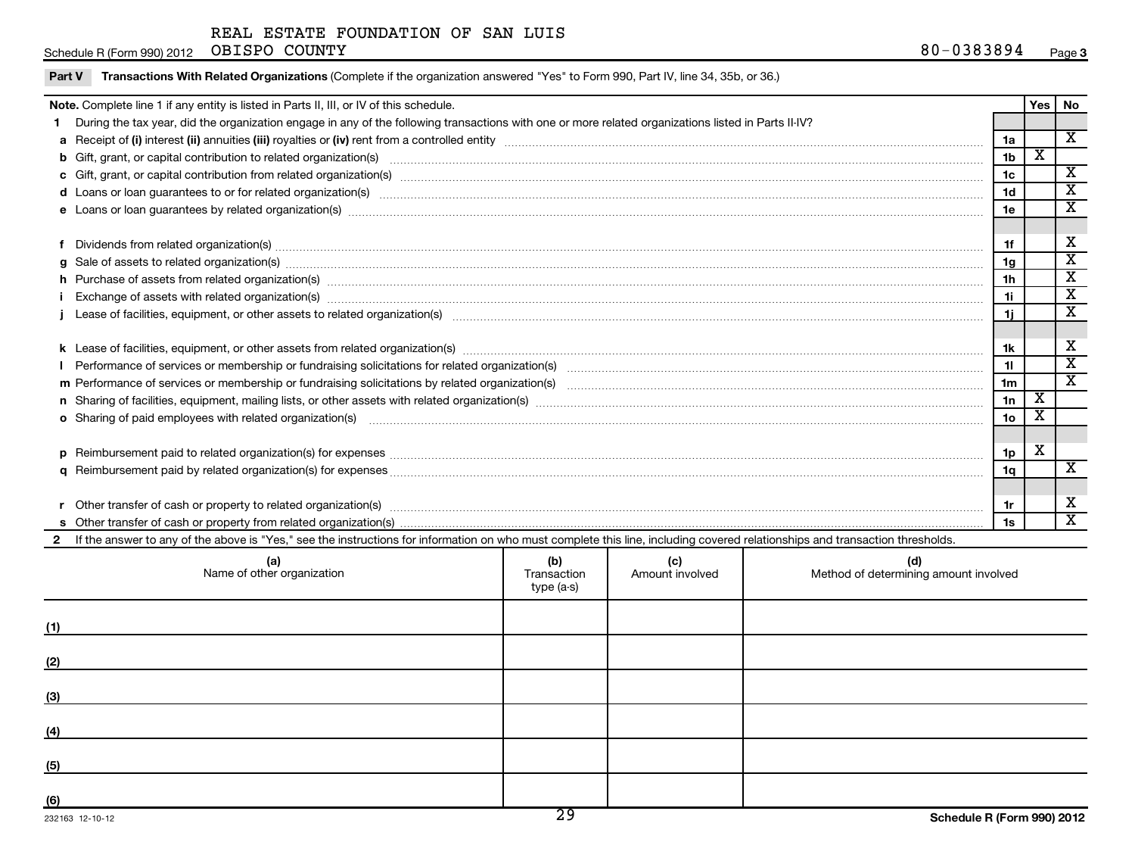Part V Transactions With Related Organizations (Complete if the organization answered "Yes" to Form 990, Part IV, line 34, 35b, or 36.)

### Schedule R (Form 990) 2012 Page OBISPO COUNTY

|              | Note. Complete line 1 if any entity is listed in Parts II, III, or IV of this schedule.                                                                                                                                        |             |                 |                                       |                 |                         | Yes   No                |
|--------------|--------------------------------------------------------------------------------------------------------------------------------------------------------------------------------------------------------------------------------|-------------|-----------------|---------------------------------------|-----------------|-------------------------|-------------------------|
|              | During the tax year, did the organization engage in any of the following transactions with one or more related organizations listed in Parts II-IV?                                                                            |             |                 |                                       |                 |                         |                         |
|              |                                                                                                                                                                                                                                |             |                 |                                       | 1a              |                         | $\overline{\mathbf{X}}$ |
|              |                                                                                                                                                                                                                                |             |                 |                                       | 1 <sub>b</sub>  | $\overline{\textbf{x}}$ |                         |
|              |                                                                                                                                                                                                                                |             |                 |                                       | 1c              |                         | $\overline{\mathbf{X}}$ |
|              |                                                                                                                                                                                                                                |             |                 |                                       | 1d              |                         | $\overline{\mathbf{X}}$ |
|              | e Loans or loan guarantees by related organization(s) www.array.com/www.array.com/www.array.com/www.array.com/www.array.com/www.array.com/www.array.com/www.array.com/www.array.com/www.array.com/www.array.com/www.array.com/ |             |                 |                                       | 1e              |                         | $\overline{\mathbf{x}}$ |
|              |                                                                                                                                                                                                                                |             |                 |                                       |                 |                         |                         |
|              |                                                                                                                                                                                                                                |             |                 |                                       | 1f              |                         | x                       |
|              |                                                                                                                                                                                                                                |             |                 |                                       | 1g              |                         | $\overline{\text{x}}$   |
|              |                                                                                                                                                                                                                                |             |                 |                                       | 1h              |                         | $\overline{\mathbf{X}}$ |
|              | Exchange of assets with related organization(s) material contents and content to the content of the content of the content of the content of the content of the content of the content of the content of the content of the co |             |                 |                                       | 1i.             |                         | $\overline{\mathbf{X}}$ |
|              |                                                                                                                                                                                                                                |             |                 |                                       | 1i.             |                         | $\overline{\mathbf{x}}$ |
|              |                                                                                                                                                                                                                                |             |                 |                                       |                 |                         |                         |
|              |                                                                                                                                                                                                                                |             |                 |                                       | 1k              |                         | x                       |
|              |                                                                                                                                                                                                                                |             |                 |                                       | 11              |                         | $\overline{\text{x}}$   |
|              |                                                                                                                                                                                                                                |             |                 |                                       | 1 <sub>m</sub>  |                         | $\overline{\mathbf{x}}$ |
|              |                                                                                                                                                                                                                                |             |                 |                                       | 1n              | X                       |                         |
|              | o Sharing of paid employees with related organization(s) manufaction(s) and contain an examination of the state or state or state or state or state or state or state or state or state or state or state or state or state or |             |                 |                                       | 10 <sub>o</sub> | $\overline{\mathbf{x}}$ |                         |
|              |                                                                                                                                                                                                                                |             |                 |                                       |                 |                         |                         |
|              |                                                                                                                                                                                                                                |             |                 |                                       | 1 <sub>p</sub>  | $\mathbf X$             |                         |
|              |                                                                                                                                                                                                                                |             |                 |                                       | 1q              |                         | X                       |
|              |                                                                                                                                                                                                                                |             |                 |                                       |                 |                         |                         |
|              |                                                                                                                                                                                                                                |             |                 |                                       | 1r              |                         | Χ                       |
|              |                                                                                                                                                                                                                                |             |                 |                                       | 1s              |                         | $\overline{\mathbf{X}}$ |
| $\mathbf{2}$ | If the answer to any of the above is "Yes," see the instructions for information on who must complete this line, including covered relationships and transaction thresholds.                                                   |             |                 |                                       |                 |                         |                         |
|              | (a)                                                                                                                                                                                                                            | (b)         | (c)             | (d)                                   |                 |                         |                         |
|              | Name of other organization                                                                                                                                                                                                     | Transaction | Amount involved | Method of determining amount involved |                 |                         |                         |
|              |                                                                                                                                                                                                                                | type (a-s)  |                 |                                       |                 |                         |                         |
|              |                                                                                                                                                                                                                                |             |                 |                                       |                 |                         |                         |
| (1)          |                                                                                                                                                                                                                                |             |                 |                                       |                 |                         |                         |
|              |                                                                                                                                                                                                                                |             |                 |                                       |                 |                         |                         |
| (2)          |                                                                                                                                                                                                                                |             |                 |                                       |                 |                         |                         |
|              |                                                                                                                                                                                                                                |             |                 |                                       |                 |                         |                         |
| (3)          |                                                                                                                                                                                                                                |             |                 |                                       |                 |                         |                         |
|              |                                                                                                                                                                                                                                |             |                 |                                       |                 |                         |                         |
| (4)          |                                                                                                                                                                                                                                |             |                 |                                       |                 |                         |                         |
|              |                                                                                                                                                                                                                                |             |                 |                                       |                 |                         |                         |
| (5)          |                                                                                                                                                                                                                                |             |                 |                                       |                 |                         |                         |
|              |                                                                                                                                                                                                                                |             |                 |                                       |                 |                         |                         |
| (6)          |                                                                                                                                                                                                                                |             |                 |                                       |                 |                         |                         |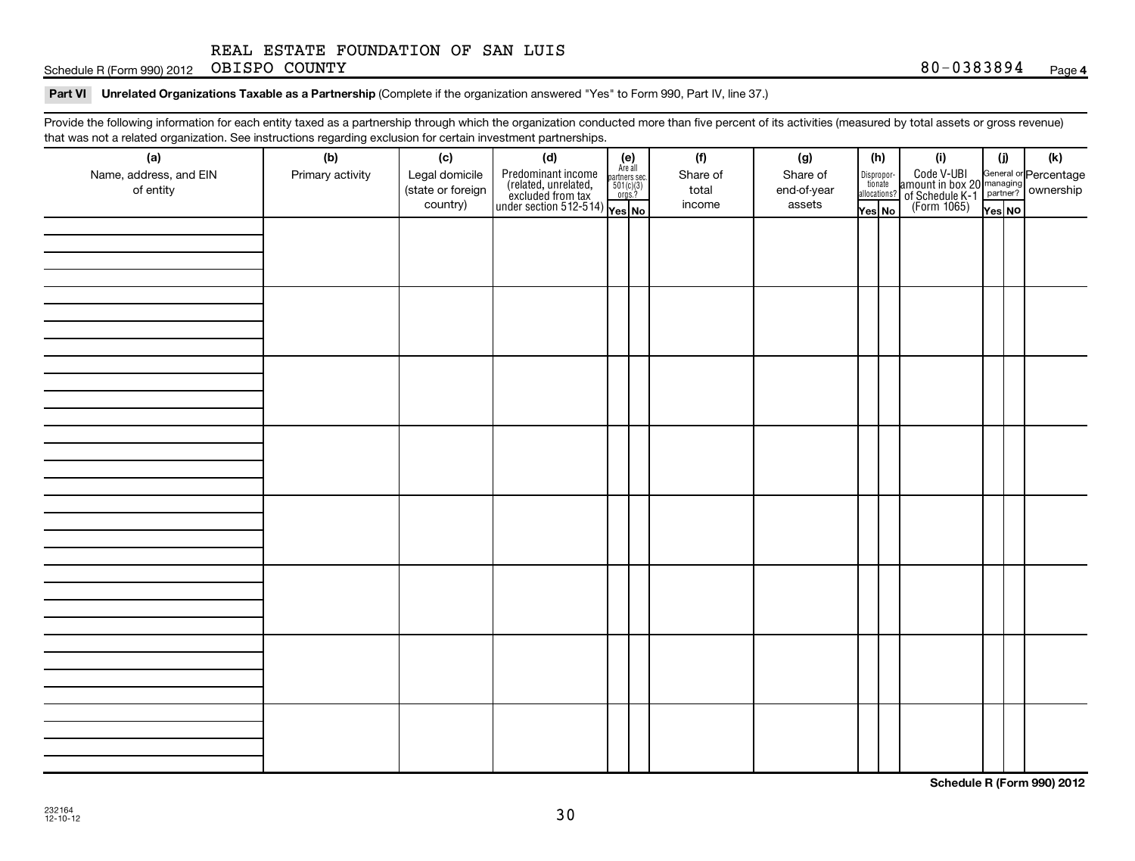Schedule R (Form 990) 2012 Page OBISPO COUNTY

### Part VI Unrelated Organizations Taxable as a Partnership (Complete if the organization answered "Yes" to Form 990, Part IV, line 37.)

Provide the following information for each entity taxed as a partnership through which the organization conducted more than five percent of its activities (measured by total assets or gross revenue) that was not a related organization. See instructions regarding exclusion for certain investment partnerships.

| (a)<br>Name, address, and EIN<br>of entity | ັ<br>ັ<br>(b)<br>Primary activity | (c)<br>Legal domicile<br>(state or foreign<br>country) | (d)<br>$\left\{ \begin{array}{l} \text{Predominant income} \ \text{Area} \\ \text{(related, unrelated,} \ \text{501(c)(3)} \\ \text{excluded from tax} \ \text{501(c)(3)} \\ \text{under section 512-514)} \ \text{Yes} \ \text{No} \end{array} \right.$ | $(e)$<br>Are all | (f)<br>Share of<br>total<br>income | (g)<br>Share of<br>end-of-year<br>assets | Dispropor-<br>tionate | (h)<br>allocations?<br>Yes No | (i)<br>Code V-UBI<br>amount in box 20<br>of Schedule K-1<br>(Form 1065)<br>$\frac{1}{\sqrt{1+\frac{1}{2}}}\sqrt{\frac{1}{2}}$<br>(Form 1065)<br>These No | (i)<br>Yes NO | (k) |
|--------------------------------------------|-----------------------------------|--------------------------------------------------------|----------------------------------------------------------------------------------------------------------------------------------------------------------------------------------------------------------------------------------------------------------|------------------|------------------------------------|------------------------------------------|-----------------------|-------------------------------|----------------------------------------------------------------------------------------------------------------------------------------------------------|---------------|-----|
|                                            |                                   |                                                        |                                                                                                                                                                                                                                                          |                  |                                    |                                          |                       |                               |                                                                                                                                                          |               |     |
|                                            |                                   |                                                        |                                                                                                                                                                                                                                                          |                  |                                    |                                          |                       |                               |                                                                                                                                                          |               |     |
|                                            |                                   |                                                        |                                                                                                                                                                                                                                                          |                  |                                    |                                          |                       |                               |                                                                                                                                                          |               |     |
|                                            |                                   |                                                        |                                                                                                                                                                                                                                                          |                  |                                    |                                          |                       |                               |                                                                                                                                                          |               |     |
|                                            |                                   |                                                        |                                                                                                                                                                                                                                                          |                  |                                    |                                          |                       |                               |                                                                                                                                                          |               |     |
|                                            |                                   |                                                        |                                                                                                                                                                                                                                                          |                  |                                    |                                          |                       |                               |                                                                                                                                                          |               |     |
|                                            |                                   |                                                        |                                                                                                                                                                                                                                                          |                  |                                    |                                          |                       |                               |                                                                                                                                                          |               |     |
|                                            |                                   |                                                        |                                                                                                                                                                                                                                                          |                  |                                    |                                          |                       |                               |                                                                                                                                                          |               |     |

**Schedule R (Form 990) 2012**